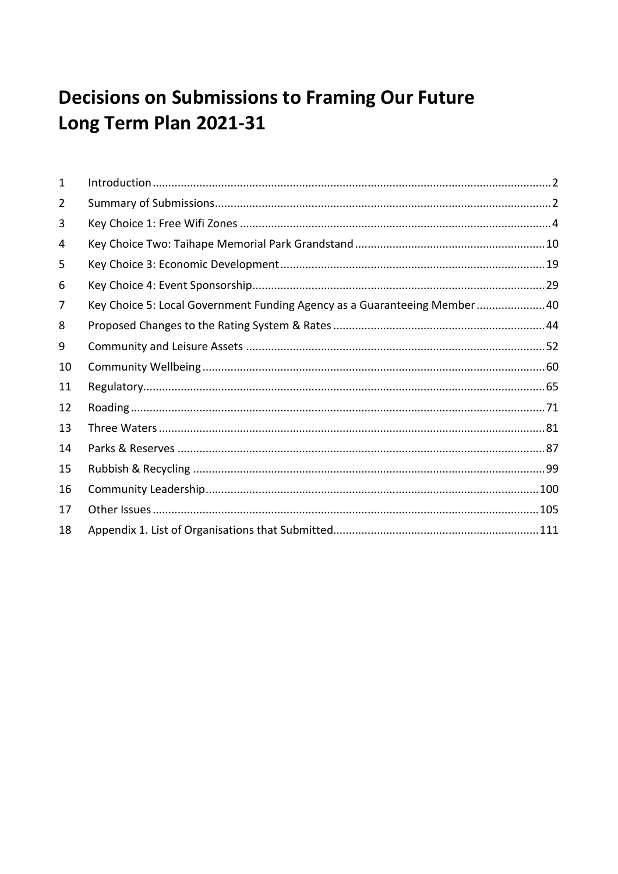# **Decisions on Submissions to Framing Our Future** Long Term Plan 2021-31

| $\mathbf{1}$ |                                                                          |  |
|--------------|--------------------------------------------------------------------------|--|
| 2            |                                                                          |  |
| 3            |                                                                          |  |
| 4            |                                                                          |  |
| 5            |                                                                          |  |
| 6            |                                                                          |  |
| 7            | Key Choice 5: Local Government Funding Agency as a Guaranteeing Member40 |  |
| 8            |                                                                          |  |
| 9            |                                                                          |  |
| 10           |                                                                          |  |
| 11           |                                                                          |  |
| 12           |                                                                          |  |
| 13           |                                                                          |  |
| 14           |                                                                          |  |
| 15           |                                                                          |  |
| 16           |                                                                          |  |
| 17           |                                                                          |  |
| 18           |                                                                          |  |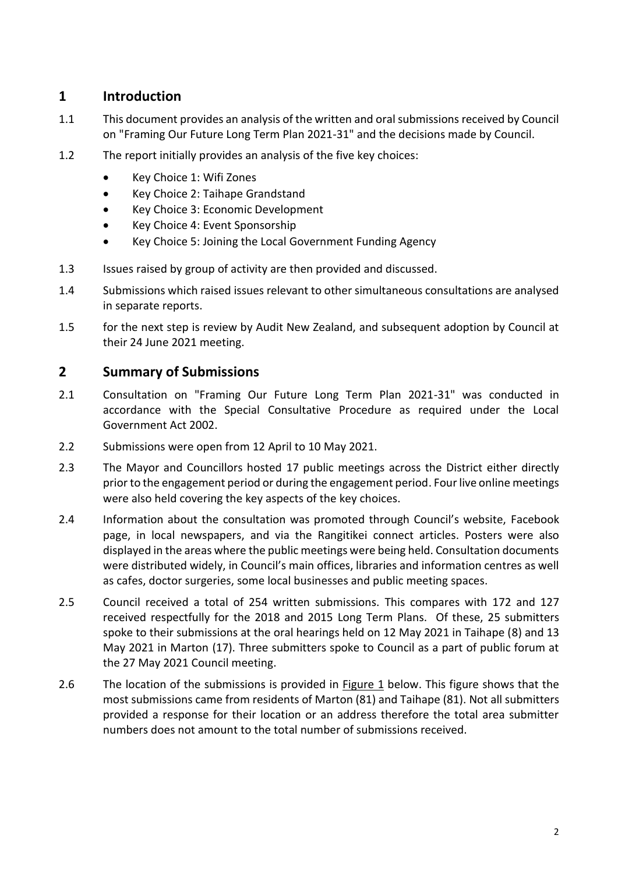### <span id="page-1-0"></span>**1 Introduction**

- 1.1 This document provides an analysis of the written and oral submissions received by Council on "Framing Our Future Long Term Plan 2021-31" and the decisions made by Council.
- 1.2 The report initially provides an analysis of the five key choices:
	- Key Choice 1: Wifi Zones
	- Key Choice 2: Taihape Grandstand
	- Key Choice 3: Economic Development
	- Key Choice 4: Event Sponsorship
	- Key Choice 5: Joining the Local Government Funding Agency
- 1.3 Issues raised by group of activity are then provided and discussed.
- 1.4 Submissions which raised issues relevant to other simultaneous consultations are analysed in separate reports.
- 1.5 for the next step is review by Audit New Zealand, and subsequent adoption by Council at their 24 June 2021 meeting.

### <span id="page-1-1"></span>**2 Summary of Submissions**

- 2.1 Consultation on "Framing Our Future Long Term Plan 2021-31" was conducted in accordance with the Special Consultative Procedure as required under the Local Government Act 2002.
- 2.2 Submissions were open from 12 April to 10 May 2021.
- 2.3 The Mayor and Councillors hosted 17 public meetings across the District either directly prior to the engagement period or during the engagement period. Four live online meetings were also held covering the key aspects of the key choices.
- 2.4 Information about the consultation was promoted through Council's website, Facebook page, in local newspapers, and via the Rangitikei connect articles. Posters were also displayed in the areas where the public meetings were being held. Consultation documents were distributed widely, in Council's main offices, libraries and information centres as well as cafes, doctor surgeries, some local businesses and public meeting spaces.
- 2.5 Council received a total of 254 written submissions. This compares with 172 and 127 received respectfully for the 2018 and 2015 Long Term Plans. Of these, 25 submitters spoke to their submissions at the oral hearings held on 12 May 2021 in Taihape (8) and 13 May 2021 in Marton (17). Three submitters spoke to Council as a part of public forum at the 27 May 2021 Council meeting.
- 2.6 The location of the submissions is provided in Figure 1 below. This figure shows that the most submissions came from residents of Marton (81) and Taihape (81). Not all submitters provided a response for their location or an address therefore the total area submitter numbers does not amount to the total number of submissions received.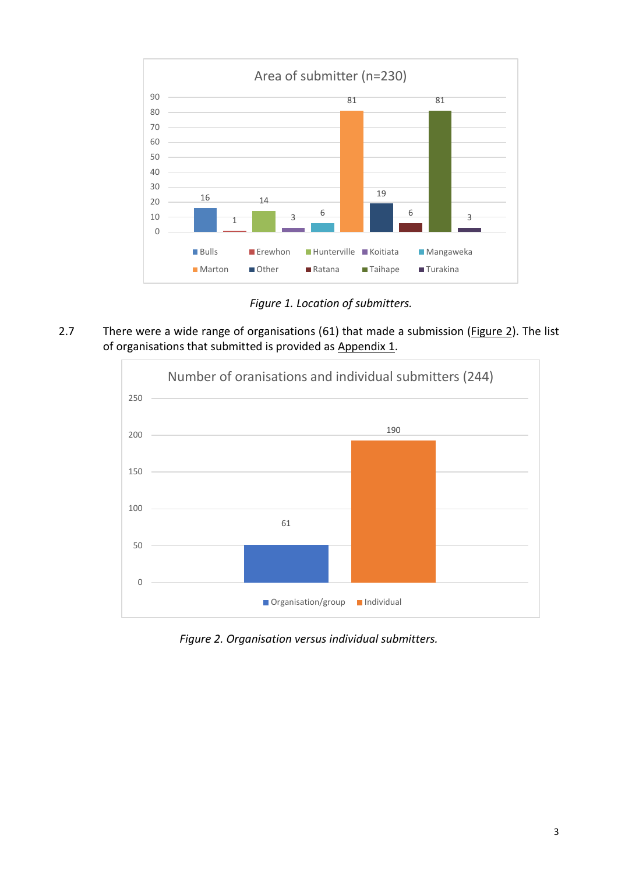

*Figure 1. Location of submitters.* 

2.7 There were a wide range of organisations (61) that made a submission (*Figure 2*). The list of organisations that submitted is provided as Appendix 1.



*Figure 2. Organisation versus individual submitters.*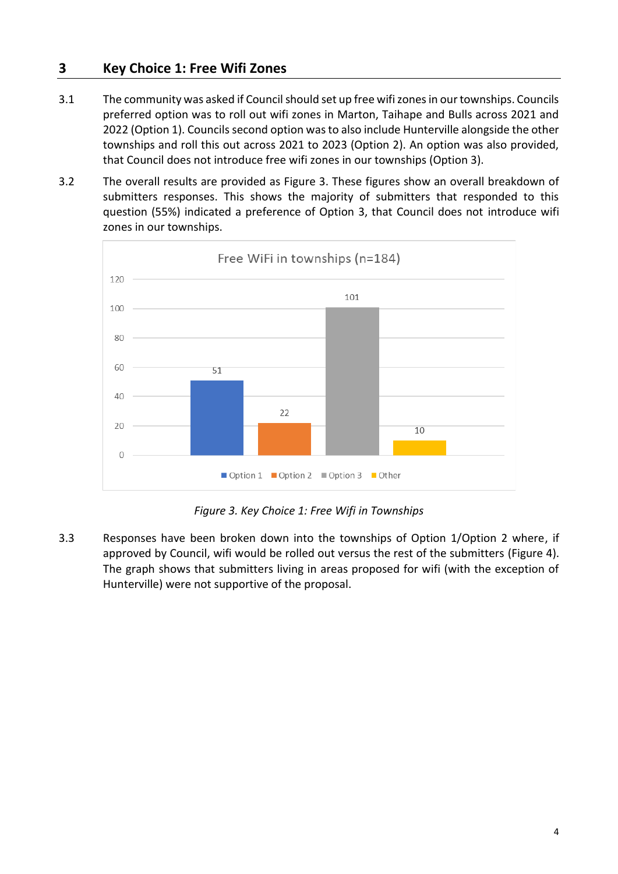### <span id="page-3-0"></span>**3 Key Choice 1: Free Wifi Zones**

- 3.1 The community was asked if Council should set up free wifi zones in our townships. Councils preferred option was to roll out wifi zones in Marton, Taihape and Bulls across 2021 and 2022 (Option 1). Councils second option was to also include Hunterville alongside the other townships and roll this out across 2021 to 2023 (Option 2). An option was also provided, that Council does not introduce free wifi zones in our townships (Option 3).
- 3.2 The overall results are provided as Figure 3. These figures show an overall breakdown of submitters responses. This shows the majority of submitters that responded to this question (55%) indicated a preference of Option 3, that Council does not introduce wifi zones in our townships.



*Figure 3. Key Choice 1: Free Wifi in Townships*

3.3 Responses have been broken down into the townships of Option 1/Option 2 where, if approved by Council, wifi would be rolled out versus the rest of the submitters (Figure 4). The graph shows that submitters living in areas proposed for wifi (with the exception of Hunterville) were not supportive of the proposal.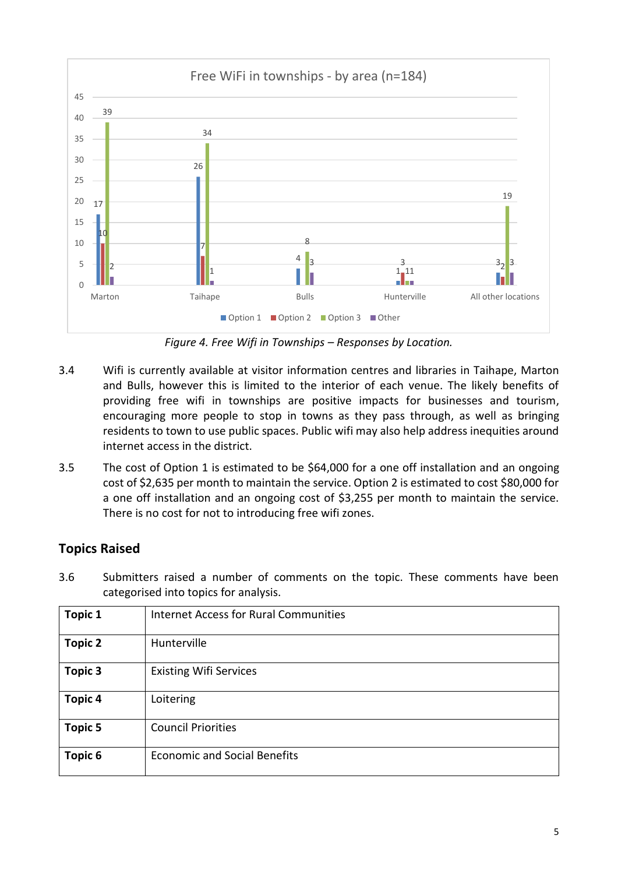

*Figure 4. Free Wifi in Townships – Responses by Location.*

- 3.4 Wifi is currently available at visitor information centres and libraries in Taihape, Marton and Bulls, however this is limited to the interior of each venue. The likely benefits of providing free wifi in townships are positive impacts for businesses and tourism, encouraging more people to stop in towns as they pass through, as well as bringing residents to town to use public spaces. Public wifi may also help address inequities around internet access in the district.
- 3.5 The cost of Option 1 is estimated to be \$64,000 for a one off installation and an ongoing cost of \$2,635 per month to maintain the service. Option 2 is estimated to cost \$80,000 for a one off installation and an ongoing cost of \$3,255 per month to maintain the service. There is no cost for not to introducing free wifi zones.

### **Topics Raised**

3.6 Submitters raised a number of comments on the topic. These comments have been categorised into topics for analysis.

| <b>Topic 1</b> | <b>Internet Access for Rural Communities</b> |
|----------------|----------------------------------------------|
| <b>Topic 2</b> | Hunterville                                  |
| <b>Topic 3</b> | <b>Existing Wifi Services</b>                |
| <b>Topic 4</b> | Loitering                                    |
| <b>Topic 5</b> | <b>Council Priorities</b>                    |
| Topic 6        | <b>Economic and Social Benefits</b>          |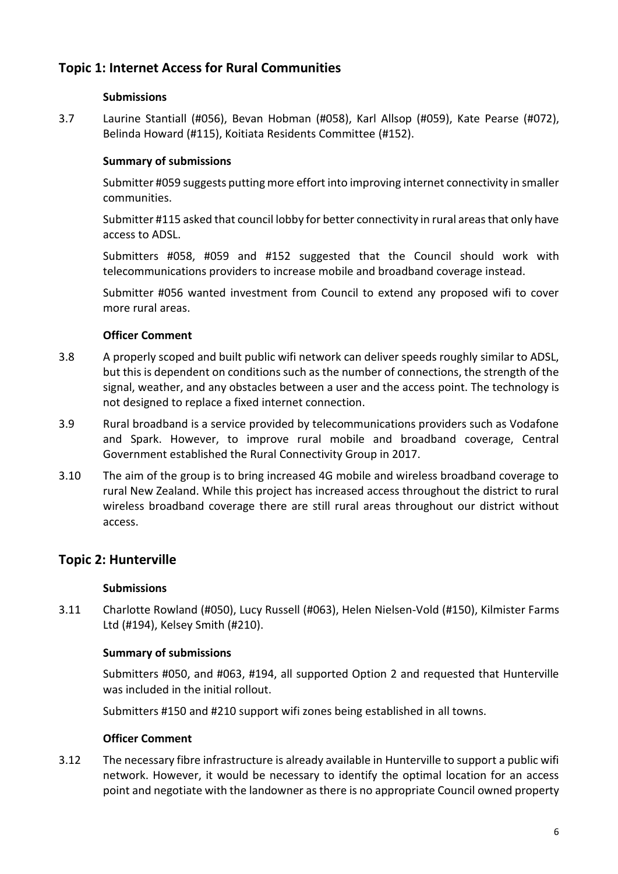### **Topic 1: Internet Access for Rural Communities**

### **Submissions**

3.7 Laurine Stantiall (#056), Bevan Hobman (#058), Karl Allsop (#059), Kate Pearse (#072), Belinda Howard (#115), Koitiata Residents Committee (#152).

### **Summary of submissions**

Submitter #059 suggests putting more effort into improving internet connectivity in smaller communities.

Submitter #115 asked that council lobby for better connectivity in rural areas that only have access to ADSL.

Submitters #058, #059 and #152 suggested that the Council should work with telecommunications providers to increase mobile and broadband coverage instead.

Submitter #056 wanted investment from Council to extend any proposed wifi to cover more rural areas.

### **Officer Comment**

- 3.8 A properly scoped and built public wifi network can deliver speeds roughly similar to ADSL, but this is dependent on conditions such as the number of connections, the strength of the signal, weather, and any obstacles between a user and the access point. The technology is not designed to replace a fixed internet connection.
- 3.9 Rural broadband is a service provided by telecommunications providers such as Vodafone and Spark. However, to improve rural mobile and broadband coverage, Central Government established the Rural Connectivity Group in 2017.
- 3.10 The aim of the group is to bring increased 4G mobile and wireless broadband coverage to rural New Zealand. While this project has increased access throughout the district to rural wireless broadband coverage there are still rural areas throughout our district without access.

### **Topic 2: Hunterville**

### **Submissions**

3.11 Charlotte Rowland (#050), Lucy Russell (#063), Helen Nielsen-Vold (#150), Kilmister Farms Ltd (#194), Kelsey Smith (#210).

### **Summary of submissions**

Submitters #050, and #063, #194, all supported Option 2 and requested that Hunterville was included in the initial rollout.

Submitters #150 and #210 support wifi zones being established in all towns.

### **Officer Comment**

3.12 The necessary fibre infrastructure is already available in Hunterville to support a public wifi network. However, it would be necessary to identify the optimal location for an access point and negotiate with the landowner as there is no appropriate Council owned property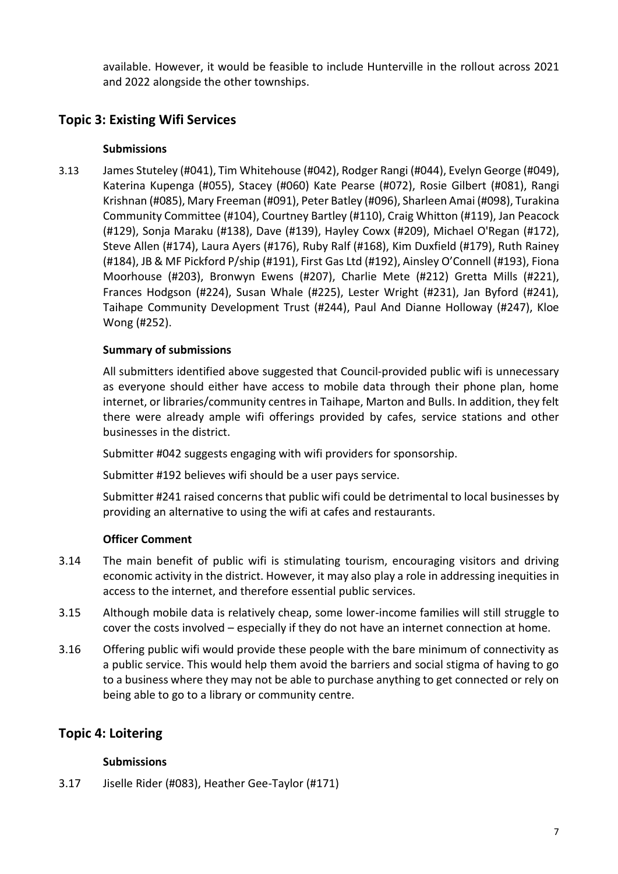available. However, it would be feasible to include Hunterville in the rollout across 2021 and 2022 alongside the other townships.

### **Topic 3: Existing Wifi Services**

### **Submissions**

3.13 James Stuteley (#041), Tim Whitehouse (#042), Rodger Rangi (#044), Evelyn George (#049), Katerina Kupenga (#055), Stacey (#060) Kate Pearse (#072), Rosie Gilbert (#081), Rangi Krishnan (#085), Mary Freeman (#091), Peter Batley (#096), Sharleen Amai (#098), Turakina Community Committee (#104), Courtney Bartley (#110), Craig Whitton (#119), Jan Peacock (#129), Sonja Maraku (#138), Dave (#139), Hayley Cowx (#209), Michael O'Regan (#172), Steve Allen (#174), Laura Ayers (#176), Ruby Ralf (#168), Kim Duxfield (#179), Ruth Rainey (#184), JB & MF Pickford P/ship (#191), First Gas Ltd (#192), Ainsley O'Connell (#193), Fiona Moorhouse (#203), Bronwyn Ewens (#207), Charlie Mete (#212) Gretta Mills (#221), Frances Hodgson (#224), Susan Whale (#225), Lester Wright (#231), Jan Byford (#241), Taihape Community Development Trust (#244), Paul And Dianne Holloway (#247), Kloe Wong (#252).

### **Summary of submissions**

All submitters identified above suggested that Council-provided public wifi is unnecessary as everyone should either have access to mobile data through their phone plan, home internet, or libraries/community centres in Taihape, Marton and Bulls. In addition, they felt there were already ample wifi offerings provided by cafes, service stations and other businesses in the district.

Submitter #042 suggests engaging with wifi providers for sponsorship.

Submitter #192 believes wifi should be a user pays service.

Submitter #241 raised concerns that public wifi could be detrimental to local businesses by providing an alternative to using the wifi at cafes and restaurants.

### **Officer Comment**

- 3.14 The main benefit of public wifi is stimulating tourism, encouraging visitors and driving economic activity in the district. However, it may also play a role in addressing inequities in access to the internet, and therefore essential public services.
- 3.15 Although mobile data is relatively cheap, some lower-income families will still struggle to cover the costs involved – especially if they do not have an internet connection at home.
- 3.16 Offering public wifi would provide these people with the bare minimum of connectivity as a public service. This would help them avoid the barriers and social stigma of having to go to a business where they may not be able to purchase anything to get connected or rely on being able to go to a library or community centre.

### **Topic 4: Loitering**

### **Submissions**

3.17 Jiselle Rider (#083), Heather Gee-Taylor (#171)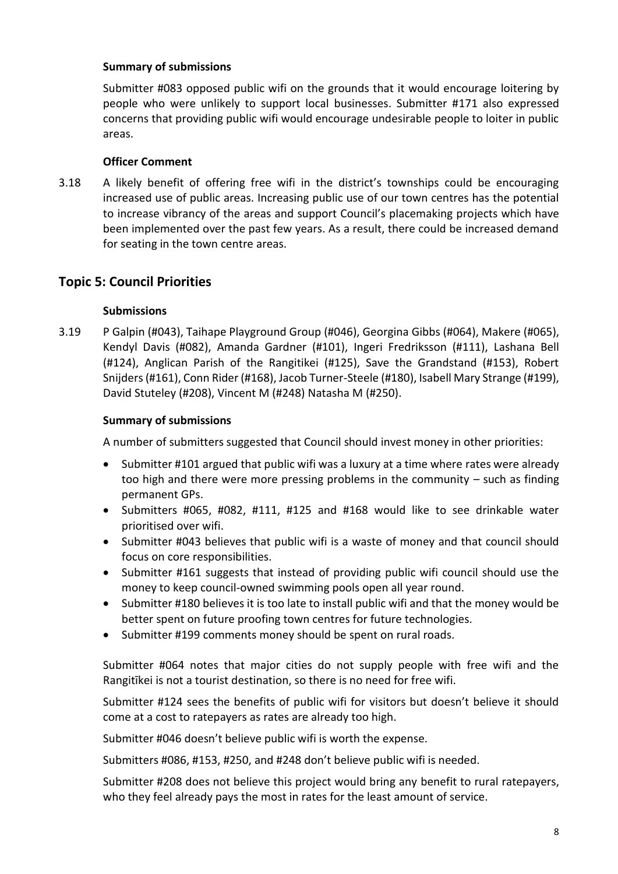### **Summary of submissions**

Submitter #083 opposed public wifi on the grounds that it would encourage loitering by people who were unlikely to support local businesses. Submitter #171 also expressed concerns that providing public wifi would encourage undesirable people to loiter in public areas.

#### **Officer Comment**

3.18 A likely benefit of offering free wifi in the district's townships could be encouraging increased use of public areas. Increasing public use of our town centres has the potential to increase vibrancy of the areas and support Council's placemaking projects which have been implemented over the past few years. As a result, there could be increased demand for seating in the town centre areas.

### **Topic 5: Council Priorities**

#### **Submissions**

3.19 P Galpin (#043), Taihape Playground Group (#046), Georgina Gibbs (#064), Makere (#065), Kendyl Davis (#082), Amanda Gardner (#101), Ingeri Fredriksson (#111), Lashana Bell (#124), Anglican Parish of the Rangitikei (#125), Save the Grandstand (#153), Robert Snijders (#161), Conn Rider (#168), Jacob Turner-Steele (#180), Isabell Mary Strange (#199), David Stuteley (#208), Vincent M (#248) Natasha M (#250).

#### **Summary of submissions**

A number of submitters suggested that Council should invest money in other priorities:

- Submitter #101 argued that public wifi was a luxury at a time where rates were already too high and there were more pressing problems in the community – such as finding permanent GPs.
- Submitters #065, #082, #111, #125 and #168 would like to see drinkable water prioritised over wifi.
- Submitter #043 believes that public wifi is a waste of money and that council should focus on core responsibilities.
- Submitter #161 suggests that instead of providing public wifi council should use the money to keep council-owned swimming pools open all year round.
- Submitter #180 believes it is too late to install public wifi and that the money would be better spent on future proofing town centres for future technologies.
- Submitter #199 comments money should be spent on rural roads.

Submitter #064 notes that major cities do not supply people with free wifi and the Rangitīkei is not a tourist destination, so there is no need for free wifi.

Submitter #124 sees the benefits of public wifi for visitors but doesn't believe it should come at a cost to ratepayers as rates are already too high.

Submitter #046 doesn't believe public wifi is worth the expense.

Submitters #086, #153, #250, and #248 don't believe public wifi is needed.

Submitter #208 does not believe this project would bring any benefit to rural ratepayers, who they feel already pays the most in rates for the least amount of service.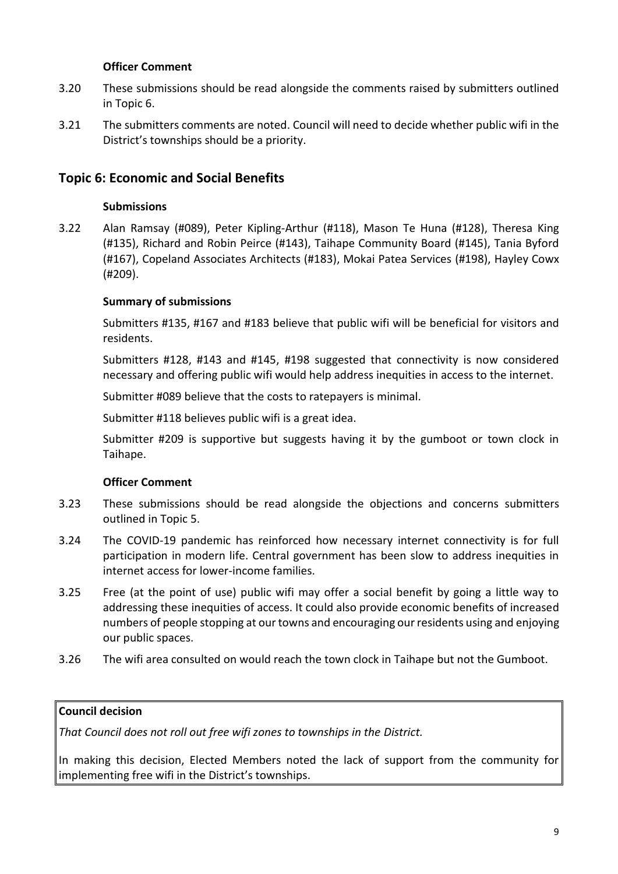#### **Officer Comment**

- 3.20 These submissions should be read alongside the comments raised by submitters outlined in Topic 6.
- 3.21 The submitters comments are noted. Council will need to decide whether public wifi in the District's townships should be a priority.

### **Topic 6: Economic and Social Benefits**

#### **Submissions**

3.22 Alan Ramsay (#089), Peter Kipling-Arthur (#118), Mason Te Huna (#128), Theresa King (#135), Richard and Robin Peirce (#143), Taihape Community Board (#145), Tania Byford (#167), Copeland Associates Architects (#183), Mokai Patea Services (#198), Hayley Cowx (#209).

#### **Summary of submissions**

Submitters #135, #167 and #183 believe that public wifi will be beneficial for visitors and residents.

Submitters #128, #143 and #145, #198 suggested that connectivity is now considered necessary and offering public wifi would help address inequities in access to the internet.

Submitter #089 believe that the costs to ratepayers is minimal.

Submitter #118 believes public wifi is a great idea.

Submitter #209 is supportive but suggests having it by the gumboot or town clock in Taihape.

#### **Officer Comment**

- 3.23 These submissions should be read alongside the objections and concerns submitters outlined in Topic 5.
- 3.24 The COVID-19 pandemic has reinforced how necessary internet connectivity is for full participation in modern life. Central government has been slow to address inequities in internet access for lower-income families.
- 3.25 Free (at the point of use) public wifi may offer a social benefit by going a little way to addressing these inequities of access. It could also provide economic benefits of increased numbers of people stopping at our towns and encouraging our residents using and enjoying our public spaces.
- 3.26 The wifi area consulted on would reach the town clock in Taihape but not the Gumboot.

### **Council decision**

*That Council does not roll out free wifi zones to townships in the District.* 

In making this decision, Elected Members noted the lack of support from the community for implementing free wifi in the District's townships.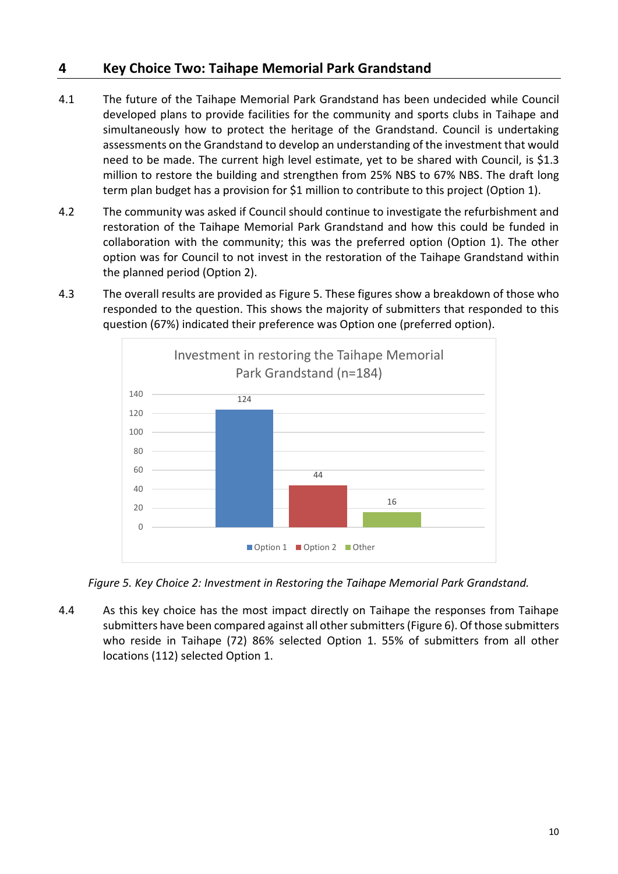### <span id="page-9-0"></span>**4 Key Choice Two: Taihape Memorial Park Grandstand**

- 4.1 The future of the Taihape Memorial Park Grandstand has been undecided while Council developed plans to provide facilities for the community and sports clubs in Taihape and simultaneously how to protect the heritage of the Grandstand. Council is undertaking assessments on the Grandstand to develop an understanding of the investment that would need to be made. The current high level estimate, yet to be shared with Council, is \$1.3 million to restore the building and strengthen from 25% NBS to 67% NBS. The draft long term plan budget has a provision for \$1 million to contribute to this project (Option 1).
- 4.2 The community was asked if Council should continue to investigate the refurbishment and restoration of the Taihape Memorial Park Grandstand and how this could be funded in collaboration with the community; this was the preferred option (Option 1). The other option was for Council to not invest in the restoration of the Taihape Grandstand within the planned period (Option 2).
- 4.3 The overall results are provided as Figure 5. These figures show a breakdown of those who responded to the question. This shows the majority of submitters that responded to this question (67%) indicated their preference was Option one (preferred option).



*Figure 5. Key Choice 2: Investment in Restoring the Taihape Memorial Park Grandstand.*

4.4 As this key choice has the most impact directly on Taihape the responses from Taihape submitters have been compared against all other submitters (Figure 6). Of those submitters who reside in Taihape (72) 86% selected Option 1. 55% of submitters from all other locations (112) selected Option 1.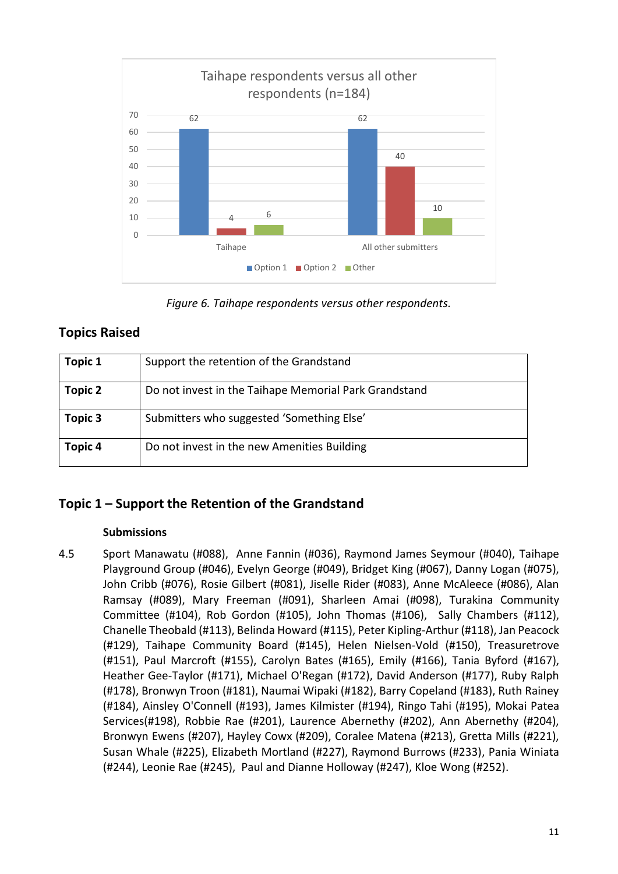

*Figure 6. Taihape respondents versus other respondents.*

### **Topics Raised**

| Topic 1 | Support the retention of the Grandstand               |
|---------|-------------------------------------------------------|
| Topic 2 | Do not invest in the Taihape Memorial Park Grandstand |
| Topic 3 | Submitters who suggested 'Something Else'             |
| Topic 4 | Do not invest in the new Amenities Building           |

### **Topic 1 – Support the Retention of the Grandstand**

### **Submissions**

4.5 Sport Manawatu (#088), Anne Fannin (#036), Raymond James Seymour (#040), Taihape Playground Group (#046), Evelyn George (#049), Bridget King (#067), Danny Logan (#075), John Cribb (#076), Rosie Gilbert (#081), Jiselle Rider (#083), Anne McAleece (#086), Alan Ramsay (#089), Mary Freeman (#091), Sharleen Amai (#098), Turakina Community Committee (#104), Rob Gordon (#105), John Thomas (#106), Sally Chambers (#112), Chanelle Theobald (#113), Belinda Howard (#115), Peter Kipling-Arthur (#118), Jan Peacock (#129), Taihape Community Board (#145), Helen Nielsen-Vold (#150), Treasuretrove (#151), Paul Marcroft (#155), Carolyn Bates (#165), Emily (#166), Tania Byford (#167), Heather Gee-Taylor (#171), Michael O'Regan (#172), David Anderson (#177), Ruby Ralph (#178), Bronwyn Troon (#181), Naumai Wipaki (#182), Barry Copeland (#183), Ruth Rainey (#184), Ainsley O'Connell (#193), James Kilmister (#194), Ringo Tahi (#195), Mokai Patea Services(#198), Robbie Rae (#201), Laurence Abernethy (#202), Ann Abernethy (#204), Bronwyn Ewens (#207), Hayley Cowx (#209), Coralee Matena (#213), Gretta Mills (#221), Susan Whale (#225), Elizabeth Mortland (#227), Raymond Burrows (#233), Pania Winiata (#244), Leonie Rae (#245), Paul and Dianne Holloway (#247), Kloe Wong (#252).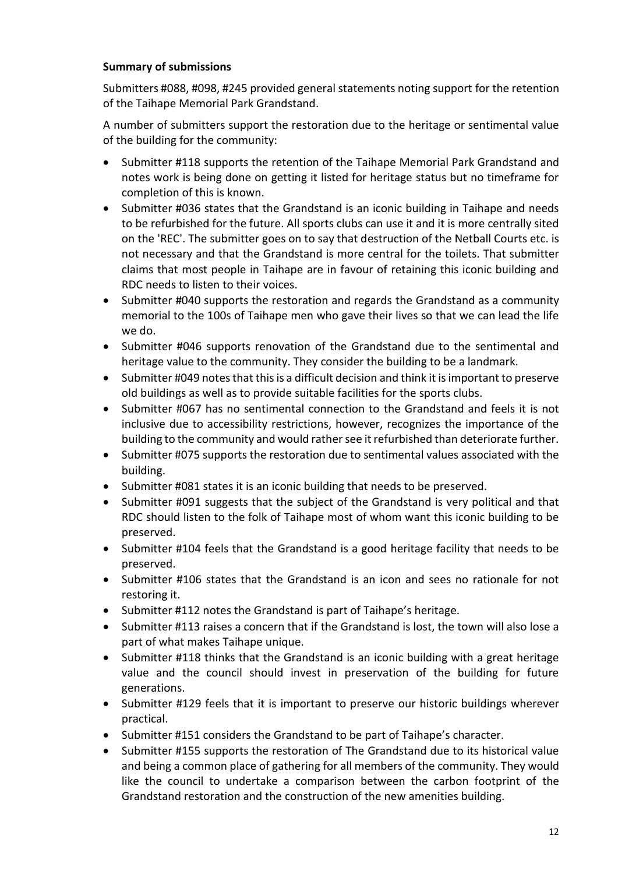### **Summary of submissions**

Submitters #088, #098, #245 provided general statements noting support for the retention of the Taihape Memorial Park Grandstand.

A number of submitters support the restoration due to the heritage or sentimental value of the building for the community:

- Submitter #118 supports the retention of the Taihape Memorial Park Grandstand and notes work is being done on getting it listed for heritage status but no timeframe for completion of this is known.
- Submitter #036 states that the Grandstand is an iconic building in Taihape and needs to be refurbished for the future. All sports clubs can use it and it is more centrally sited on the 'REC'. The submitter goes on to say that destruction of the Netball Courts etc. is not necessary and that the Grandstand is more central for the toilets. That submitter claims that most people in Taihape are in favour of retaining this iconic building and RDC needs to listen to their voices.
- Submitter #040 supports the restoration and regards the Grandstand as a community memorial to the 100s of Taihape men who gave their lives so that we can lead the life we do.
- Submitter #046 supports renovation of the Grandstand due to the sentimental and heritage value to the community. They consider the building to be a landmark.
- Submitter #049 notes that this is a difficult decision and think it is important to preserve old buildings as well as to provide suitable facilities for the sports clubs.
- Submitter #067 has no sentimental connection to the Grandstand and feels it is not inclusive due to accessibility restrictions, however, recognizes the importance of the building to the community and would rather see it refurbished than deteriorate further.
- Submitter #075 supports the restoration due to sentimental values associated with the building.
- Submitter #081 states it is an iconic building that needs to be preserved.
- Submitter #091 suggests that the subject of the Grandstand is very political and that RDC should listen to the folk of Taihape most of whom want this iconic building to be preserved.
- Submitter #104 feels that the Grandstand is a good heritage facility that needs to be preserved.
- Submitter #106 states that the Grandstand is an icon and sees no rationale for not restoring it.
- Submitter #112 notes the Grandstand is part of Taihape's heritage.
- Submitter #113 raises a concern that if the Grandstand is lost, the town will also lose a part of what makes Taihape unique.
- Submitter #118 thinks that the Grandstand is an iconic building with a great heritage value and the council should invest in preservation of the building for future generations.
- Submitter #129 feels that it is important to preserve our historic buildings wherever practical.
- Submitter #151 considers the Grandstand to be part of Taihape's character.
- Submitter #155 supports the restoration of The Grandstand due to its historical value and being a common place of gathering for all members of the community. They would like the council to undertake a comparison between the carbon footprint of the Grandstand restoration and the construction of the new amenities building.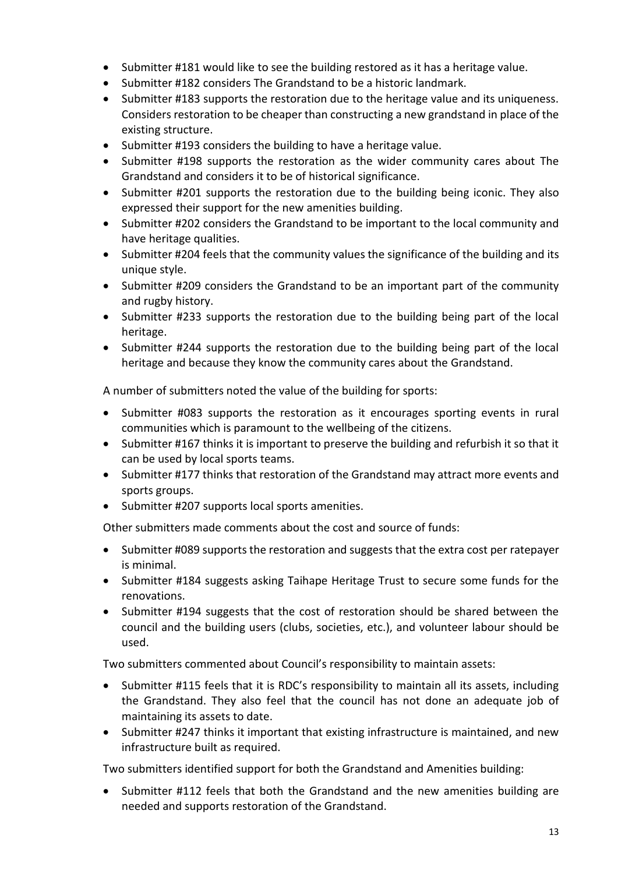- Submitter #181 would like to see the building restored as it has a heritage value.
- Submitter #182 considers The Grandstand to be a historic landmark.
- Submitter #183 supports the restoration due to the heritage value and its uniqueness. Considers restoration to be cheaper than constructing a new grandstand in place of the existing structure.
- Submitter #193 considers the building to have a heritage value.
- Submitter #198 supports the restoration as the wider community cares about The Grandstand and considers it to be of historical significance.
- Submitter #201 supports the restoration due to the building being iconic. They also expressed their support for the new amenities building.
- Submitter #202 considers the Grandstand to be important to the local community and have heritage qualities.
- Submitter #204 feels that the community values the significance of the building and its unique style.
- Submitter #209 considers the Grandstand to be an important part of the community and rugby history.
- Submitter #233 supports the restoration due to the building being part of the local heritage.
- Submitter #244 supports the restoration due to the building being part of the local heritage and because they know the community cares about the Grandstand.

A number of submitters noted the value of the building for sports:

- Submitter #083 supports the restoration as it encourages sporting events in rural communities which is paramount to the wellbeing of the citizens.
- Submitter #167 thinks it is important to preserve the building and refurbish it so that it can be used by local sports teams.
- Submitter #177 thinks that restoration of the Grandstand may attract more events and sports groups.
- Submitter #207 supports local sports amenities.

Other submitters made comments about the cost and source of funds:

- Submitter #089 supports the restoration and suggests that the extra cost per ratepayer is minimal.
- Submitter #184 suggests asking Taihape Heritage Trust to secure some funds for the renovations.
- Submitter #194 suggests that the cost of restoration should be shared between the council and the building users (clubs, societies, etc.), and volunteer labour should be used.

Two submitters commented about Council's responsibility to maintain assets:

- Submitter #115 feels that it is RDC's responsibility to maintain all its assets, including the Grandstand. They also feel that the council has not done an adequate job of maintaining its assets to date.
- Submitter #247 thinks it important that existing infrastructure is maintained, and new infrastructure built as required.

Two submitters identified support for both the Grandstand and Amenities building:

• Submitter #112 feels that both the Grandstand and the new amenities building are needed and supports restoration of the Grandstand.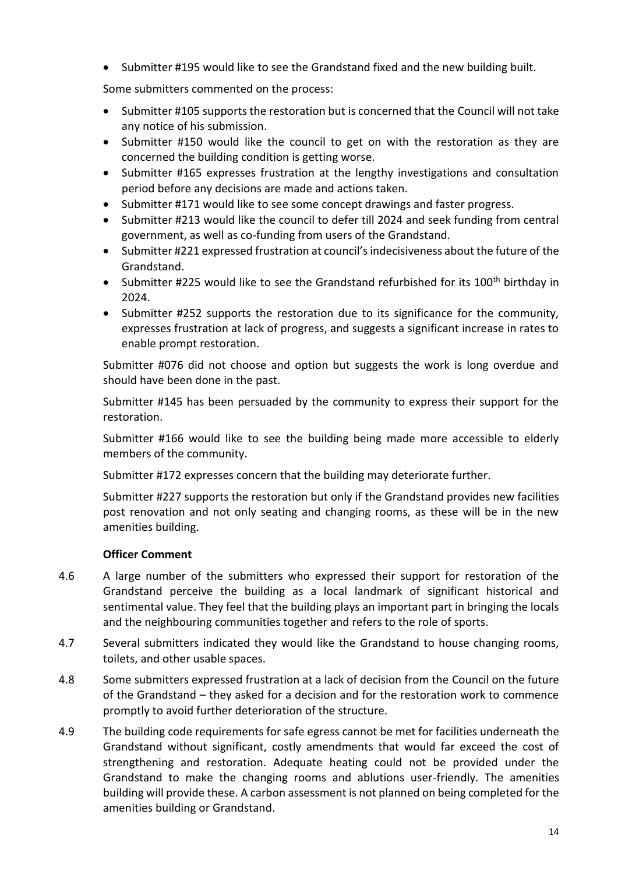• Submitter #195 would like to see the Grandstand fixed and the new building built.

Some submitters commented on the process:

- Submitter #105 supports the restoration but is concerned that the Council will not take any notice of his submission.
- Submitter #150 would like the council to get on with the restoration as they are concerned the building condition is getting worse.
- Submitter #165 expresses frustration at the lengthy investigations and consultation period before any decisions are made and actions taken.
- Submitter #171 would like to see some concept drawings and faster progress.
- Submitter #213 would like the council to defer till 2024 and seek funding from central government, as well as co-funding from users of the Grandstand.
- Submitter #221 expressed frustration at council's indecisiveness about the future of the Grandstand.
- Submitter #225 would like to see the Grandstand refurbished for its 100<sup>th</sup> birthday in 2024.
- Submitter #252 supports the restoration due to its significance for the community, expresses frustration at lack of progress, and suggests a significant increase in rates to enable prompt restoration.

Submitter #076 did not choose and option but suggests the work is long overdue and should have been done in the past.

Submitter #145 has been persuaded by the community to express their support for the restoration.

Submitter #166 would like to see the building being made more accessible to elderly members of the community.

Submitter #172 expresses concern that the building may deteriorate further.

Submitter #227 supports the restoration but only if the Grandstand provides new facilities post renovation and not only seating and changing rooms, as these will be in the new amenities building.

### **Officer Comment**

- 4.6 A large number of the submitters who expressed their support for restoration of the Grandstand perceive the building as a local landmark of significant historical and sentimental value. They feel that the building plays an important part in bringing the locals and the neighbouring communities together and refers to the role of sports.
- 4.7 Several submitters indicated they would like the Grandstand to house changing rooms, toilets, and other usable spaces.
- 4.8 Some submitters expressed frustration at a lack of decision from the Council on the future of the Grandstand – they asked for a decision and for the restoration work to commence promptly to avoid further deterioration of the structure.
- 4.9 The building code requirements for safe egress cannot be met for facilities underneath the Grandstand without significant, costly amendments that would far exceed the cost of strengthening and restoration. Adequate heating could not be provided under the Grandstand to make the changing rooms and ablutions user-friendly. The amenities building will provide these. A carbon assessment is not planned on being completed for the amenities building or Grandstand.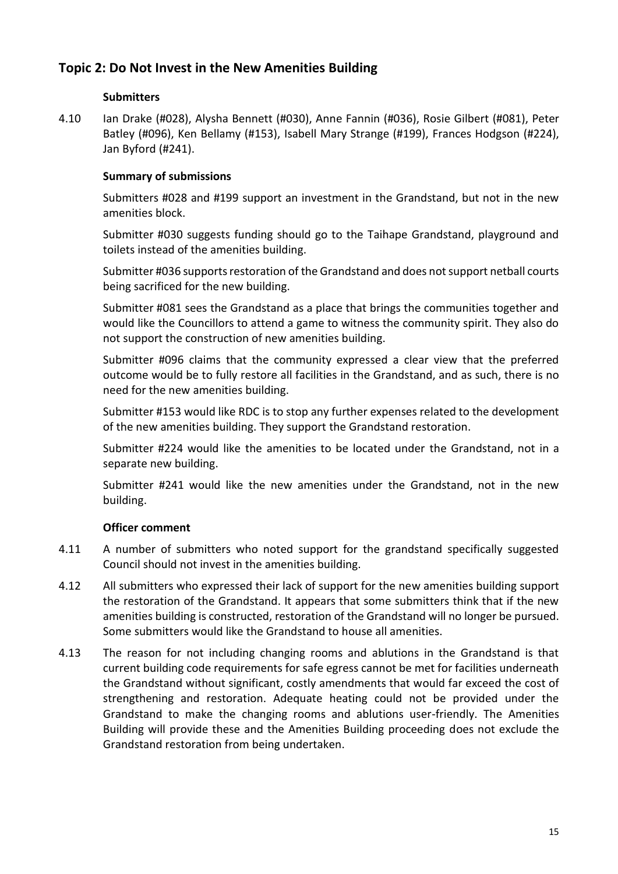### **Topic 2: Do Not Invest in the New Amenities Building**

### **Submitters**

4.10 Ian Drake (#028), Alysha Bennett (#030), Anne Fannin (#036), Rosie Gilbert (#081), Peter Batley (#096), Ken Bellamy (#153), Isabell Mary Strange (#199), Frances Hodgson (#224), Jan Byford (#241).

### **Summary of submissions**

Submitters #028 and #199 support an investment in the Grandstand, but not in the new amenities block.

Submitter #030 suggests funding should go to the Taihape Grandstand, playground and toilets instead of the amenities building.

Submitter #036 supports restoration of the Grandstand and does not support netball courts being sacrificed for the new building.

Submitter #081 sees the Grandstand as a place that brings the communities together and would like the Councillors to attend a game to witness the community spirit. They also do not support the construction of new amenities building.

Submitter #096 claims that the community expressed a clear view that the preferred outcome would be to fully restore all facilities in the Grandstand, and as such, there is no need for the new amenities building.

Submitter #153 would like RDC is to stop any further expenses related to the development of the new amenities building. They support the Grandstand restoration.

Submitter #224 would like the amenities to be located under the Grandstand, not in a separate new building.

Submitter #241 would like the new amenities under the Grandstand, not in the new building.

#### **Officer comment**

- 4.11 A number of submitters who noted support for the grandstand specifically suggested Council should not invest in the amenities building.
- 4.12 All submitters who expressed their lack of support for the new amenities building support the restoration of the Grandstand. It appears that some submitters think that if the new amenities building is constructed, restoration of the Grandstand will no longer be pursued. Some submitters would like the Grandstand to house all amenities.
- 4.13 The reason for not including changing rooms and ablutions in the Grandstand is that current building code requirements for safe egress cannot be met for facilities underneath the Grandstand without significant, costly amendments that would far exceed the cost of strengthening and restoration. Adequate heating could not be provided under the Grandstand to make the changing rooms and ablutions user-friendly. The Amenities Building will provide these and the Amenities Building proceeding does not exclude the Grandstand restoration from being undertaken.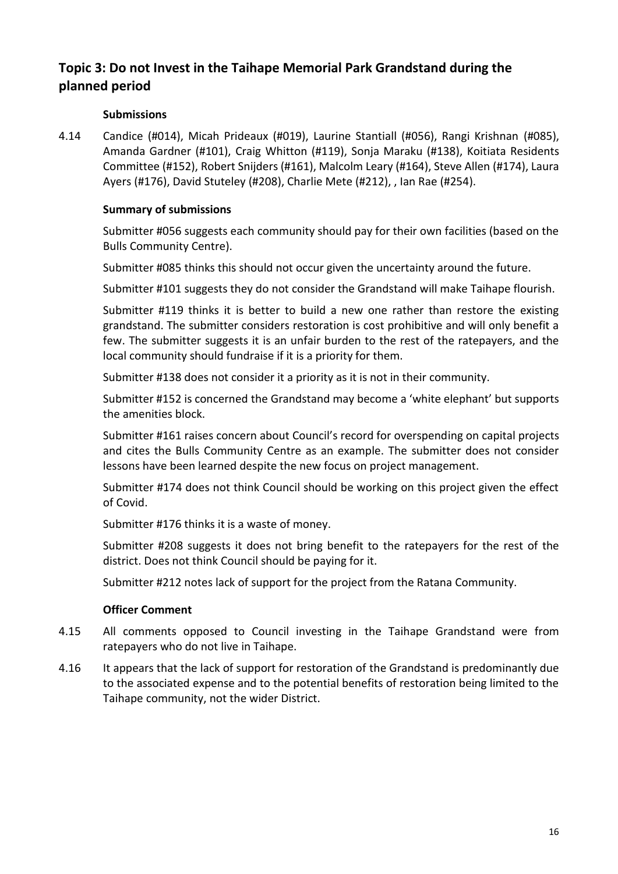### **Topic 3: Do not Invest in the Taihape Memorial Park Grandstand during the planned period**

#### **Submissions**

4.14 Candice (#014), Micah Prideaux (#019), Laurine Stantiall (#056), Rangi Krishnan (#085), Amanda Gardner (#101), Craig Whitton (#119), Sonja Maraku (#138), Koitiata Residents Committee (#152), Robert Snijders (#161), Malcolm Leary (#164), Steve Allen (#174), Laura Ayers (#176), David Stuteley (#208), Charlie Mete (#212), , Ian Rae (#254).

#### **Summary of submissions**

Submitter #056 suggests each community should pay for their own facilities (based on the Bulls Community Centre).

Submitter #085 thinks this should not occur given the uncertainty around the future.

Submitter #101 suggests they do not consider the Grandstand will make Taihape flourish.

Submitter #119 thinks it is better to build a new one rather than restore the existing grandstand. The submitter considers restoration is cost prohibitive and will only benefit a few. The submitter suggests it is an unfair burden to the rest of the ratepayers, and the local community should fundraise if it is a priority for them.

Submitter #138 does not consider it a priority as it is not in their community.

Submitter #152 is concerned the Grandstand may become a 'white elephant' but supports the amenities block.

Submitter #161 raises concern about Council's record for overspending on capital projects and cites the Bulls Community Centre as an example. The submitter does not consider lessons have been learned despite the new focus on project management.

Submitter #174 does not think Council should be working on this project given the effect of Covid.

Submitter #176 thinks it is a waste of money.

Submitter #208 suggests it does not bring benefit to the ratepayers for the rest of the district. Does not think Council should be paying for it.

Submitter #212 notes lack of support for the project from the Ratana Community.

#### **Officer Comment**

- 4.15 All comments opposed to Council investing in the Taihape Grandstand were from ratepayers who do not live in Taihape.
- 4.16 It appears that the lack of support for restoration of the Grandstand is predominantly due to the associated expense and to the potential benefits of restoration being limited to the Taihape community, not the wider District.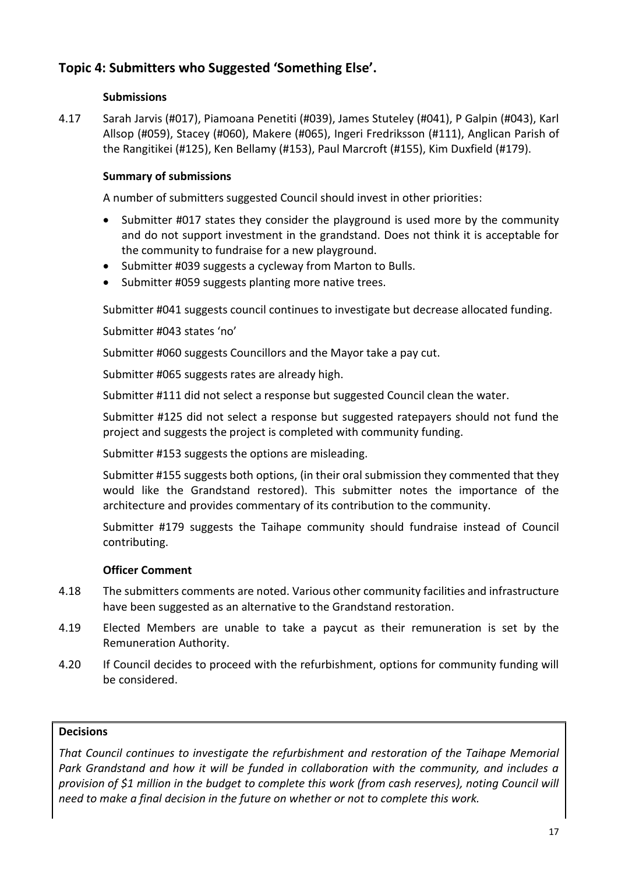### **Topic 4: Submitters who Suggested 'Something Else'.**

### **Submissions**

4.17 Sarah Jarvis (#017), Piamoana Penetiti (#039), James Stuteley (#041), P Galpin (#043), Karl Allsop (#059), Stacey (#060), Makere (#065), Ingeri Fredriksson (#111), Anglican Parish of the Rangitikei (#125), Ken Bellamy (#153), Paul Marcroft (#155), Kim Duxfield (#179).

### **Summary of submissions**

A number of submitters suggested Council should invest in other priorities:

- Submitter #017 states they consider the playground is used more by the community and do not support investment in the grandstand. Does not think it is acceptable for the community to fundraise for a new playground.
- Submitter #039 suggests a cycleway from Marton to Bulls.
- Submitter #059 suggests planting more native trees.

Submitter #041 suggests council continues to investigate but decrease allocated funding.

Submitter #043 states 'no'

Submitter #060 suggests Councillors and the Mayor take a pay cut.

Submitter #065 suggests rates are already high.

Submitter #111 did not select a response but suggested Council clean the water.

Submitter #125 did not select a response but suggested ratepayers should not fund the project and suggests the project is completed with community funding.

Submitter #153 suggests the options are misleading.

Submitter #155 suggests both options, (in their oral submission they commented that they would like the Grandstand restored). This submitter notes the importance of the architecture and provides commentary of its contribution to the community.

Submitter #179 suggests the Taihape community should fundraise instead of Council contributing.

### **Officer Comment**

- 4.18 The submitters comments are noted. Various other community facilities and infrastructure have been suggested as an alternative to the Grandstand restoration.
- 4.19 Elected Members are unable to take a paycut as their remuneration is set by the Remuneration Authority.
- 4.20 If Council decides to proceed with the refurbishment, options for community funding will be considered.

### **Decisions**

*That Council continues to investigate the refurbishment and restoration of the Taihape Memorial Park Grandstand and how it will be funded in collaboration with the community, and includes a provision of \$1 million in the budget to complete this work (from cash reserves), noting Council will need to make a final decision in the future on whether or not to complete this work.*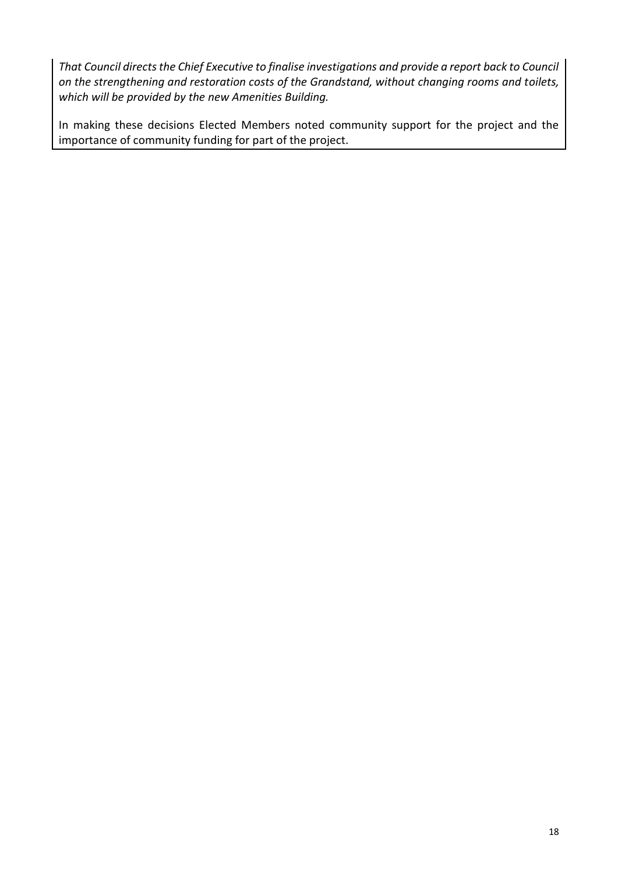*That Council directs the Chief Executive to finalise investigations and provide a report back to Council on the strengthening and restoration costs of the Grandstand, without changing rooms and toilets, which will be provided by the new Amenities Building.*

In making these decisions Elected Members noted community support for the project and the importance of community funding for part of the project.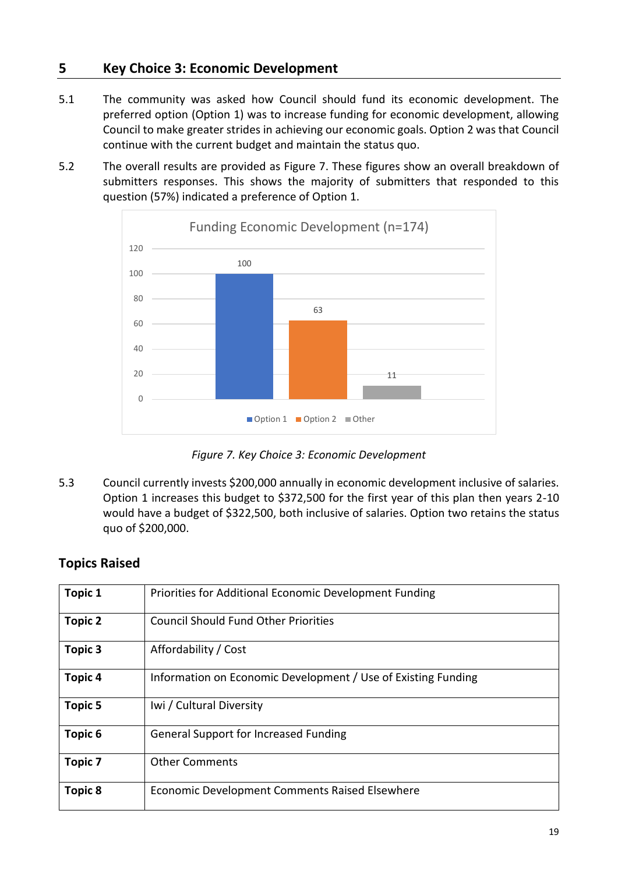### <span id="page-18-0"></span>**5 Key Choice 3: Economic Development**

- 5.1 The community was asked how Council should fund its economic development. The preferred option (Option 1) was to increase funding for economic development, allowing Council to make greater strides in achieving our economic goals. Option 2 was that Council continue with the current budget and maintain the status quo.
- 5.2 The overall results are provided as Figure 7. These figures show an overall breakdown of submitters responses. This shows the majority of submitters that responded to this question (57%) indicated a preference of Option 1.



*Figure 7. Key Choice 3: Economic Development*

5.3 Council currently invests \$200,000 annually in economic development inclusive of salaries. Option 1 increases this budget to \$372,500 for the first year of this plan then years 2-10 would have a budget of \$322,500, both inclusive of salaries. Option two retains the status quo of \$200,000.

### **Topics Raised**

| <b>Topic 1</b>     | Priorities for Additional Economic Development Funding        |
|--------------------|---------------------------------------------------------------|
| <b>Topic 2</b>     | <b>Council Should Fund Other Priorities</b>                   |
| <b>Topic 3</b>     | Affordability / Cost                                          |
| <b>Topic 4</b>     | Information on Economic Development / Use of Existing Funding |
| <b>Topic 5</b>     | Iwi / Cultural Diversity                                      |
| Topic <sub>6</sub> | <b>General Support for Increased Funding</b>                  |
| <b>Topic 7</b>     | <b>Other Comments</b>                                         |
| <b>Topic 8</b>     | Economic Development Comments Raised Elsewhere                |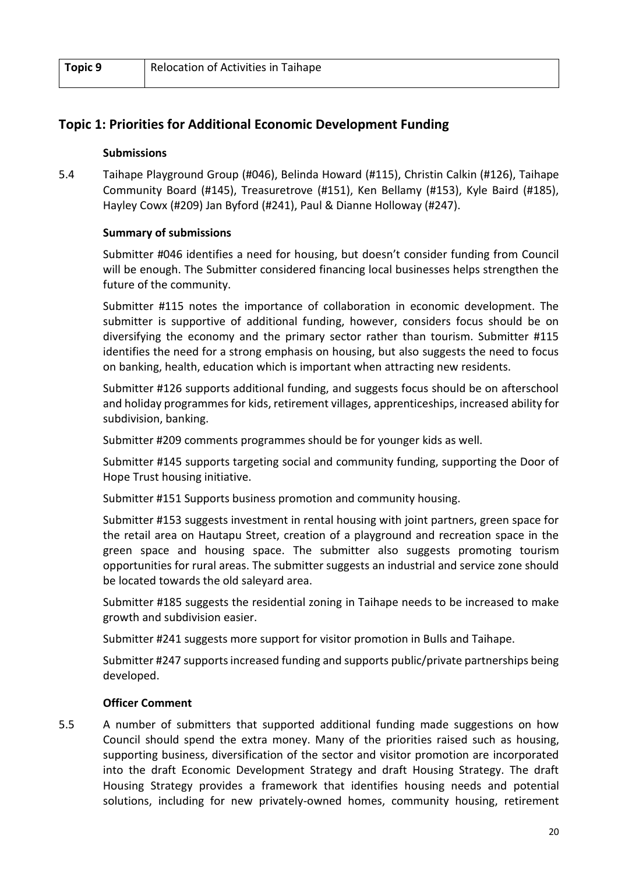| Topic 9 | Relocation of Activities in Taihape |
|---------|-------------------------------------|
|         |                                     |

### **Topic 1: Priorities for Additional Economic Development Funding**

#### **Submissions**

5.4 Taihape Playground Group (#046), Belinda Howard (#115), Christin Calkin (#126), Taihape Community Board (#145), Treasuretrove (#151), Ken Bellamy (#153), Kyle Baird (#185), Hayley Cowx (#209) Jan Byford (#241), Paul & Dianne Holloway (#247).

#### **Summary of submissions**

Submitter #046 identifies a need for housing, but doesn't consider funding from Council will be enough. The Submitter considered financing local businesses helps strengthen the future of the community.

Submitter #115 notes the importance of collaboration in economic development. The submitter is supportive of additional funding, however, considers focus should be on diversifying the economy and the primary sector rather than tourism. Submitter #115 identifies the need for a strong emphasis on housing, but also suggests the need to focus on banking, health, education which is important when attracting new residents.

Submitter #126 supports additional funding, and suggests focus should be on afterschool and holiday programmes for kids, retirement villages, apprenticeships, increased ability for subdivision, banking.

Submitter #209 comments programmes should be for younger kids as well.

Submitter #145 supports targeting social and community funding, supporting the Door of Hope Trust housing initiative.

Submitter #151 Supports business promotion and community housing.

Submitter #153 suggests investment in rental housing with joint partners, green space for the retail area on Hautapu Street, creation of a playground and recreation space in the green space and housing space. The submitter also suggests promoting tourism opportunities for rural areas. The submitter suggests an industrial and service zone should be located towards the old saleyard area.

Submitter #185 suggests the residential zoning in Taihape needs to be increased to make growth and subdivision easier.

Submitter #241 suggests more support for visitor promotion in Bulls and Taihape.

Submitter #247 supports increased funding and supports public/private partnerships being developed.

### **Officer Comment**

5.5 A number of submitters that supported additional funding made suggestions on how Council should spend the extra money. Many of the priorities raised such as housing, supporting business, diversification of the sector and visitor promotion are incorporated into the draft Economic Development Strategy and draft Housing Strategy. The draft Housing Strategy provides a framework that identifies housing needs and potential solutions, including for new privately-owned homes, community housing, retirement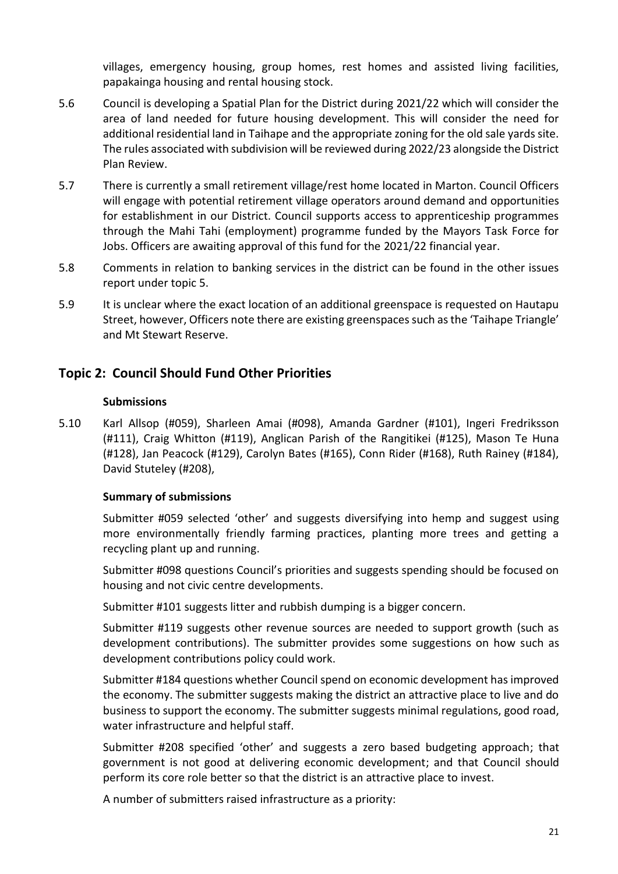villages, emergency housing, group homes, rest homes and assisted living facilities, papakainga housing and rental housing stock.

- 5.6 Council is developing a Spatial Plan for the District during 2021/22 which will consider the area of land needed for future housing development. This will consider the need for additional residential land in Taihape and the appropriate zoning for the old sale yards site. The rules associated with subdivision will be reviewed during 2022/23 alongside the District Plan Review.
- 5.7 There is currently a small retirement village/rest home located in Marton. Council Officers will engage with potential retirement village operators around demand and opportunities for establishment in our District. Council supports access to apprenticeship programmes through the Mahi Tahi (employment) programme funded by the Mayors Task Force for Jobs. Officers are awaiting approval of this fund for the 2021/22 financial year.
- 5.8 Comments in relation to banking services in the district can be found in the other issues report under topic 5.
- 5.9 It is unclear where the exact location of an additional greenspace is requested on Hautapu Street, however, Officers note there are existing greenspaces such as the 'Taihape Triangle' and Mt Stewart Reserve.

### **Topic 2: Council Should Fund Other Priorities**

#### **Submissions**

5.10 Karl Allsop (#059), Sharleen Amai (#098), Amanda Gardner (#101), Ingeri Fredriksson (#111), Craig Whitton (#119), Anglican Parish of the Rangitikei (#125), Mason Te Huna (#128), Jan Peacock (#129), Carolyn Bates (#165), Conn Rider (#168), Ruth Rainey (#184), David Stuteley (#208),

### **Summary of submissions**

Submitter #059 selected 'other' and suggests diversifying into hemp and suggest using more environmentally friendly farming practices, planting more trees and getting a recycling plant up and running.

Submitter #098 questions Council's priorities and suggests spending should be focused on housing and not civic centre developments.

Submitter #101 suggests litter and rubbish dumping is a bigger concern.

Submitter #119 suggests other revenue sources are needed to support growth (such as development contributions). The submitter provides some suggestions on how such as development contributions policy could work.

Submitter #184 questions whether Council spend on economic development has improved the economy. The submitter suggests making the district an attractive place to live and do business to support the economy. The submitter suggests minimal regulations, good road, water infrastructure and helpful staff.

Submitter #208 specified 'other' and suggests a zero based budgeting approach; that government is not good at delivering economic development; and that Council should perform its core role better so that the district is an attractive place to invest.

A number of submitters raised infrastructure as a priority: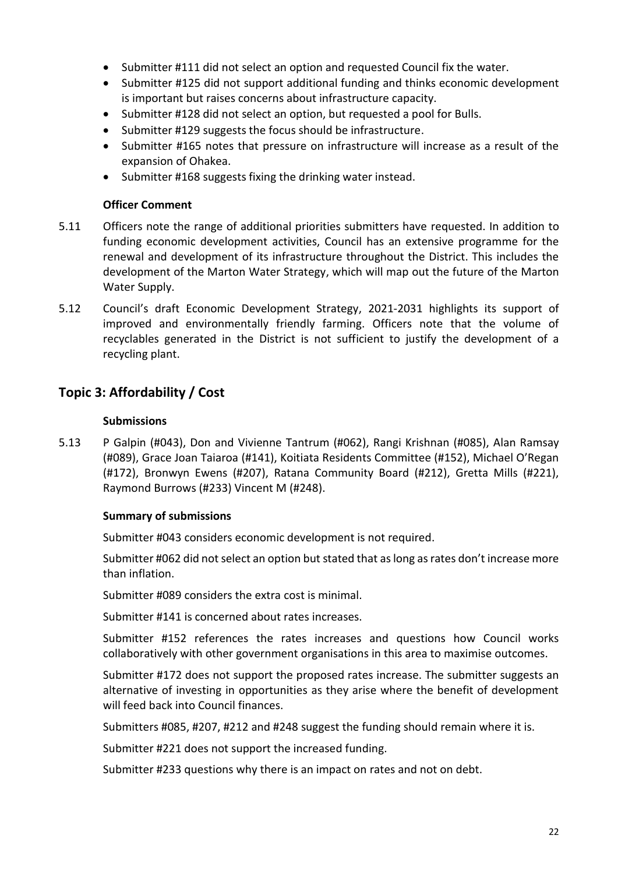- Submitter #111 did not select an option and requested Council fix the water.
- Submitter #125 did not support additional funding and thinks economic development is important but raises concerns about infrastructure capacity.
- Submitter #128 did not select an option, but requested a pool for Bulls.
- Submitter #129 suggests the focus should be infrastructure.
- Submitter #165 notes that pressure on infrastructure will increase as a result of the expansion of Ohakea.
- Submitter #168 suggests fixing the drinking water instead.

#### **Officer Comment**

- 5.11 Officers note the range of additional priorities submitters have requested. In addition to funding economic development activities, Council has an extensive programme for the renewal and development of its infrastructure throughout the District. This includes the development of the Marton Water Strategy, which will map out the future of the Marton Water Supply.
- 5.12 Council's draft Economic Development Strategy, 2021-2031 highlights its support of improved and environmentally friendly farming. Officers note that the volume of recyclables generated in the District is not sufficient to justify the development of a recycling plant.

### **Topic 3: Affordability / Cost**

#### **Submissions**

5.13 P Galpin (#043), Don and Vivienne Tantrum (#062), Rangi Krishnan (#085), Alan Ramsay (#089), Grace Joan Taiaroa (#141), Koitiata Residents Committee (#152), Michael O'Regan (#172), Bronwyn Ewens (#207), Ratana Community Board (#212), Gretta Mills (#221), Raymond Burrows (#233) Vincent M (#248).

### **Summary of submissions**

Submitter #043 considers economic development is not required.

Submitter #062 did not select an option but stated that as long as rates don't increase more than inflation.

Submitter #089 considers the extra cost is minimal.

Submitter #141 is concerned about rates increases.

Submitter #152 references the rates increases and questions how Council works collaboratively with other government organisations in this area to maximise outcomes.

Submitter #172 does not support the proposed rates increase. The submitter suggests an alternative of investing in opportunities as they arise where the benefit of development will feed back into Council finances.

Submitters #085, #207, #212 and #248 suggest the funding should remain where it is.

Submitter #221 does not support the increased funding.

Submitter #233 questions why there is an impact on rates and not on debt.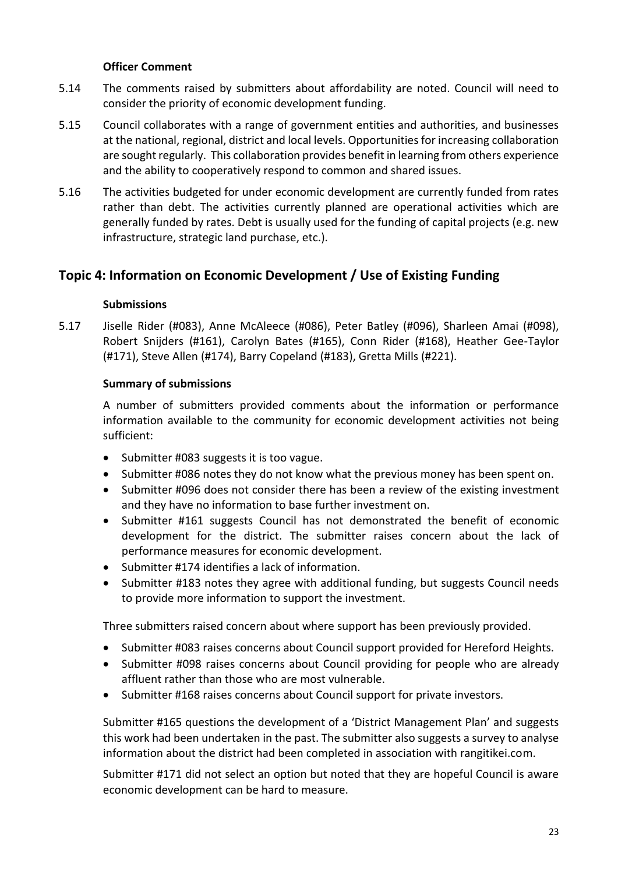#### **Officer Comment**

- 5.14 The comments raised by submitters about affordability are noted. Council will need to consider the priority of economic development funding.
- 5.15 Council collaborates with a range of government entities and authorities, and businesses at the national, regional, district and local levels. Opportunities for increasing collaboration are sought regularly. This collaboration provides benefit in learning from others experience and the ability to cooperatively respond to common and shared issues.
- 5.16 The activities budgeted for under economic development are currently funded from rates rather than debt. The activities currently planned are operational activities which are generally funded by rates. Debt is usually used for the funding of capital projects (e.g. new infrastructure, strategic land purchase, etc.).

### **Topic 4: Information on Economic Development / Use of Existing Funding**

#### **Submissions**

5.17 Jiselle Rider (#083), Anne McAleece (#086), Peter Batley (#096), Sharleen Amai (#098), Robert Snijders (#161), Carolyn Bates (#165), Conn Rider (#168), Heather Gee-Taylor (#171), Steve Allen (#174), Barry Copeland (#183), Gretta Mills (#221).

#### **Summary of submissions**

A number of submitters provided comments about the information or performance information available to the community for economic development activities not being sufficient:

- Submitter #083 suggests it is too vague.
- Submitter #086 notes they do not know what the previous money has been spent on.
- Submitter #096 does not consider there has been a review of the existing investment and they have no information to base further investment on.
- Submitter #161 suggests Council has not demonstrated the benefit of economic development for the district. The submitter raises concern about the lack of performance measures for economic development.
- Submitter #174 identifies a lack of information.
- Submitter #183 notes they agree with additional funding, but suggests Council needs to provide more information to support the investment.

Three submitters raised concern about where support has been previously provided.

- Submitter #083 raises concerns about Council support provided for Hereford Heights.
- Submitter #098 raises concerns about Council providing for people who are already affluent rather than those who are most vulnerable.
- Submitter #168 raises concerns about Council support for private investors.

Submitter #165 questions the development of a 'District Management Plan' and suggests this work had been undertaken in the past. The submitter also suggests a survey to analyse information about the district had been completed in association with rangitikei.com.

Submitter #171 did not select an option but noted that they are hopeful Council is aware economic development can be hard to measure.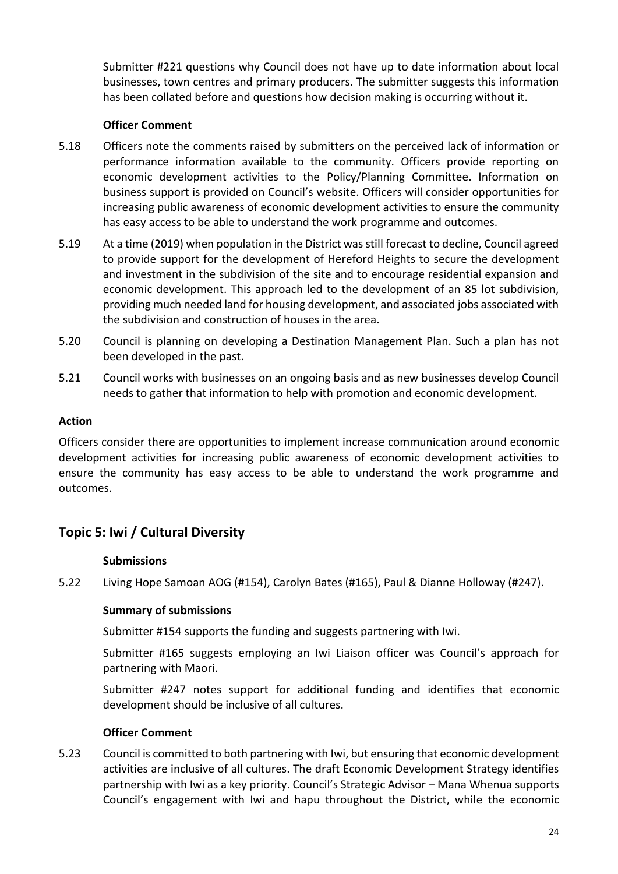Submitter #221 questions why Council does not have up to date information about local businesses, town centres and primary producers. The submitter suggests this information has been collated before and questions how decision making is occurring without it.

### **Officer Comment**

- 5.18 Officers note the comments raised by submitters on the perceived lack of information or performance information available to the community. Officers provide reporting on economic development activities to the Policy/Planning Committee. Information on business support is provided on Council's website. Officers will consider opportunities for increasing public awareness of economic development activities to ensure the community has easy access to be able to understand the work programme and outcomes.
- 5.19 At a time (2019) when population in the District was still forecast to decline, Council agreed to provide support for the development of Hereford Heights to secure the development and investment in the subdivision of the site and to encourage residential expansion and economic development. This approach led to the development of an 85 lot subdivision, providing much needed land for housing development, and associated jobs associated with the subdivision and construction of houses in the area.
- 5.20 Council is planning on developing a Destination Management Plan. Such a plan has not been developed in the past.
- 5.21 Council works with businesses on an ongoing basis and as new businesses develop Council needs to gather that information to help with promotion and economic development.

### **Action**

Officers consider there are opportunities to implement increase communication around economic development activities for increasing public awareness of economic development activities to ensure the community has easy access to be able to understand the work programme and outcomes.

### **Topic 5: Iwi / Cultural Diversity**

### **Submissions**

5.22 Living Hope Samoan AOG (#154), Carolyn Bates (#165), Paul & Dianne Holloway (#247).

### **Summary of submissions**

Submitter #154 supports the funding and suggests partnering with Iwi.

Submitter #165 suggests employing an Iwi Liaison officer was Council's approach for partnering with Maori.

Submitter #247 notes support for additional funding and identifies that economic development should be inclusive of all cultures.

#### **Officer Comment**

5.23 Council is committed to both partnering with Iwi, but ensuring that economic development activities are inclusive of all cultures. The draft Economic Development Strategy identifies partnership with Iwi as a key priority. Council's Strategic Advisor – Mana Whenua supports Council's engagement with Iwi and hapu throughout the District, while the economic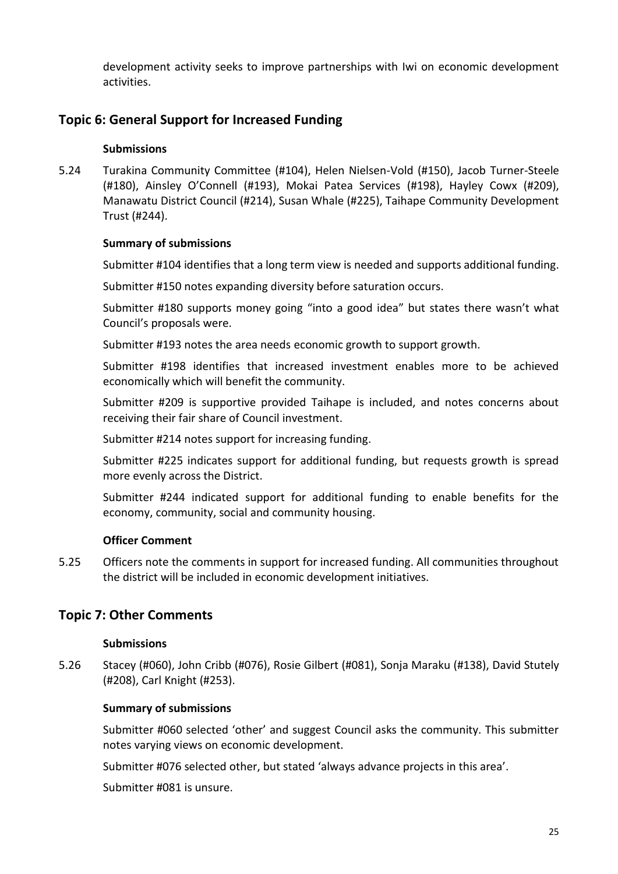development activity seeks to improve partnerships with Iwi on economic development activities.

### **Topic 6: General Support for Increased Funding**

#### **Submissions**

5.24 Turakina Community Committee (#104), Helen Nielsen-Vold (#150), Jacob Turner-Steele (#180), Ainsley O'Connell (#193), Mokai Patea Services (#198), Hayley Cowx (#209), Manawatu District Council (#214), Susan Whale (#225), Taihape Community Development Trust (#244).

#### **Summary of submissions**

Submitter #104 identifies that a long term view is needed and supports additional funding.

Submitter #150 notes expanding diversity before saturation occurs.

Submitter #180 supports money going "into a good idea" but states there wasn't what Council's proposals were.

Submitter #193 notes the area needs economic growth to support growth.

Submitter #198 identifies that increased investment enables more to be achieved economically which will benefit the community.

Submitter #209 is supportive provided Taihape is included, and notes concerns about receiving their fair share of Council investment.

Submitter #214 notes support for increasing funding.

Submitter #225 indicates support for additional funding, but requests growth is spread more evenly across the District.

Submitter #244 indicated support for additional funding to enable benefits for the economy, community, social and community housing.

#### **Officer Comment**

5.25 Officers note the comments in support for increased funding. All communities throughout the district will be included in economic development initiatives.

### **Topic 7: Other Comments**

#### **Submissions**

5.26 Stacey (#060), John Cribb (#076), Rosie Gilbert (#081), Sonja Maraku (#138), David Stutely (#208), Carl Knight (#253).

#### **Summary of submissions**

Submitter #060 selected 'other' and suggest Council asks the community. This submitter notes varying views on economic development.

Submitter #076 selected other, but stated 'always advance projects in this area'.

Submitter #081 is unsure.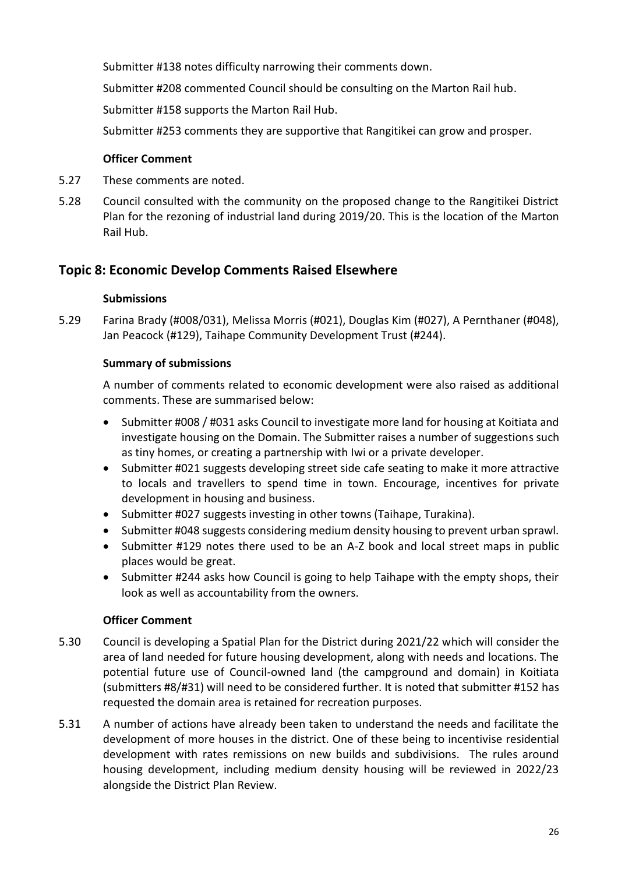Submitter #138 notes difficulty narrowing their comments down.

Submitter #208 commented Council should be consulting on the Marton Rail hub.

Submitter #158 supports the Marton Rail Hub.

Submitter #253 comments they are supportive that Rangitikei can grow and prosper.

### **Officer Comment**

- 5.27 These comments are noted.
- 5.28 Council consulted with the community on the proposed change to the Rangitikei District Plan for the rezoning of industrial land during 2019/20. This is the location of the Marton Rail Hub.

### **Topic 8: Economic Develop Comments Raised Elsewhere**

### **Submissions**

5.29 Farina Brady (#008/031), Melissa Morris (#021), Douglas Kim (#027), A Pernthaner (#048), Jan Peacock (#129), Taihape Community Development Trust (#244).

### **Summary of submissions**

A number of comments related to economic development were also raised as additional comments. These are summarised below:

- Submitter #008 / #031 asks Council to investigate more land for housing at Koitiata and investigate housing on the Domain. The Submitter raises a number of suggestions such as tiny homes, or creating a partnership with Iwi or a private developer.
- Submitter #021 suggests developing street side cafe seating to make it more attractive to locals and travellers to spend time in town. Encourage, incentives for private development in housing and business.
- Submitter #027 suggests investing in other towns (Taihape, Turakina).
- Submitter #048 suggests considering medium density housing to prevent urban sprawl.
- Submitter #129 notes there used to be an A-Z book and local street maps in public places would be great.
- Submitter #244 asks how Council is going to help Taihape with the empty shops, their look as well as accountability from the owners.

### **Officer Comment**

- 5.30 Council is developing a Spatial Plan for the District during 2021/22 which will consider the area of land needed for future housing development, along with needs and locations. The potential future use of Council-owned land (the campground and domain) in Koitiata (submitters #8/#31) will need to be considered further. It is noted that submitter #152 has requested the domain area is retained for recreation purposes.
- 5.31 A number of actions have already been taken to understand the needs and facilitate the development of more houses in the district. One of these being to incentivise residential development with rates remissions on new builds and subdivisions. The rules around housing development, including medium density housing will be reviewed in 2022/23 alongside the District Plan Review.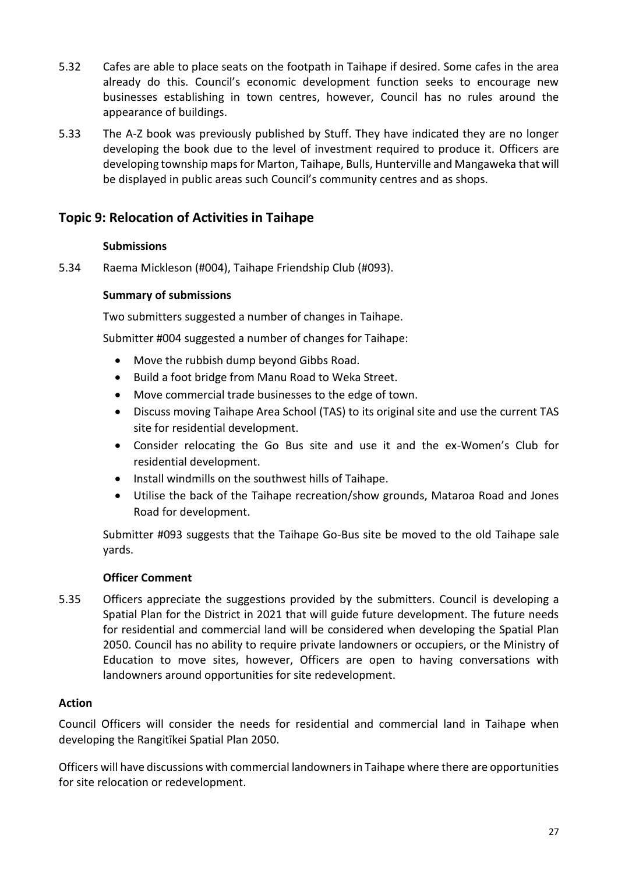- 5.32 Cafes are able to place seats on the footpath in Taihape if desired. Some cafes in the area already do this. Council's economic development function seeks to encourage new businesses establishing in town centres, however, Council has no rules around the appearance of buildings.
- 5.33 The A-Z book was previously published by Stuff. They have indicated they are no longer developing the book due to the level of investment required to produce it. Officers are developing township maps for Marton, Taihape, Bulls, Hunterville and Mangaweka that will be displayed in public areas such Council's community centres and as shops.

### **Topic 9: Relocation of Activities in Taihape**

### **Submissions**

5.34 Raema Mickleson (#004), Taihape Friendship Club (#093).

#### **Summary of submissions**

Two submitters suggested a number of changes in Taihape.

Submitter #004 suggested a number of changes for Taihape:

- Move the rubbish dump beyond Gibbs Road.
- Build a foot bridge from Manu Road to Weka Street.
- Move commercial trade businesses to the edge of town.
- Discuss moving Taihape Area School (TAS) to its original site and use the current TAS site for residential development.
- Consider relocating the Go Bus site and use it and the ex-Women's Club for residential development.
- Install windmills on the southwest hills of Taihape.
- Utilise the back of the Taihape recreation/show grounds, Mataroa Road and Jones Road for development.

Submitter #093 suggests that the Taihape Go-Bus site be moved to the old Taihape sale yards.

#### **Officer Comment**

5.35 Officers appreciate the suggestions provided by the submitters. Council is developing a Spatial Plan for the District in 2021 that will guide future development. The future needs for residential and commercial land will be considered when developing the Spatial Plan 2050. Council has no ability to require private landowners or occupiers, or the Ministry of Education to move sites, however, Officers are open to having conversations with landowners around opportunities for site redevelopment.

#### **Action**

Council Officers will consider the needs for residential and commercial land in Taihape when developing the Rangitīkei Spatial Plan 2050.

Officers will have discussions with commercial landowners in Taihape where there are opportunities for site relocation or redevelopment.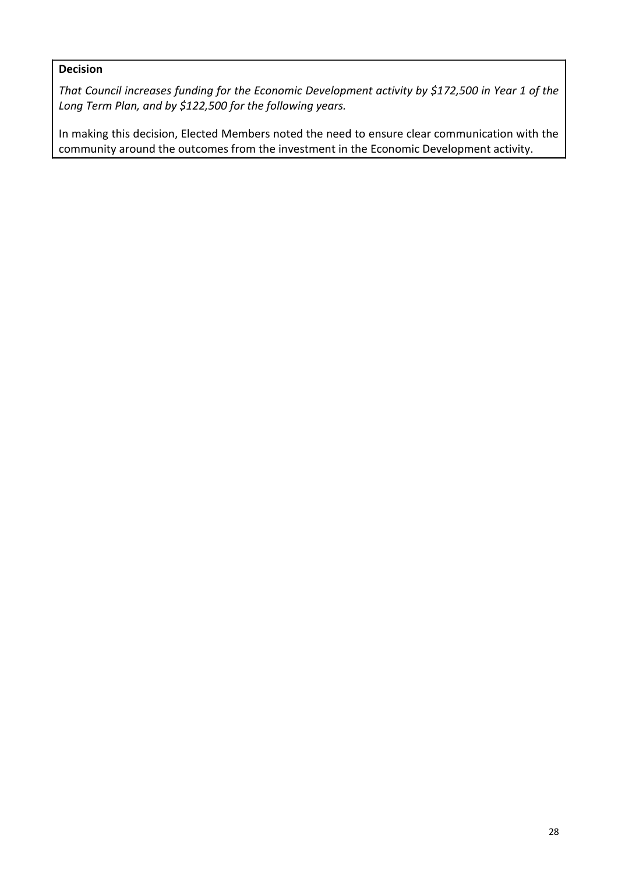### **Decision**

*That Council increases funding for the Economic Development activity by \$172,500 in Year 1 of the Long Term Plan, and by \$122,500 for the following years.* 

In making this decision, Elected Members noted the need to ensure clear communication with the community around the outcomes from the investment in the Economic Development activity.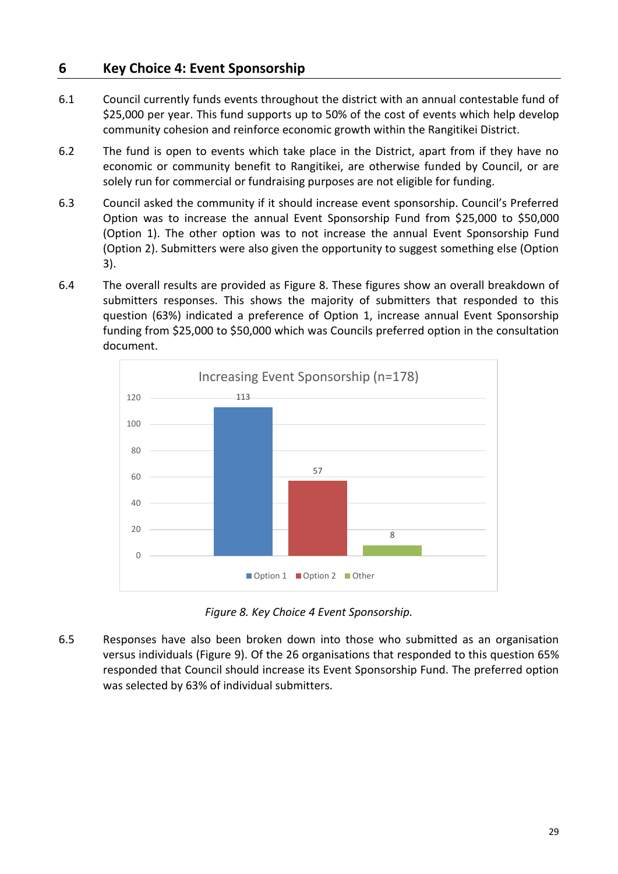### <span id="page-28-0"></span>**6 Key Choice 4: Event Sponsorship**

- 6.1 Council currently funds events throughout the district with an annual contestable fund of \$25,000 per year. This fund supports up to 50% of the cost of events which help develop community cohesion and reinforce economic growth within the Rangitikei District.
- 6.2 The fund is open to events which take place in the District, apart from if they have no economic or community benefit to Rangitikei, are otherwise funded by Council, or are solely run for commercial or fundraising purposes are not eligible for funding.
- 6.3 Council asked the community if it should increase event sponsorship. Council's Preferred Option was to increase the annual Event Sponsorship Fund from \$25,000 to \$50,000 (Option 1). The other option was to not increase the annual Event Sponsorship Fund (Option 2). Submitters were also given the opportunity to suggest something else (Option 3).
- 6.4 The overall results are provided as Figure 8. These figures show an overall breakdown of submitters responses. This shows the majority of submitters that responded to this question (63%) indicated a preference of Option 1, increase annual Event Sponsorship funding from \$25,000 to \$50,000 which was Councils preferred option in the consultation document.



*Figure 8. Key Choice 4 Event Sponsorship.*

6.5 Responses have also been broken down into those who submitted as an organisation versus individuals (Figure 9). Of the 26 organisations that responded to this question 65% responded that Council should increase its Event Sponsorship Fund. The preferred option was selected by 63% of individual submitters.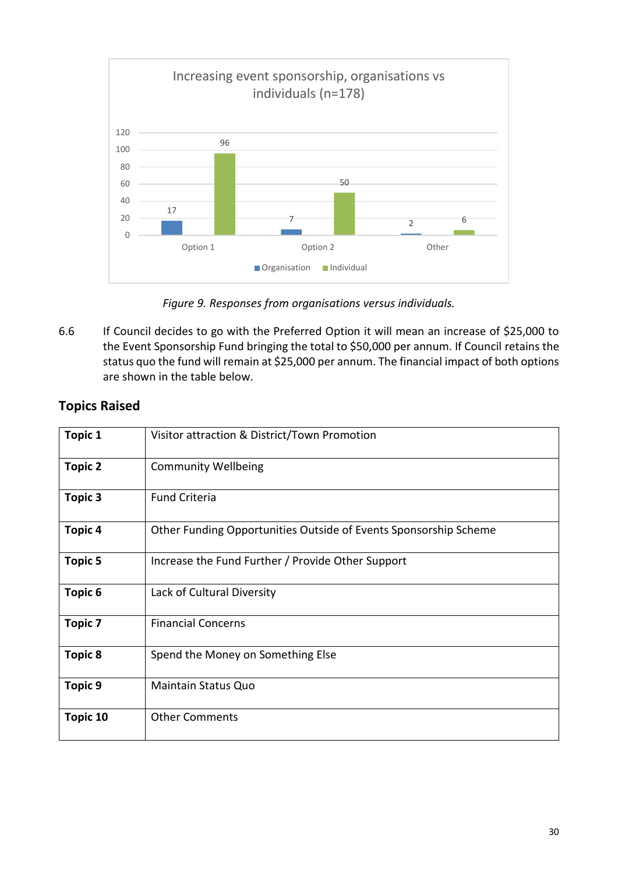

*Figure 9. Responses from organisations versus individuals.*

6.6 If Council decides to go with the Preferred Option it will mean an increase of \$25,000 to the Event Sponsorship Fund bringing the total to \$50,000 per annum. If Council retains the status quo the fund will remain at \$25,000 per annum. The financial impact of both options are shown in the table below.

| <b>Topic 1</b> | Visitor attraction & District/Town Promotion                     |
|----------------|------------------------------------------------------------------|
| <b>Topic 2</b> | <b>Community Wellbeing</b>                                       |
| Topic 3        | <b>Fund Criteria</b>                                             |
| Topic 4        | Other Funding Opportunities Outside of Events Sponsorship Scheme |
| <b>Topic 5</b> | Increase the Fund Further / Provide Other Support                |
| Topic 6        | Lack of Cultural Diversity                                       |
| <b>Topic 7</b> | <b>Financial Concerns</b>                                        |
| <b>Topic 8</b> | Spend the Money on Something Else                                |
| <b>Topic 9</b> | <b>Maintain Status Quo</b>                                       |
| Topic 10       | <b>Other Comments</b>                                            |

### **Topics Raised**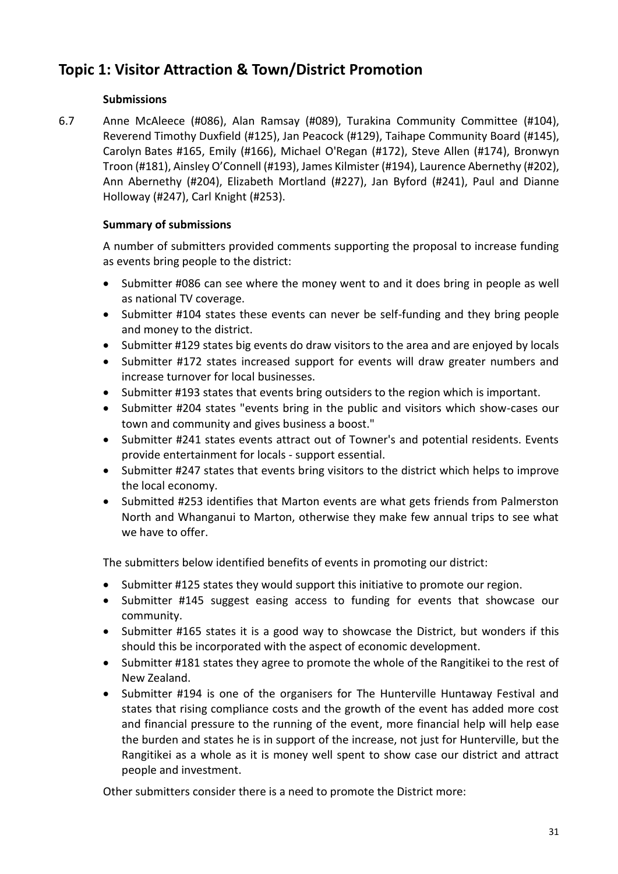# **Topic 1: Visitor Attraction & Town/District Promotion**

### **Submissions**

6.7 Anne McAleece (#086), Alan Ramsay (#089), Turakina Community Committee (#104), Reverend Timothy Duxfield (#125), Jan Peacock (#129), Taihape Community Board (#145), Carolyn Bates #165, Emily (#166), Michael O'Regan (#172), Steve Allen (#174), Bronwyn Troon (#181), Ainsley O'Connell (#193), James Kilmister (#194), Laurence Abernethy (#202), Ann Abernethy (#204), Elizabeth Mortland (#227), Jan Byford (#241), Paul and Dianne Holloway (#247), Carl Knight (#253).

### **Summary of submissions**

A number of submitters provided comments supporting the proposal to increase funding as events bring people to the district:

- Submitter #086 can see where the money went to and it does bring in people as well as national TV coverage.
- Submitter #104 states these events can never be self-funding and they bring people and money to the district.
- Submitter #129 states big events do draw visitors to the area and are enjoyed by locals
- Submitter #172 states increased support for events will draw greater numbers and increase turnover for local businesses.
- Submitter #193 states that events bring outsiders to the region which is important.
- Submitter #204 states "events bring in the public and visitors which show-cases our town and community and gives business a boost."
- Submitter #241 states events attract out of Towner's and potential residents. Events provide entertainment for locals - support essential.
- Submitter #247 states that events bring visitors to the district which helps to improve the local economy.
- Submitted #253 identifies that Marton events are what gets friends from Palmerston North and Whanganui to Marton, otherwise they make few annual trips to see what we have to offer.

The submitters below identified benefits of events in promoting our district:

- Submitter #125 states they would support this initiative to promote our region.
- Submitter #145 suggest easing access to funding for events that showcase our community.
- Submitter #165 states it is a good way to showcase the District, but wonders if this should this be incorporated with the aspect of economic development.
- Submitter #181 states they agree to promote the whole of the Rangitikei to the rest of New Zealand.
- Submitter #194 is one of the organisers for The Hunterville Huntaway Festival and states that rising compliance costs and the growth of the event has added more cost and financial pressure to the running of the event, more financial help will help ease the burden and states he is in support of the increase, not just for Hunterville, but the Rangitikei as a whole as it is money well spent to show case our district and attract people and investment.

Other submitters consider there is a need to promote the District more: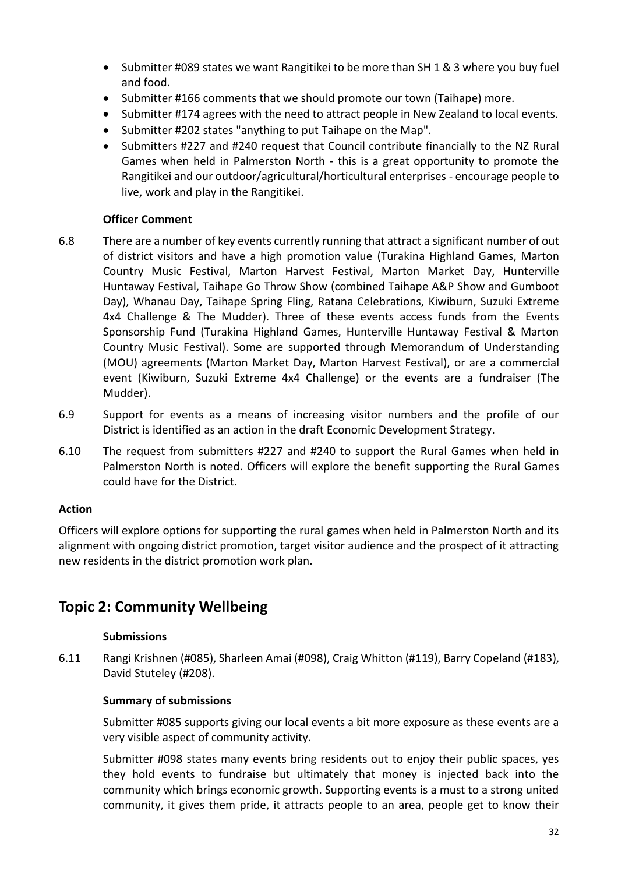- Submitter #089 states we want Rangitikei to be more than SH 1 & 3 where you buy fuel and food.
- Submitter #166 comments that we should promote our town (Taihape) more.
- Submitter #174 agrees with the need to attract people in New Zealand to local events.
- Submitter #202 states "anything to put Taihape on the Map".
- Submitters #227 and #240 request that Council contribute financially to the NZ Rural Games when held in Palmerston North - this is a great opportunity to promote the Rangitikei and our outdoor/agricultural/horticultural enterprises - encourage people to live, work and play in the Rangitikei.

### **Officer Comment**

- 6.8 There are a number of key events currently running that attract a significant number of out of district visitors and have a high promotion value (Turakina Highland Games, Marton Country Music Festival, Marton Harvest Festival, Marton Market Day, Hunterville Huntaway Festival, Taihape Go Throw Show (combined Taihape A&P Show and Gumboot Day), Whanau Day, Taihape Spring Fling, Ratana Celebrations, Kiwiburn, Suzuki Extreme 4x4 Challenge & The Mudder). Three of these events access funds from the Events Sponsorship Fund (Turakina Highland Games, Hunterville Huntaway Festival & Marton Country Music Festival). Some are supported through Memorandum of Understanding (MOU) agreements (Marton Market Day, Marton Harvest Festival), or are a commercial event (Kiwiburn, Suzuki Extreme 4x4 Challenge) or the events are a fundraiser (The Mudder).
- 6.9 Support for events as a means of increasing visitor numbers and the profile of our District is identified as an action in the draft Economic Development Strategy.
- 6.10 The request from submitters #227 and #240 to support the Rural Games when held in Palmerston North is noted. Officers will explore the benefit supporting the Rural Games could have for the District.

### **Action**

Officers will explore options for supporting the rural games when held in Palmerston North and its alignment with ongoing district promotion, target visitor audience and the prospect of it attracting new residents in the district promotion work plan.

### **Topic 2: Community Wellbeing**

### **Submissions**

6.11 Rangi Krishnen (#085), Sharleen Amai (#098), Craig Whitton (#119), Barry Copeland (#183), David Stuteley (#208).

### **Summary of submissions**

Submitter #085 supports giving our local events a bit more exposure as these events are a very visible aspect of community activity.

Submitter #098 states many events bring residents out to enjoy their public spaces, yes they hold events to fundraise but ultimately that money is injected back into the community which brings economic growth. Supporting events is a must to a strong united community, it gives them pride, it attracts people to an area, people get to know their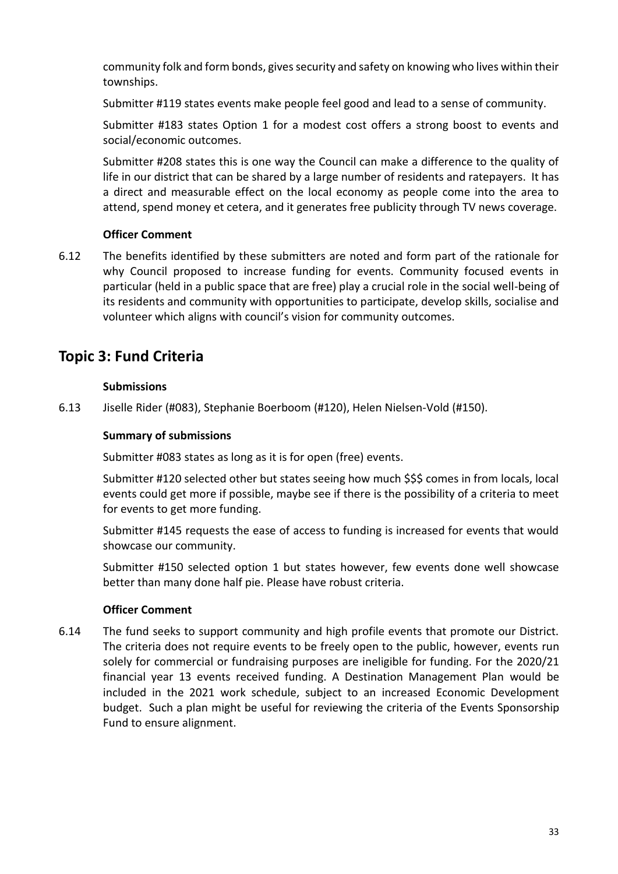community folk and form bonds, gives security and safety on knowing who lives within their townships.

Submitter #119 states events make people feel good and lead to a sense of community.

Submitter #183 states Option 1 for a modest cost offers a strong boost to events and social/economic outcomes.

Submitter #208 states this is one way the Council can make a difference to the quality of life in our district that can be shared by a large number of residents and ratepayers. It has a direct and measurable effect on the local economy as people come into the area to attend, spend money et cetera, and it generates free publicity through TV news coverage.

### **Officer Comment**

6.12 The benefits identified by these submitters are noted and form part of the rationale for why Council proposed to increase funding for events. Community focused events in particular (held in a public space that are free) play a crucial role in the social well-being of its residents and community with opportunities to participate, develop skills, socialise and volunteer which aligns with council's vision for community outcomes.

## **Topic 3: Fund Criteria**

### **Submissions**

6.13 Jiselle Rider (#083), Stephanie Boerboom (#120), Helen Nielsen-Vold (#150).

#### **Summary of submissions**

Submitter #083 states as long as it is for open (free) events.

Submitter #120 selected other but states seeing how much \$\$\$ comes in from locals, local events could get more if possible, maybe see if there is the possibility of a criteria to meet for events to get more funding.

Submitter #145 requests the ease of access to funding is increased for events that would showcase our community.

Submitter #150 selected option 1 but states however, few events done well showcase better than many done half pie. Please have robust criteria.

### **Officer Comment**

6.14 The fund seeks to support community and high profile events that promote our District. The criteria does not require events to be freely open to the public, however, events run solely for commercial or fundraising purposes are ineligible for funding. For the 2020/21 financial year 13 events received funding. A Destination Management Plan would be included in the 2021 work schedule, subject to an increased Economic Development budget. Such a plan might be useful for reviewing the criteria of the Events Sponsorship Fund to ensure alignment.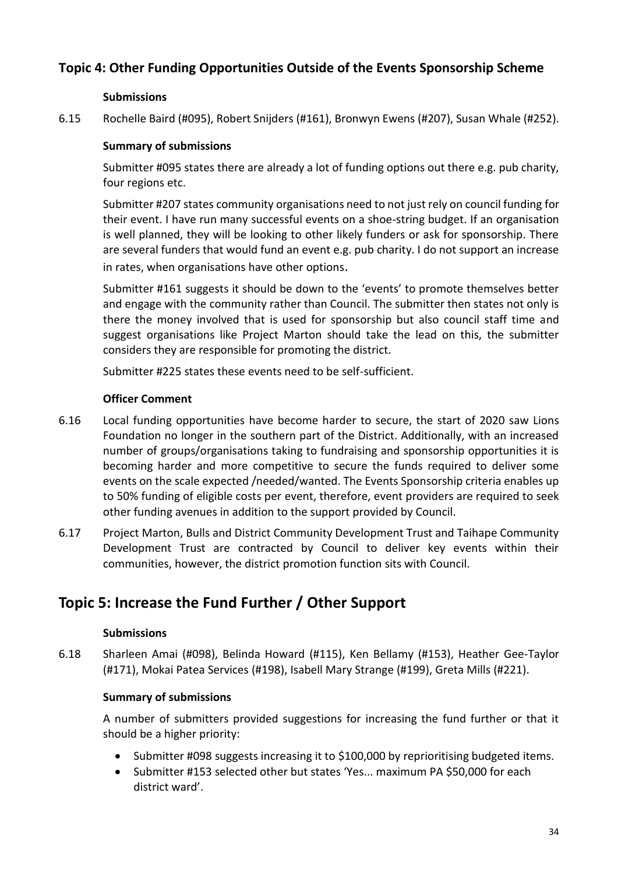### **Topic 4: Other Funding Opportunities Outside of the Events Sponsorship Scheme**

### **Submissions**

6.15 Rochelle Baird (#095), Robert Snijders (#161), Bronwyn Ewens (#207), Susan Whale (#252).

### **Summary of submissions**

Submitter #095 states there are already a lot of funding options out there e.g. pub charity, four regions etc.

Submitter #207 states community organisations need to not just rely on council funding for their event. I have run many successful events on a shoe-string budget. If an organisation is well planned, they will be looking to other likely funders or ask for sponsorship. There are several funders that would fund an event e.g. pub charity. I do not support an increase in rates, when organisations have other options.

Submitter #161 suggests it should be down to the 'events' to promote themselves better and engage with the community rather than Council. The submitter then states not only is there the money involved that is used for sponsorship but also council staff time and suggest organisations like Project Marton should take the lead on this, the submitter considers they are responsible for promoting the district.

Submitter #225 states these events need to be self-sufficient.

### **Officer Comment**

- 6.16 Local funding opportunities have become harder to secure, the start of 2020 saw Lions Foundation no longer in the southern part of the District. Additionally, with an increased number of groups/organisations taking to fundraising and sponsorship opportunities it is becoming harder and more competitive to secure the funds required to deliver some events on the scale expected /needed/wanted. The Events Sponsorship criteria enables up to 50% funding of eligible costs per event, therefore, event providers are required to seek other funding avenues in addition to the support provided by Council.
- 6.17 Project Marton, Bulls and District Community Development Trust and Taihape Community Development Trust are contracted by Council to deliver key events within their communities, however, the district promotion function sits with Council.

# **Topic 5: Increase the Fund Further / Other Support**

### **Submissions**

6.18 Sharleen Amai (#098), Belinda Howard (#115), Ken Bellamy (#153), Heather Gee-Taylor (#171), Mokai Patea Services (#198), Isabell Mary Strange (#199), Greta Mills (#221).

### **Summary of submissions**

A number of submitters provided suggestions for increasing the fund further or that it should be a higher priority:

- Submitter #098 suggests increasing it to \$100,000 by reprioritising budgeted items.
- Submitter #153 selected other but states 'Yes... maximum PA \$50,000 for each district ward'.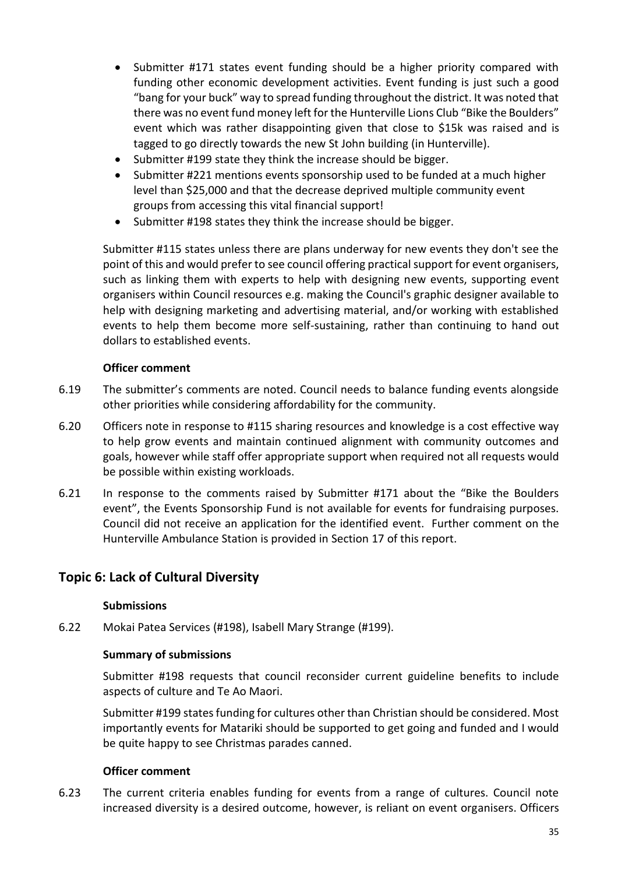- Submitter #171 states event funding should be a higher priority compared with funding other economic development activities. Event funding is just such a good "bang for your buck" way to spread funding throughout the district. It was noted that there was no event fund money left for the Hunterville Lions Club "Bike the Boulders" event which was rather disappointing given that close to \$15k was raised and is tagged to go directly towards the new St John building (in Hunterville).
- Submitter #199 state they think the increase should be bigger.
- Submitter #221 mentions events sponsorship used to be funded at a much higher level than \$25,000 and that the decrease deprived multiple community event groups from accessing this vital financial support!
- Submitter #198 states they think the increase should be bigger.

Submitter #115 states unless there are plans underway for new events they don't see the point of this and would prefer to see council offering practical support for event organisers, such as linking them with experts to help with designing new events, supporting event organisers within Council resources e.g. making the Council's graphic designer available to help with designing marketing and advertising material, and/or working with established events to help them become more self-sustaining, rather than continuing to hand out dollars to established events.

#### **Officer comment**

- 6.19 The submitter's comments are noted. Council needs to balance funding events alongside other priorities while considering affordability for the community.
- 6.20 Officers note in response to #115 sharing resources and knowledge is a cost effective way to help grow events and maintain continued alignment with community outcomes and goals, however while staff offer appropriate support when required not all requests would be possible within existing workloads.
- 6.21 In response to the comments raised by Submitter #171 about the "Bike the Boulders event", the Events Sponsorship Fund is not available for events for fundraising purposes. Council did not receive an application for the identified event. Further comment on the Hunterville Ambulance Station is provided in Section 17 of this report.

### **Topic 6: Lack of Cultural Diversity**

#### **Submissions**

6.22 Mokai Patea Services (#198), Isabell Mary Strange (#199).

#### **Summary of submissions**

Submitter #198 requests that council reconsider current guideline benefits to include aspects of culture and Te Ao Maori.

Submitter #199 states funding for cultures other than Christian should be considered. Most importantly events for Matariki should be supported to get going and funded and I would be quite happy to see Christmas parades canned.

#### **Officer comment**

6.23 The current criteria enables funding for events from a range of cultures. Council note increased diversity is a desired outcome, however, is reliant on event organisers. Officers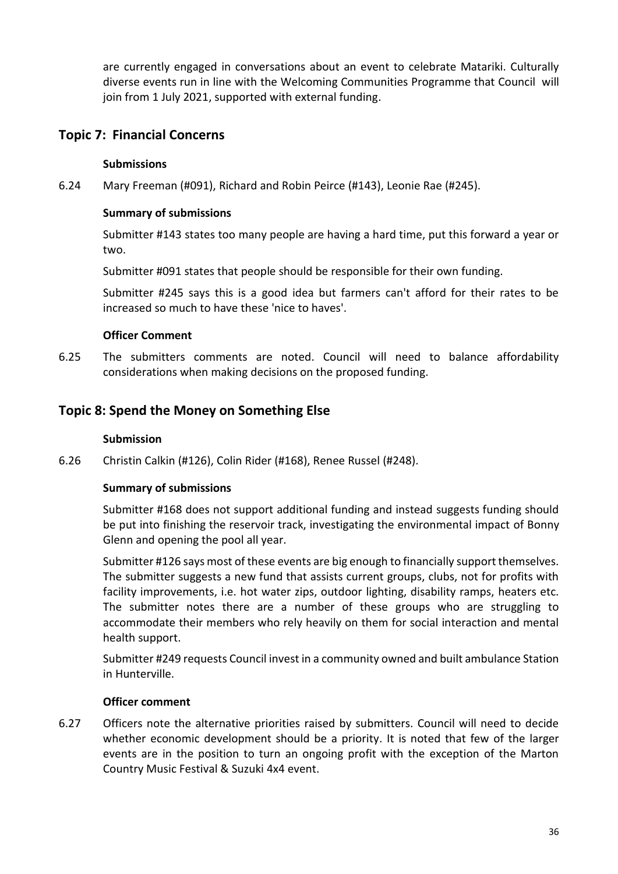are currently engaged in conversations about an event to celebrate Matariki. Culturally diverse events run in line with the Welcoming Communities Programme that Council will join from 1 July 2021, supported with external funding.

### **Topic 7: Financial Concerns**

### **Submissions**

6.24 Mary Freeman (#091), Richard and Robin Peirce (#143), Leonie Rae (#245).

### **Summary of submissions**

Submitter #143 states too many people are having a hard time, put this forward a year or two.

Submitter #091 states that people should be responsible for their own funding.

Submitter #245 says this is a good idea but farmers can't afford for their rates to be increased so much to have these 'nice to haves'.

#### **Officer Comment**

6.25 The submitters comments are noted. Council will need to balance affordability considerations when making decisions on the proposed funding.

### **Topic 8: Spend the Money on Something Else**

#### **Submission**

6.26 Christin Calkin (#126), Colin Rider (#168), Renee Russel (#248).

### **Summary of submissions**

Submitter #168 does not support additional funding and instead suggests funding should be put into finishing the reservoir track, investigating the environmental impact of Bonny Glenn and opening the pool all year.

Submitter #126 says most of these events are big enough to financially support themselves. The submitter suggests a new fund that assists current groups, clubs, not for profits with facility improvements, i.e. hot water zips, outdoor lighting, disability ramps, heaters etc. The submitter notes there are a number of these groups who are struggling to accommodate their members who rely heavily on them for social interaction and mental health support.

Submitter #249 requests Council invest in a community owned and built ambulance Station in Hunterville.

#### **Officer comment**

6.27 Officers note the alternative priorities raised by submitters. Council will need to decide whether economic development should be a priority. It is noted that few of the larger events are in the position to turn an ongoing profit with the exception of the Marton Country Music Festival & Suzuki 4x4 event.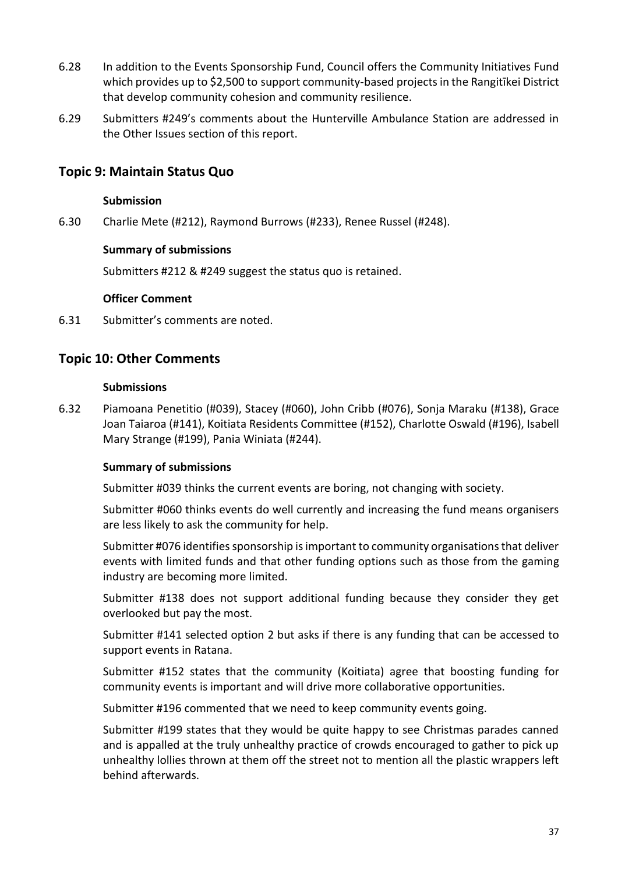- 6.28 In addition to the Events Sponsorship Fund, Council offers the Community Initiatives Fund which provides up to \$2,500 to support community-based projects in the Rangitīkei District that develop community cohesion and community resilience.
- 6.29 Submitters #249's comments about the Hunterville Ambulance Station are addressed in the Other Issues section of this report.

## **Topic 9: Maintain Status Quo**

#### **Submission**

6.30 Charlie Mete (#212), Raymond Burrows (#233), Renee Russel (#248).

#### **Summary of submissions**

Submitters #212 & #249 suggest the status quo is retained.

#### **Officer Comment**

6.31 Submitter's comments are noted.

# **Topic 10: Other Comments**

#### **Submissions**

6.32 Piamoana Penetitio (#039), Stacey (#060), John Cribb (#076), Sonja Maraku (#138), Grace Joan Taiaroa (#141), Koitiata Residents Committee (#152), Charlotte Oswald (#196), Isabell Mary Strange (#199), Pania Winiata (#244).

#### **Summary of submissions**

Submitter #039 thinks the current events are boring, not changing with society.

Submitter #060 thinks events do well currently and increasing the fund means organisers are less likely to ask the community for help.

Submitter #076 identifies sponsorship is important to community organisations that deliver events with limited funds and that other funding options such as those from the gaming industry are becoming more limited.

Submitter #138 does not support additional funding because they consider they get overlooked but pay the most.

Submitter #141 selected option 2 but asks if there is any funding that can be accessed to support events in Ratana.

Submitter #152 states that the community (Koitiata) agree that boosting funding for community events is important and will drive more collaborative opportunities.

Submitter #196 commented that we need to keep community events going.

Submitter #199 states that they would be quite happy to see Christmas parades canned and is appalled at the truly unhealthy practice of crowds encouraged to gather to pick up unhealthy lollies thrown at them off the street not to mention all the plastic wrappers left behind afterwards.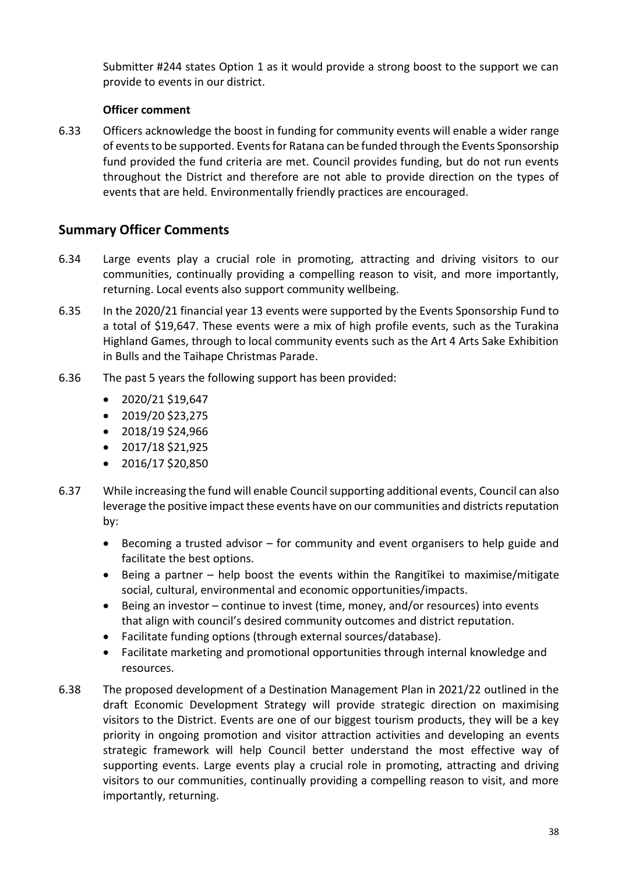Submitter #244 states Option 1 as it would provide a strong boost to the support we can provide to events in our district.

## **Officer comment**

6.33 Officers acknowledge the boost in funding for community events will enable a wider range of events to be supported. Events for Ratana can be funded through the Events Sponsorship fund provided the fund criteria are met. Council provides funding, but do not run events throughout the District and therefore are not able to provide direction on the types of events that are held. Environmentally friendly practices are encouraged.

# **Summary Officer Comments**

- 6.34 Large events play a crucial role in promoting, attracting and driving visitors to our communities, continually providing a compelling reason to visit, and more importantly, returning. Local events also support community wellbeing.
- 6.35 In the 2020/21 financial year 13 events were supported by the Events Sponsorship Fund to a total of \$19,647. These events were a mix of high profile events, such as the Turakina Highland Games, through to local community events such as the Art 4 Arts Sake Exhibition in Bulls and the Taihape Christmas Parade.
- 6.36 The past 5 years the following support has been provided:
	- $\bullet$  2020/21 \$19,647
	- 2019/20 \$23,275
	- 2018/19 \$24,966
	- 2017/18 \$21,925
	- 2016/17 \$20,850
- 6.37 While increasing the fund will enable Council supporting additional events, Council can also leverage the positive impact these events have on our communities and districts reputation by:
	- Becoming a trusted advisor for community and event organisers to help guide and facilitate the best options.
	- Being a partner help boost the events within the Rangitīkei to maximise/mitigate social, cultural, environmental and economic opportunities/impacts.
	- Being an investor continue to invest (time, money, and/or resources) into events that align with council's desired community outcomes and district reputation.
	- Facilitate funding options (through external sources/database).
	- Facilitate marketing and promotional opportunities through internal knowledge and resources.
- 6.38 The proposed development of a Destination Management Plan in 2021/22 outlined in the draft Economic Development Strategy will provide strategic direction on maximising visitors to the District. Events are one of our biggest tourism products, they will be a key priority in ongoing promotion and visitor attraction activities and developing an events strategic framework will help Council better understand the most effective way of supporting events. Large events play a crucial role in promoting, attracting and driving visitors to our communities, continually providing a compelling reason to visit, and more importantly, returning.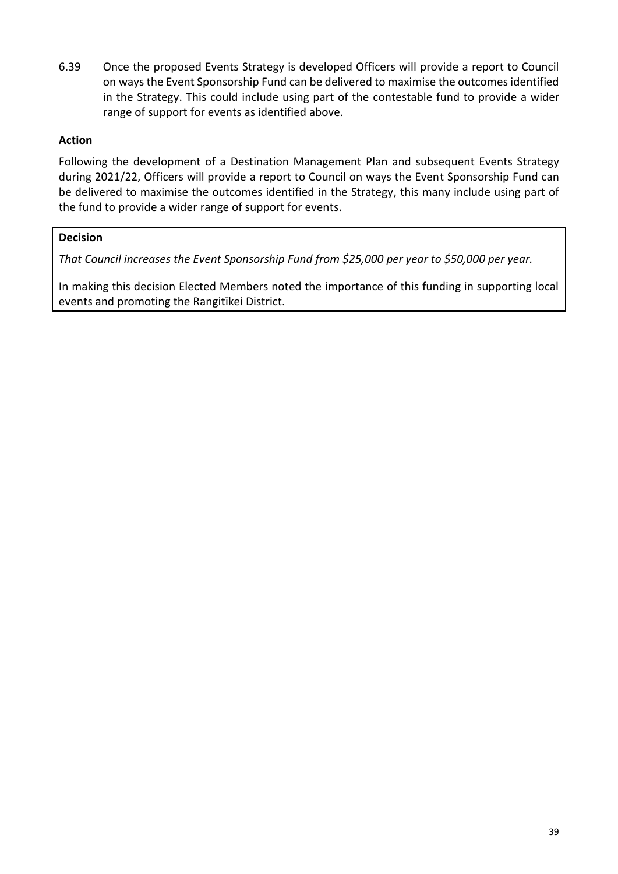6.39 Once the proposed Events Strategy is developed Officers will provide a report to Council on ways the Event Sponsorship Fund can be delivered to maximise the outcomes identified in the Strategy. This could include using part of the contestable fund to provide a wider range of support for events as identified above.

### **Action**

Following the development of a Destination Management Plan and subsequent Events Strategy during 2021/22, Officers will provide a report to Council on ways the Event Sponsorship Fund can be delivered to maximise the outcomes identified in the Strategy, this many include using part of the fund to provide a wider range of support for events.

### **Decision**

*That Council increases the Event Sponsorship Fund from \$25,000 per year to \$50,000 per year.*

In making this decision Elected Members noted the importance of this funding in supporting local events and promoting the Rangitīkei District.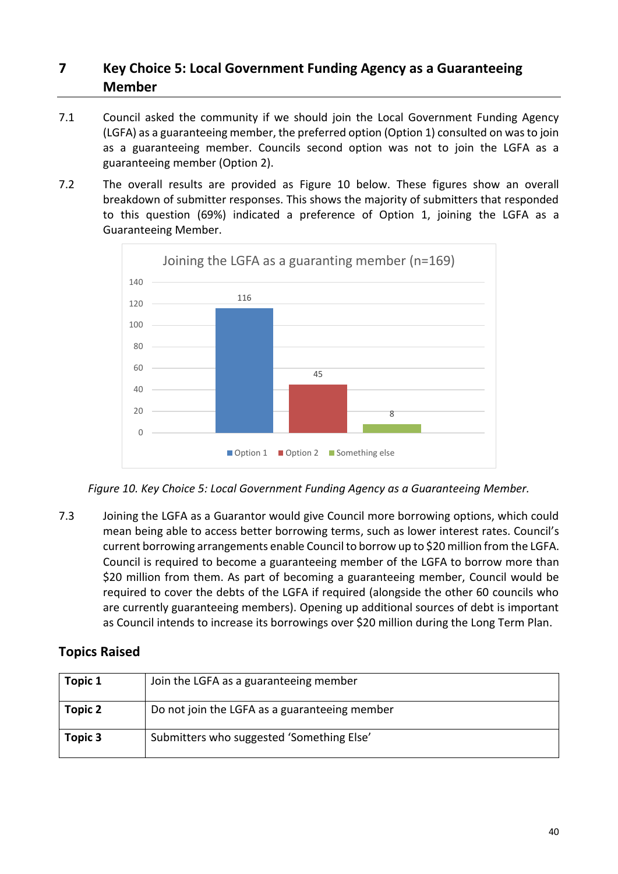# **7 Key Choice 5: Local Government Funding Agency as a Guaranteeing Member**

- 7.1 Council asked the community if we should join the Local Government Funding Agency (LGFA) as a guaranteeing member, the preferred option (Option 1) consulted on was to join as a guaranteeing member. Councils second option was not to join the LGFA as a guaranteeing member (Option 2).
- 7.2 The overall results are provided as Figure 10 below. These figures show an overall breakdown of submitter responses. This shows the majority of submitters that responded to this question (69%) indicated a preference of Option 1, joining the LGFA as a Guaranteeing Member.



*Figure 10. Key Choice 5: Local Government Funding Agency as a Guaranteeing Member.*

7.3 Joining the LGFA as a Guarantor would give Council more borrowing options, which could mean being able to access better borrowing terms, such as lower interest rates. Council's current borrowing arrangements enable Council to borrow up to \$20 million from the LGFA. Council is required to become a guaranteeing member of the LGFA to borrow more than \$20 million from them. As part of becoming a guaranteeing member, Council would be required to cover the debts of the LGFA if required (alongside the other 60 councils who are currently guaranteeing members). Opening up additional sources of debt is important as Council intends to increase its borrowings over \$20 million during the Long Term Plan.

# **Topics Raised**

| Topic 1 | Join the LGFA as a guaranteeing member        |
|---------|-----------------------------------------------|
| Topic 2 | Do not join the LGFA as a guaranteeing member |
| Topic 3 | Submitters who suggested 'Something Else'     |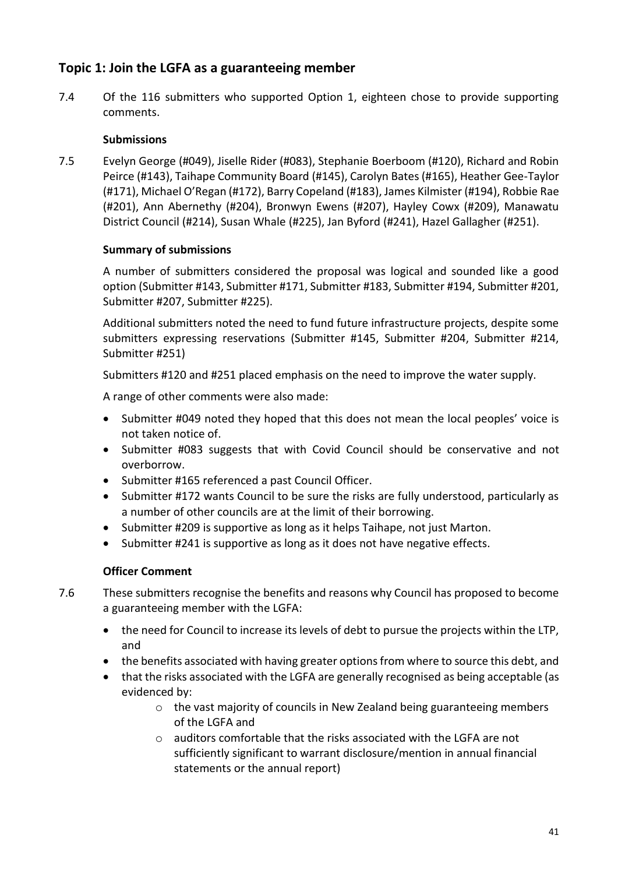# **Topic 1: Join the LGFA as a guaranteeing member**

7.4 Of the 116 submitters who supported Option 1, eighteen chose to provide supporting comments.

## **Submissions**

7.5 Evelyn George (#049), Jiselle Rider (#083), Stephanie Boerboom (#120), Richard and Robin Peirce (#143), Taihape Community Board (#145), Carolyn Bates (#165), Heather Gee-Taylor (#171), Michael O'Regan (#172), Barry Copeland (#183), James Kilmister (#194), Robbie Rae (#201), Ann Abernethy (#204), Bronwyn Ewens (#207), Hayley Cowx (#209), Manawatu District Council (#214), Susan Whale (#225), Jan Byford (#241), Hazel Gallagher (#251).

## **Summary of submissions**

A number of submitters considered the proposal was logical and sounded like a good option (Submitter #143, Submitter #171, Submitter #183, Submitter #194, Submitter #201, Submitter #207, Submitter #225).

Additional submitters noted the need to fund future infrastructure projects, despite some submitters expressing reservations (Submitter #145, Submitter #204, Submitter #214, Submitter #251)

Submitters #120 and #251 placed emphasis on the need to improve the water supply.

A range of other comments were also made:

- Submitter #049 noted they hoped that this does not mean the local peoples' voice is not taken notice of.
- Submitter #083 suggests that with Covid Council should be conservative and not overborrow.
- Submitter #165 referenced a past Council Officer.
- Submitter #172 wants Council to be sure the risks are fully understood, particularly as a number of other councils are at the limit of their borrowing.
- Submitter #209 is supportive as long as it helps Taihape, not just Marton.
- Submitter #241 is supportive as long as it does not have negative effects.

- 7.6 These submitters recognise the benefits and reasons why Council has proposed to become a guaranteeing member with the LGFA:
	- the need for Council to increase its levels of debt to pursue the projects within the LTP, and
	- the benefits associated with having greater options from where to source this debt, and
	- that the risks associated with the LGFA are generally recognised as being acceptable (as evidenced by:
		- $\circ$  the vast majority of councils in New Zealand being guaranteeing members of the LGFA and
		- o auditors comfortable that the risks associated with the LGFA are not sufficiently significant to warrant disclosure/mention in annual financial statements or the annual report)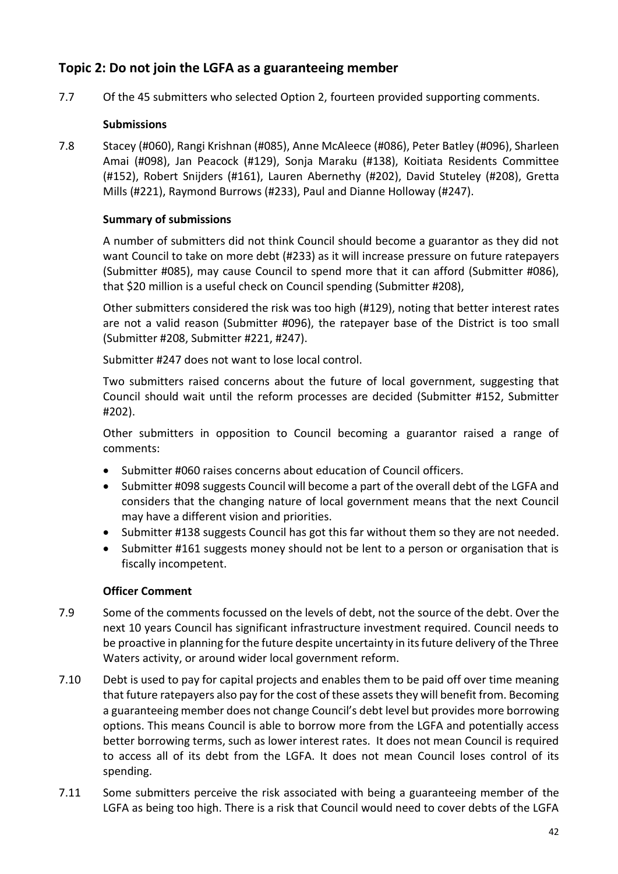# **Topic 2: Do not join the LGFA as a guaranteeing member**

7.7 Of the 45 submitters who selected Option 2, fourteen provided supporting comments.

## **Submissions**

7.8 Stacey (#060), Rangi Krishnan (#085), Anne McAleece (#086), Peter Batley (#096), Sharleen Amai (#098), Jan Peacock (#129), Sonja Maraku (#138), Koitiata Residents Committee (#152), Robert Snijders (#161), Lauren Abernethy (#202), David Stuteley (#208), Gretta Mills (#221), Raymond Burrows (#233), Paul and Dianne Holloway (#247).

## **Summary of submissions**

A number of submitters did not think Council should become a guarantor as they did not want Council to take on more debt (#233) as it will increase pressure on future ratepayers (Submitter #085), may cause Council to spend more that it can afford (Submitter #086), that \$20 million is a useful check on Council spending (Submitter #208),

Other submitters considered the risk was too high (#129), noting that better interest rates are not a valid reason (Submitter #096), the ratepayer base of the District is too small (Submitter #208, Submitter #221, #247).

Submitter #247 does not want to lose local control.

Two submitters raised concerns about the future of local government, suggesting that Council should wait until the reform processes are decided (Submitter #152, Submitter #202).

Other submitters in opposition to Council becoming a guarantor raised a range of comments:

- Submitter #060 raises concerns about education of Council officers.
- Submitter #098 suggests Council will become a part of the overall debt of the LGFA and considers that the changing nature of local government means that the next Council may have a different vision and priorities.
- Submitter #138 suggests Council has got this far without them so they are not needed.
- Submitter #161 suggests money should not be lent to a person or organisation that is fiscally incompetent.

- 7.9 Some of the comments focussed on the levels of debt, not the source of the debt. Over the next 10 years Council has significant infrastructure investment required. Council needs to be proactive in planning for the future despite uncertainty in its future delivery of the Three Waters activity, or around wider local government reform.
- 7.10 Debt is used to pay for capital projects and enables them to be paid off over time meaning that future ratepayers also pay for the cost of these assets they will benefit from. Becoming a guaranteeing member does not change Council's debt level but provides more borrowing options. This means Council is able to borrow more from the LGFA and potentially access better borrowing terms, such as lower interest rates. It does not mean Council is required to access all of its debt from the LGFA. It does not mean Council loses control of its spending.
- 7.11 Some submitters perceive the risk associated with being a guaranteeing member of the LGFA as being too high. There is a risk that Council would need to cover debts of the LGFA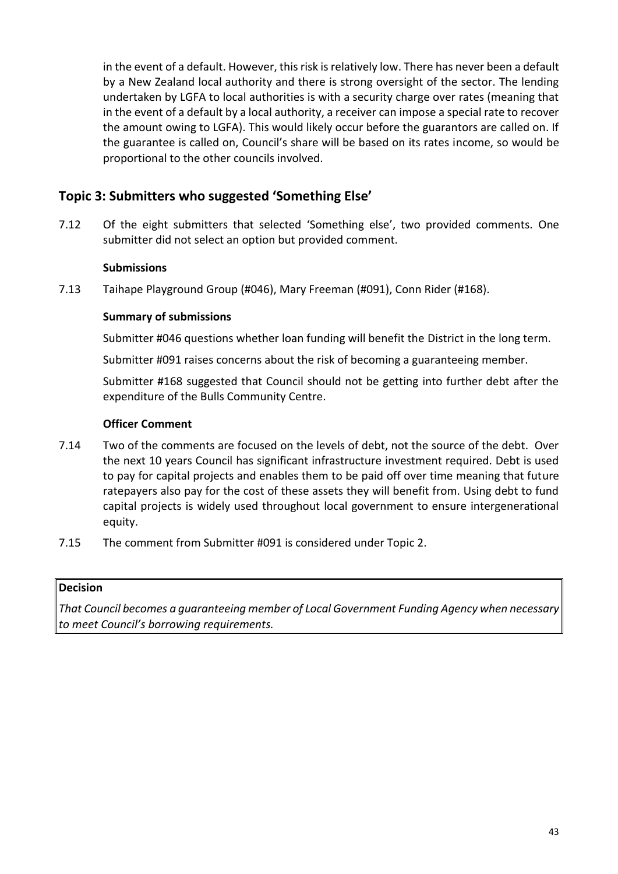in the event of a default. However, this risk is relatively low. There has never been a default by a New Zealand local authority and there is strong oversight of the sector. The lending undertaken by LGFA to local authorities is with a security charge over rates (meaning that in the event of a default by a local authority, a receiver can impose a special rate to recover the amount owing to LGFA). This would likely occur before the guarantors are called on. If the guarantee is called on, Council's share will be based on its rates income, so would be proportional to the other councils involved.

# **Topic 3: Submitters who suggested 'Something Else'**

7.12 Of the eight submitters that selected 'Something else', two provided comments. One submitter did not select an option but provided comment.

## **Submissions**

7.13 Taihape Playground Group (#046), Mary Freeman (#091), Conn Rider (#168).

### **Summary of submissions**

Submitter #046 questions whether loan funding will benefit the District in the long term.

Submitter #091 raises concerns about the risk of becoming a guaranteeing member.

Submitter #168 suggested that Council should not be getting into further debt after the expenditure of the Bulls Community Centre.

### **Officer Comment**

- 7.14 Two of the comments are focused on the levels of debt, not the source of the debt. Over the next 10 years Council has significant infrastructure investment required. Debt is used to pay for capital projects and enables them to be paid off over time meaning that future ratepayers also pay for the cost of these assets they will benefit from. Using debt to fund capital projects is widely used throughout local government to ensure intergenerational equity.
- 7.15 The comment from Submitter #091 is considered under Topic 2.

#### **Decision**

*That Council becomes a guaranteeing member of Local Government Funding Agency when necessary to meet Council's borrowing requirements.*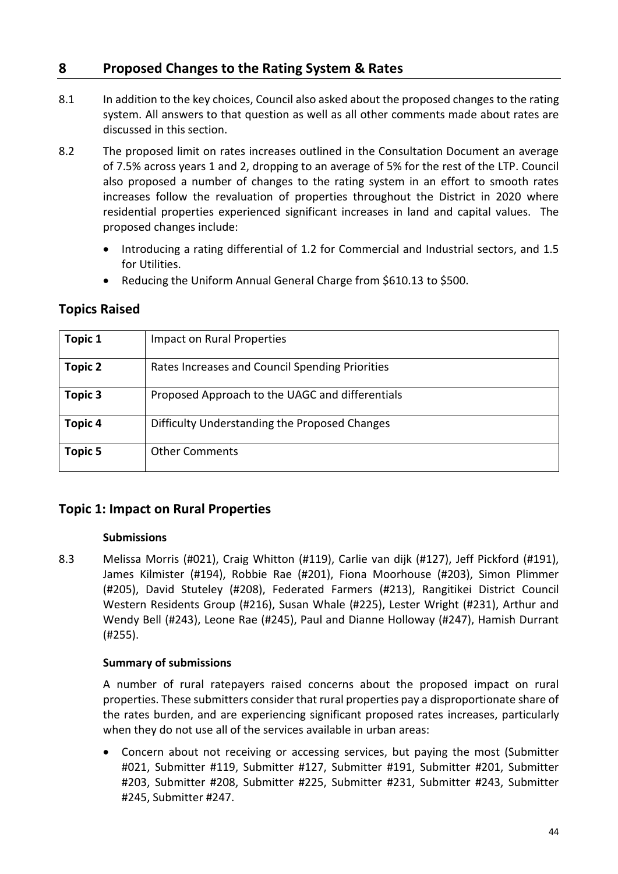# **8 Proposed Changes to the Rating System & Rates**

- 8.1 In addition to the key choices, Council also asked about the proposed changes to the rating system. All answers to that question as well as all other comments made about rates are discussed in this section.
- 8.2 The proposed limit on rates increases outlined in the Consultation Document an average of 7.5% across years 1 and 2, dropping to an average of 5% for the rest of the LTP. Council also proposed a number of changes to the rating system in an effort to smooth rates increases follow the revaluation of properties throughout the District in 2020 where residential properties experienced significant increases in land and capital values. The proposed changes include:
	- Introducing a rating differential of 1.2 for Commercial and Industrial sectors, and 1.5 for Utilities.
	- Reducing the Uniform Annual General Charge from \$610.13 to \$500.

| <b>Topic 1</b> | Impact on Rural Properties                      |
|----------------|-------------------------------------------------|
| Topic 2        | Rates Increases and Council Spending Priorities |
| Topic 3        | Proposed Approach to the UAGC and differentials |
| <b>Topic 4</b> | Difficulty Understanding the Proposed Changes   |
| <b>Topic 5</b> | <b>Other Comments</b>                           |

# **Topics Raised**

# **Topic 1: Impact on Rural Properties**

## **Submissions**

8.3 Melissa Morris (#021), Craig Whitton (#119), Carlie van dijk (#127), Jeff Pickford (#191), James Kilmister (#194), Robbie Rae (#201), Fiona Moorhouse (#203), Simon Plimmer (#205), David Stuteley (#208), Federated Farmers (#213), Rangitikei District Council Western Residents Group (#216), Susan Whale (#225), Lester Wright (#231), Arthur and Wendy Bell (#243), Leone Rae (#245), Paul and Dianne Holloway (#247), Hamish Durrant (#255).

## **Summary of submissions**

A number of rural ratepayers raised concerns about the proposed impact on rural properties. These submitters consider that rural properties pay a disproportionate share of the rates burden, and are experiencing significant proposed rates increases, particularly when they do not use all of the services available in urban areas:

• Concern about not receiving or accessing services, but paying the most (Submitter #021, Submitter #119, Submitter #127, Submitter #191, Submitter #201, Submitter #203, Submitter #208, Submitter #225, Submitter #231, Submitter #243, Submitter #245, Submitter #247.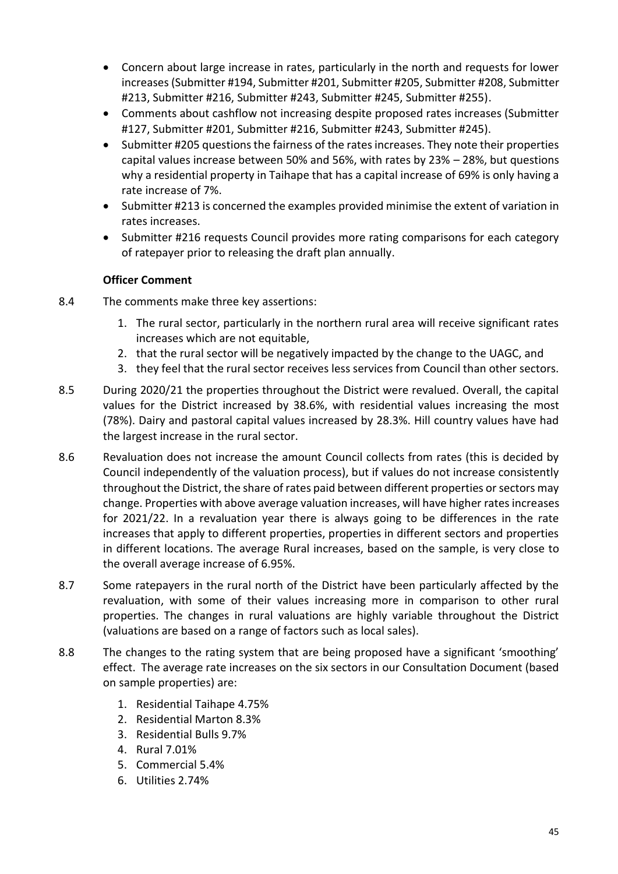- Concern about large increase in rates, particularly in the north and requests for lower increases (Submitter #194, Submitter #201, Submitter #205, Submitter #208, Submitter #213, Submitter #216, Submitter #243, Submitter #245, Submitter #255).
- Comments about cashflow not increasing despite proposed rates increases (Submitter #127, Submitter #201, Submitter #216, Submitter #243, Submitter #245).
- Submitter #205 questions the fairness of the rates increases. They note their properties capital values increase between 50% and 56%, with rates by 23% – 28%, but questions why a residential property in Taihape that has a capital increase of 69% is only having a rate increase of 7%.
- Submitter #213 is concerned the examples provided minimise the extent of variation in rates increases.
- Submitter #216 requests Council provides more rating comparisons for each category of ratepayer prior to releasing the draft plan annually.

- 8.4 The comments make three key assertions:
	- 1. The rural sector, particularly in the northern rural area will receive significant rates increases which are not equitable,
	- 2. that the rural sector will be negatively impacted by the change to the UAGC, and
	- 3. they feel that the rural sector receives less services from Council than other sectors.
- 8.5 During 2020/21 the properties throughout the District were revalued. Overall, the capital values for the District increased by 38.6%, with residential values increasing the most (78%). Dairy and pastoral capital values increased by 28.3%. Hill country values have had the largest increase in the rural sector.
- 8.6 Revaluation does not increase the amount Council collects from rates (this is decided by Council independently of the valuation process), but if values do not increase consistently throughout the District, the share of rates paid between different properties or sectors may change. Properties with above average valuation increases, will have higher rates increases for 2021/22. In a revaluation year there is always going to be differences in the rate increases that apply to different properties, properties in different sectors and properties in different locations. The average Rural increases, based on the sample, is very close to the overall average increase of 6.95%.
- 8.7 Some ratepayers in the rural north of the District have been particularly affected by the revaluation, with some of their values increasing more in comparison to other rural properties. The changes in rural valuations are highly variable throughout the District (valuations are based on a range of factors such as local sales).
- 8.8 The changes to the rating system that are being proposed have a significant 'smoothing' effect. The average rate increases on the six sectors in our Consultation Document (based on sample properties) are:
	- 1. Residential Taihape 4.75%
	- 2. Residential Marton 8.3%
	- 3. Residential Bulls 9.7%
	- 4. Rural 7.01%
	- 5. Commercial 5.4%
	- 6. Utilities 2.74%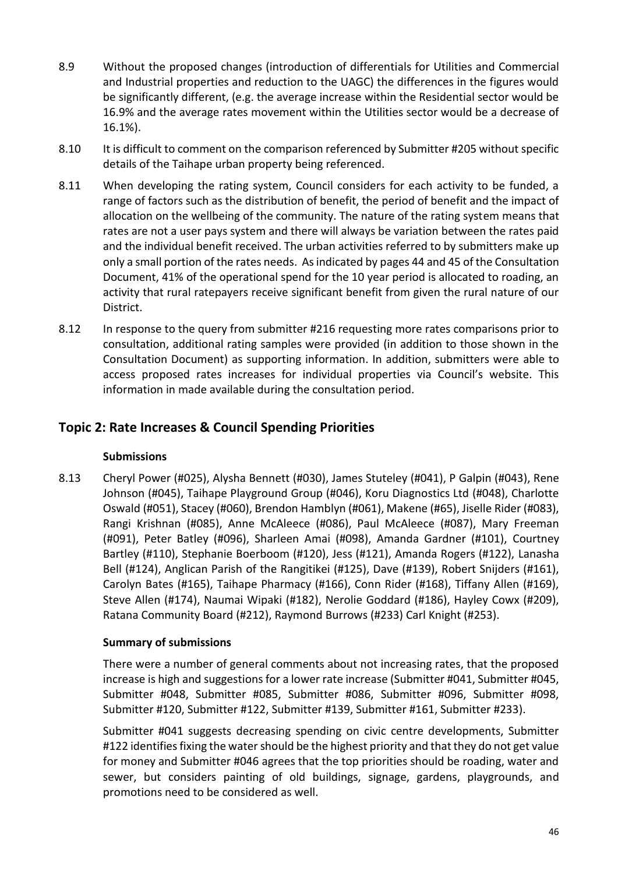- 8.9 Without the proposed changes (introduction of differentials for Utilities and Commercial and Industrial properties and reduction to the UAGC) the differences in the figures would be significantly different, (e.g. the average increase within the Residential sector would be 16.9% and the average rates movement within the Utilities sector would be a decrease of 16.1%).
- 8.10 It is difficult to comment on the comparison referenced by Submitter #205 without specific details of the Taihape urban property being referenced.
- 8.11 When developing the rating system, Council considers for each activity to be funded, a range of factors such as the distribution of benefit, the period of benefit and the impact of allocation on the wellbeing of the community. The nature of the rating system means that rates are not a user pays system and there will always be variation between the rates paid and the individual benefit received. The urban activities referred to by submitters make up only a small portion of the rates needs. As indicated by pages 44 and 45 of the Consultation Document, 41% of the operational spend for the 10 year period is allocated to roading, an activity that rural ratepayers receive significant benefit from given the rural nature of our District.
- 8.12 In response to the query from submitter #216 requesting more rates comparisons prior to consultation, additional rating samples were provided (in addition to those shown in the Consultation Document) as supporting information. In addition, submitters were able to access proposed rates increases for individual properties via Council's website. This information in made available during the consultation period.

# **Topic 2: Rate Increases & Council Spending Priorities**

#### **Submissions**

8.13 Cheryl Power (#025), Alysha Bennett (#030), James Stuteley (#041), P Galpin (#043), Rene Johnson (#045), Taihape Playground Group (#046), Koru Diagnostics Ltd (#048), Charlotte Oswald (#051), Stacey (#060), Brendon Hamblyn (#061), Makene (#65), Jiselle Rider (#083), Rangi Krishnan (#085), Anne McAleece (#086), Paul McAleece (#087), Mary Freeman (#091), Peter Batley (#096), Sharleen Amai (#098), Amanda Gardner (#101), Courtney Bartley (#110), Stephanie Boerboom (#120), Jess (#121), Amanda Rogers (#122), Lanasha Bell (#124), Anglican Parish of the Rangitikei (#125), Dave (#139), Robert Snijders (#161), Carolyn Bates (#165), Taihape Pharmacy (#166), Conn Rider (#168), Tiffany Allen (#169), Steve Allen (#174), Naumai Wipaki (#182), Nerolie Goddard (#186), Hayley Cowx (#209), Ratana Community Board (#212), Raymond Burrows (#233) Carl Knight (#253).

## **Summary of submissions**

There were a number of general comments about not increasing rates, that the proposed increase is high and suggestions for a lower rate increase (Submitter #041, Submitter #045, Submitter #048, Submitter #085, Submitter #086, Submitter #096, Submitter #098, Submitter #120, Submitter #122, Submitter #139, Submitter #161, Submitter #233).

Submitter #041 suggests decreasing spending on civic centre developments, Submitter #122 identifies fixing the water should be the highest priority and that they do not get value for money and Submitter #046 agrees that the top priorities should be roading, water and sewer, but considers painting of old buildings, signage, gardens, playgrounds, and promotions need to be considered as well.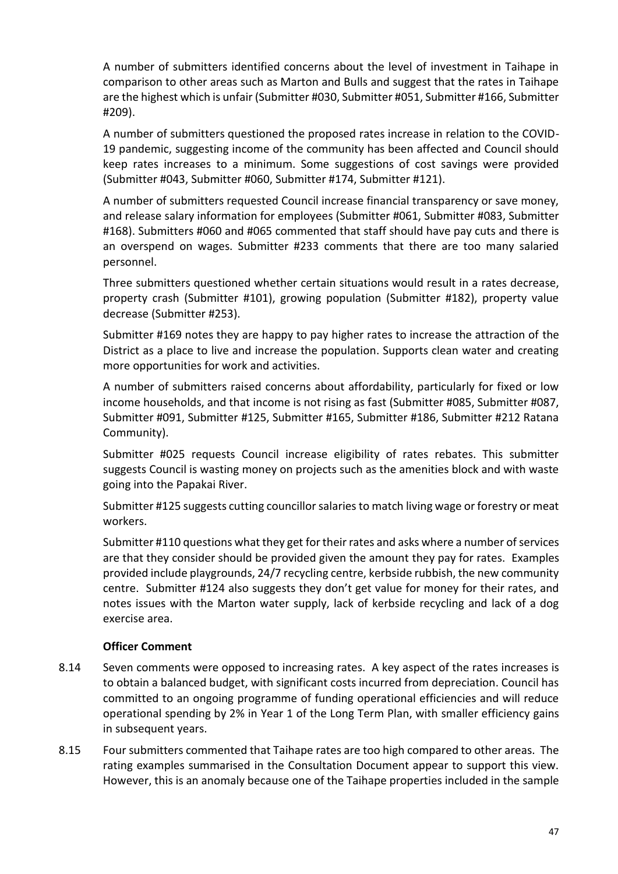A number of submitters identified concerns about the level of investment in Taihape in comparison to other areas such as Marton and Bulls and suggest that the rates in Taihape are the highest which is unfair (Submitter #030, Submitter #051, Submitter #166, Submitter #209).

A number of submitters questioned the proposed rates increase in relation to the COVID-19 pandemic, suggesting income of the community has been affected and Council should keep rates increases to a minimum. Some suggestions of cost savings were provided (Submitter #043, Submitter #060, Submitter #174, Submitter #121).

A number of submitters requested Council increase financial transparency or save money, and release salary information for employees (Submitter #061, Submitter #083, Submitter #168). Submitters #060 and #065 commented that staff should have pay cuts and there is an overspend on wages. Submitter #233 comments that there are too many salaried personnel.

Three submitters questioned whether certain situations would result in a rates decrease, property crash (Submitter #101), growing population (Submitter #182), property value decrease (Submitter #253).

Submitter #169 notes they are happy to pay higher rates to increase the attraction of the District as a place to live and increase the population. Supports clean water and creating more opportunities for work and activities.

A number of submitters raised concerns about affordability, particularly for fixed or low income households, and that income is not rising as fast (Submitter #085, Submitter #087, Submitter #091, Submitter #125, Submitter #165, Submitter #186, Submitter #212 Ratana Community).

Submitter #025 requests Council increase eligibility of rates rebates. This submitter suggests Council is wasting money on projects such as the amenities block and with waste going into the Papakai River.

Submitter #125 suggests cutting councillor salaries to match living wage or forestry or meat workers.

Submitter #110 questions what they get for their rates and asks where a number of services are that they consider should be provided given the amount they pay for rates. Examples provided include playgrounds, 24/7 recycling centre, kerbside rubbish, the new community centre. Submitter #124 also suggests they don't get value for money for their rates, and notes issues with the Marton water supply, lack of kerbside recycling and lack of a dog exercise area.

- 8.14 Seven comments were opposed to increasing rates. A key aspect of the rates increases is to obtain a balanced budget, with significant costs incurred from depreciation. Council has committed to an ongoing programme of funding operational efficiencies and will reduce operational spending by 2% in Year 1 of the Long Term Plan, with smaller efficiency gains in subsequent years.
- 8.15 Four submitters commented that Taihape rates are too high compared to other areas. The rating examples summarised in the Consultation Document appear to support this view. However, this is an anomaly because one of the Taihape properties included in the sample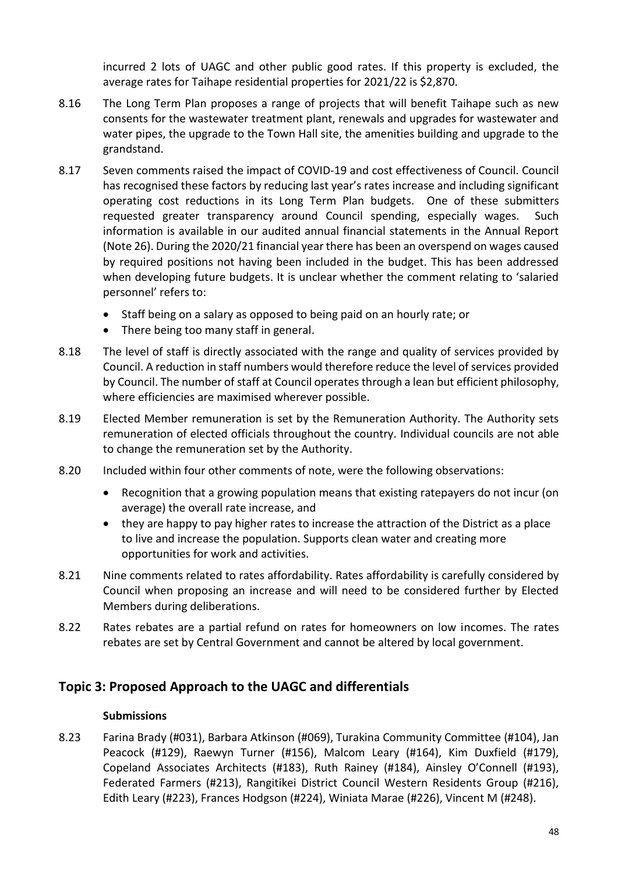incurred 2 lots of UAGC and other public good rates. If this property is excluded, the average rates for Taihape residential properties for 2021/22 is \$2,870.

- 8.16 The Long Term Plan proposes a range of projects that will benefit Taihape such as new consents for the wastewater treatment plant, renewals and upgrades for wastewater and water pipes, the upgrade to the Town Hall site, the amenities building and upgrade to the grandstand.
- 8.17 Seven comments raised the impact of COVID-19 and cost effectiveness of Council. Council has recognised these factors by reducing last year's rates increase and including significant operating cost reductions in its Long Term Plan budgets. One of these submitters requested greater transparency around Council spending, especially wages. Such information is available in our audited annual financial statements in the Annual Report (Note 26). During the 2020/21 financial year there has been an overspend on wages caused by required positions not having been included in the budget. This has been addressed when developing future budgets. It is unclear whether the comment relating to 'salaried personnel' refers to:
	- Staff being on a salary as opposed to being paid on an hourly rate; or
	- There being too many staff in general.
- 8.18 The level of staff is directly associated with the range and quality of services provided by Council. A reduction in staff numbers would therefore reduce the level of services provided by Council. The number of staff at Council operates through a lean but efficient philosophy, where efficiencies are maximised wherever possible.
- 8.19 Elected Member remuneration is set by the Remuneration Authority. The Authority sets remuneration of elected officials throughout the country. Individual councils are not able to change the remuneration set by the Authority.
- 8.20 Included within four other comments of note, were the following observations:
	- Recognition that a growing population means that existing ratepayers do not incur (on average) the overall rate increase, and
	- they are happy to pay higher rates to increase the attraction of the District as a place to live and increase the population. Supports clean water and creating more opportunities for work and activities.
- 8.21 Nine comments related to rates affordability. Rates affordability is carefully considered by Council when proposing an increase and will need to be considered further by Elected Members during deliberations.
- 8.22 Rates rebates are a partial refund on rates for homeowners on low incomes. The rates rebates are set by Central Government and cannot be altered by local government.

# **Topic 3: Proposed Approach to the UAGC and differentials**

## **Submissions**

8.23 Farina Brady (#031), Barbara Atkinson (#069), Turakina Community Committee (#104), Jan Peacock (#129), Raewyn Turner (#156), Malcom Leary (#164), Kim Duxfield (#179), Copeland Associates Architects (#183), Ruth Rainey (#184), Ainsley O'Connell (#193), Federated Farmers (#213), Rangitikei District Council Western Residents Group (#216), Edith Leary (#223), Frances Hodgson (#224), Winiata Marae (#226), Vincent M (#248).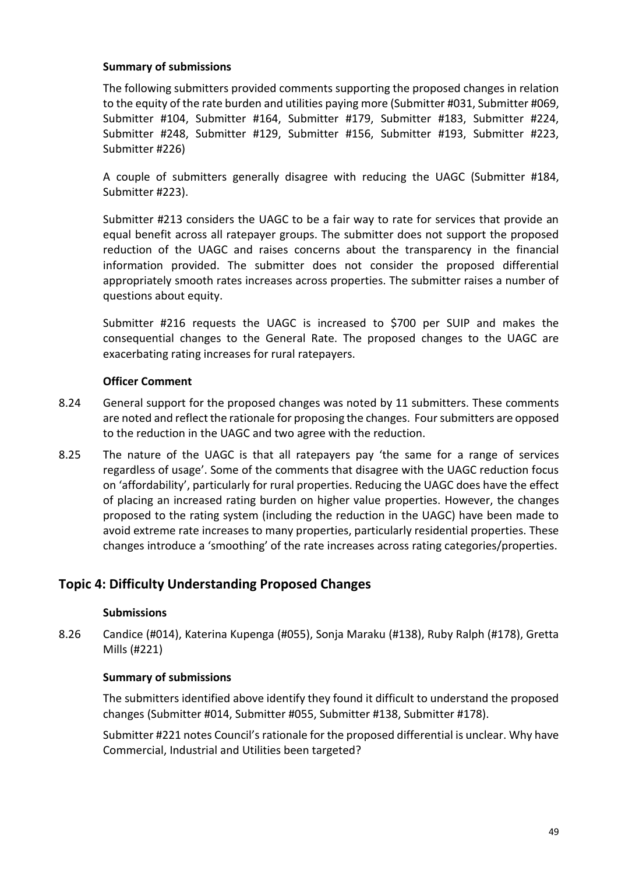### **Summary of submissions**

The following submitters provided comments supporting the proposed changes in relation to the equity of the rate burden and utilities paying more (Submitter #031, Submitter #069, Submitter #104, Submitter #164, Submitter #179, Submitter #183, Submitter #224, Submitter #248, Submitter #129, Submitter #156, Submitter #193, Submitter #223, Submitter #226)

A couple of submitters generally disagree with reducing the UAGC (Submitter #184, Submitter #223).

Submitter #213 considers the UAGC to be a fair way to rate for services that provide an equal benefit across all ratepayer groups. The submitter does not support the proposed reduction of the UAGC and raises concerns about the transparency in the financial information provided. The submitter does not consider the proposed differential appropriately smooth rates increases across properties. The submitter raises a number of questions about equity.

Submitter #216 requests the UAGC is increased to \$700 per SUIP and makes the consequential changes to the General Rate. The proposed changes to the UAGC are exacerbating rating increases for rural ratepayers.

## **Officer Comment**

- 8.24 General support for the proposed changes was noted by 11 submitters. These comments are noted and reflect the rationale for proposing the changes. Four submitters are opposed to the reduction in the UAGC and two agree with the reduction.
- 8.25 The nature of the UAGC is that all ratepayers pay 'the same for a range of services regardless of usage'. Some of the comments that disagree with the UAGC reduction focus on 'affordability', particularly for rural properties. Reducing the UAGC does have the effect of placing an increased rating burden on higher value properties. However, the changes proposed to the rating system (including the reduction in the UAGC) have been made to avoid extreme rate increases to many properties, particularly residential properties. These changes introduce a 'smoothing' of the rate increases across rating categories/properties.

# **Topic 4: Difficulty Understanding Proposed Changes**

#### **Submissions**

8.26 Candice (#014), Katerina Kupenga (#055), Sonja Maraku (#138), Ruby Ralph (#178), Gretta Mills (#221)

#### **Summary of submissions**

The submitters identified above identify they found it difficult to understand the proposed changes (Submitter #014, Submitter #055, Submitter #138, Submitter #178).

Submitter #221 notes Council's rationale for the proposed differential is unclear. Why have Commercial, Industrial and Utilities been targeted?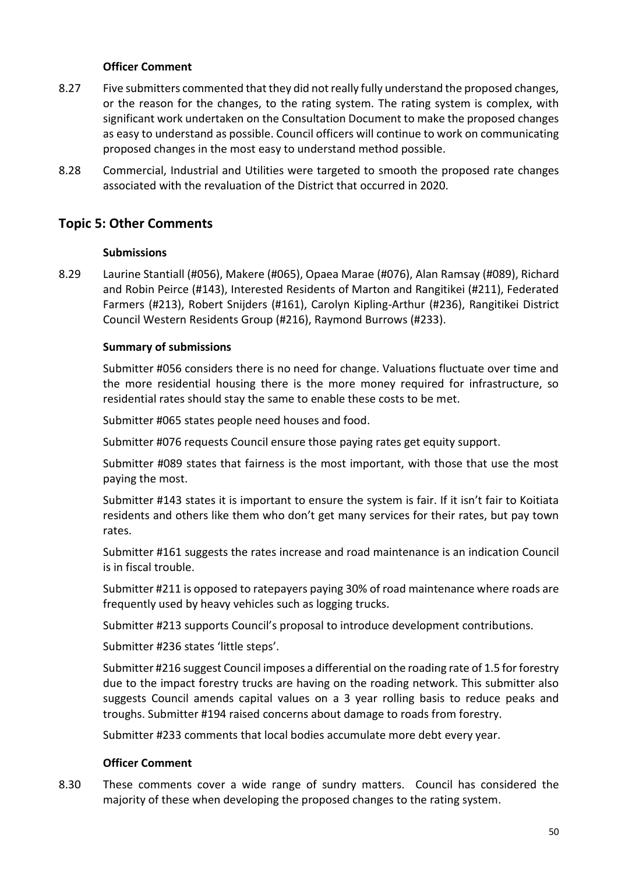### **Officer Comment**

- 8.27 Five submitters commented that they did not really fully understand the proposed changes, or the reason for the changes, to the rating system. The rating system is complex, with significant work undertaken on the Consultation Document to make the proposed changes as easy to understand as possible. Council officers will continue to work on communicating proposed changes in the most easy to understand method possible.
- 8.28 Commercial, Industrial and Utilities were targeted to smooth the proposed rate changes associated with the revaluation of the District that occurred in 2020.

# **Topic 5: Other Comments**

### **Submissions**

8.29 Laurine Stantiall (#056), Makere (#065), Opaea Marae (#076), Alan Ramsay (#089), Richard and Robin Peirce (#143), Interested Residents of Marton and Rangitikei (#211), Federated Farmers (#213), Robert Snijders (#161), Carolyn Kipling-Arthur (#236), Rangitikei District Council Western Residents Group (#216), Raymond Burrows (#233).

### **Summary of submissions**

Submitter #056 considers there is no need for change. Valuations fluctuate over time and the more residential housing there is the more money required for infrastructure, so residential rates should stay the same to enable these costs to be met.

Submitter #065 states people need houses and food.

Submitter #076 requests Council ensure those paying rates get equity support.

Submitter #089 states that fairness is the most important, with those that use the most paying the most.

Submitter #143 states it is important to ensure the system is fair. If it isn't fair to Koitiata residents and others like them who don't get many services for their rates, but pay town rates.

Submitter #161 suggests the rates increase and road maintenance is an indication Council is in fiscal trouble.

Submitter #211 is opposed to ratepayers paying 30% of road maintenance where roads are frequently used by heavy vehicles such as logging trucks.

Submitter #213 supports Council's proposal to introduce development contributions.

Submitter #236 states 'little steps'.

Submitter #216 suggest Council imposes a differential on the roading rate of 1.5 for forestry due to the impact forestry trucks are having on the roading network. This submitter also suggests Council amends capital values on a 3 year rolling basis to reduce peaks and troughs. Submitter #194 raised concerns about damage to roads from forestry.

Submitter #233 comments that local bodies accumulate more debt every year.

#### **Officer Comment**

8.30 These comments cover a wide range of sundry matters. Council has considered the majority of these when developing the proposed changes to the rating system.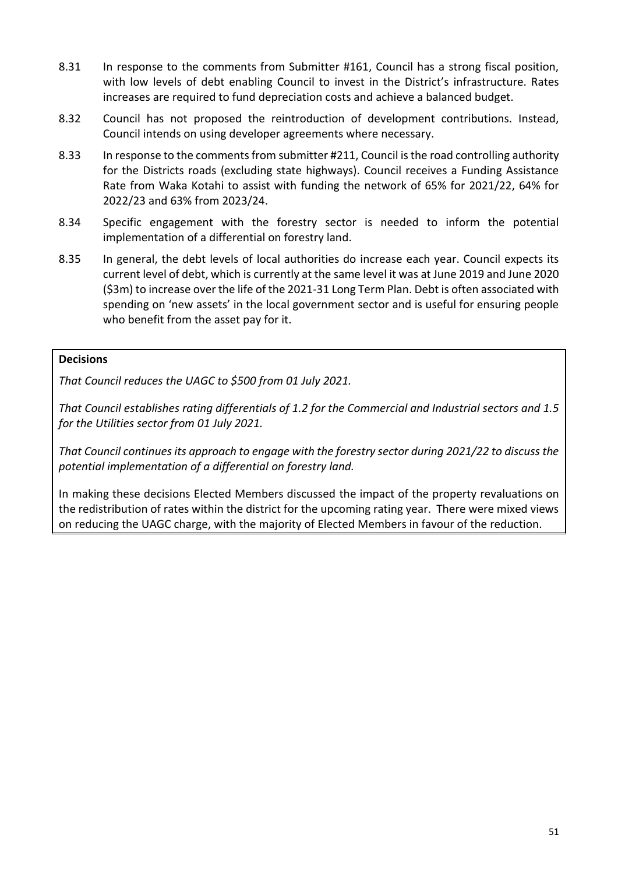- 8.31 In response to the comments from Submitter #161, Council has a strong fiscal position, with low levels of debt enabling Council to invest in the District's infrastructure. Rates increases are required to fund depreciation costs and achieve a balanced budget.
- 8.32 Council has not proposed the reintroduction of development contributions. Instead, Council intends on using developer agreements where necessary.
- 8.33 In response to the comments from submitter #211, Council is the road controlling authority for the Districts roads (excluding state highways). Council receives a Funding Assistance Rate from Waka Kotahi to assist with funding the network of 65% for 2021/22, 64% for 2022/23 and 63% from 2023/24.
- 8.34 Specific engagement with the forestry sector is needed to inform the potential implementation of a differential on forestry land.
- 8.35 In general, the debt levels of local authorities do increase each year. Council expects its current level of debt, which is currently at the same level it was at June 2019 and June 2020 (\$3m) to increase over the life of the 2021-31 Long Term Plan. Debt is often associated with spending on 'new assets' in the local government sector and is useful for ensuring people who benefit from the asset pay for it.

### **Decisions**

*That Council reduces the UAGC to \$500 from 01 July 2021.*

*That Council establishes rating differentials of 1.2 for the Commercial and Industrial sectors and 1.5 for the Utilities sector from 01 July 2021.*

*That Council continues its approach to engage with the forestry sector during 2021/22 to discuss the potential implementation of a differential on forestry land.*

In making these decisions Elected Members discussed the impact of the property revaluations on the redistribution of rates within the district for the upcoming rating year. There were mixed views on reducing the UAGC charge, with the majority of Elected Members in favour of the reduction.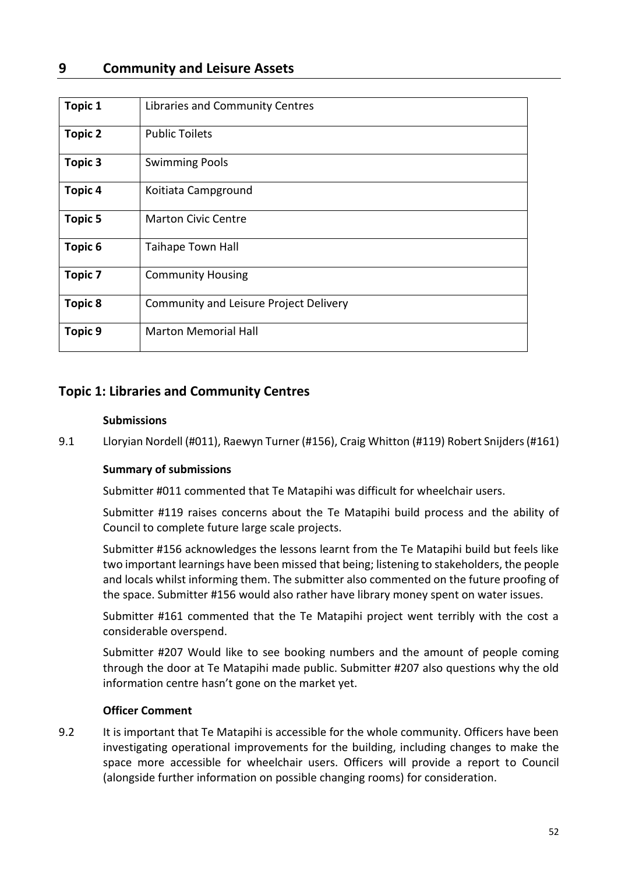# **9 Community and Leisure Assets**

| <b>Topic 1</b> | Libraries and Community Centres        |
|----------------|----------------------------------------|
| <b>Topic 2</b> | <b>Public Toilets</b>                  |
| Topic 3        | <b>Swimming Pools</b>                  |
| <b>Topic 4</b> | Koitiata Campground                    |
| <b>Topic 5</b> | <b>Marton Civic Centre</b>             |
| <b>Topic 6</b> | <b>Taihape Town Hall</b>               |
| <b>Topic 7</b> | <b>Community Housing</b>               |
| <b>Topic 8</b> | Community and Leisure Project Delivery |
| <b>Topic 9</b> | <b>Marton Memorial Hall</b>            |

# **Topic 1: Libraries and Community Centres**

#### **Submissions**

9.1 Lloryian Nordell (#011), Raewyn Turner (#156), Craig Whitton (#119) Robert Snijders (#161)

## **Summary of submissions**

Submitter #011 commented that Te Matapihi was difficult for wheelchair users.

Submitter #119 raises concerns about the Te Matapihi build process and the ability of Council to complete future large scale projects.

Submitter #156 acknowledges the lessons learnt from the Te Matapihi build but feels like two important learnings have been missed that being; listening to stakeholders, the people and locals whilst informing them. The submitter also commented on the future proofing of the space. Submitter #156 would also rather have library money spent on water issues.

Submitter #161 commented that the Te Matapihi project went terribly with the cost a considerable overspend.

Submitter #207 Would like to see booking numbers and the amount of people coming through the door at Te Matapihi made public. Submitter #207 also questions why the old information centre hasn't gone on the market yet.

## **Officer Comment**

9.2 It is important that Te Matapihi is accessible for the whole community. Officers have been investigating operational improvements for the building, including changes to make the space more accessible for wheelchair users. Officers will provide a report to Council (alongside further information on possible changing rooms) for consideration.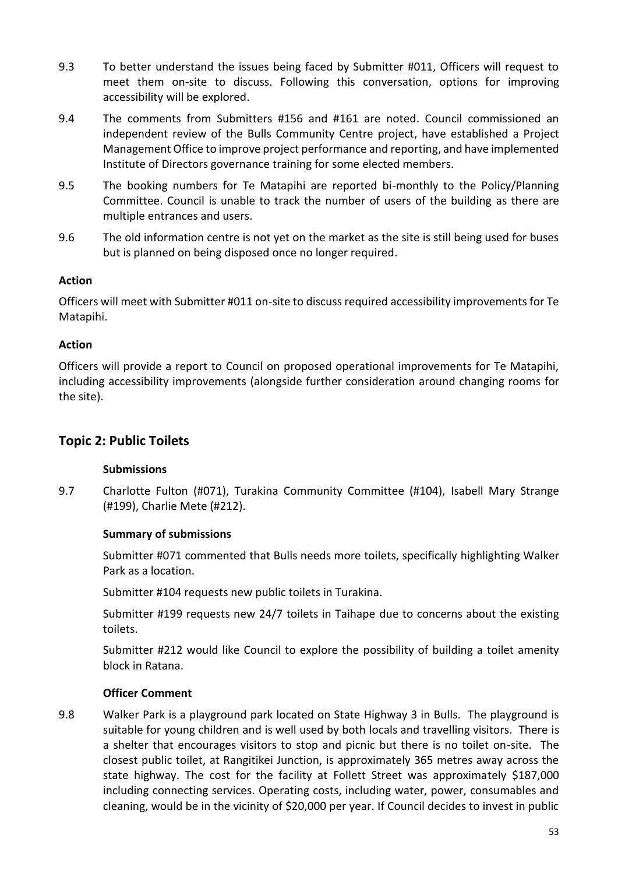- 9.3 To better understand the issues being faced by Submitter #011, Officers will request to meet them on-site to discuss. Following this conversation, options for improving accessibility will be explored.
- 9.4 The comments from Submitters #156 and #161 are noted. Council commissioned an independent review of the Bulls Community Centre project, have established a Project Management Office to improve project performance and reporting, and have implemented Institute of Directors governance training for some elected members.
- 9.5 The booking numbers for Te Matapihi are reported bi-monthly to the Policy/Planning Committee. Council is unable to track the number of users of the building as there are multiple entrances and users.
- 9.6 The old information centre is not yet on the market as the site is still being used for buses but is planned on being disposed once no longer required.

## **Action**

Officers will meet with Submitter #011 on-site to discuss required accessibility improvements for Te Matapihi.

## **Action**

Officers will provide a report to Council on proposed operational improvements for Te Matapihi, including accessibility improvements (alongside further consideration around changing rooms for the site).

# **Topic 2: Public Toilets**

# **Submissions**

9.7 Charlotte Fulton (#071), Turakina Community Committee (#104), Isabell Mary Strange (#199), Charlie Mete (#212).

## **Summary of submissions**

Submitter #071 commented that Bulls needs more toilets, specifically highlighting Walker Park as a location.

Submitter #104 requests new public toilets in Turakina.

Submitter #199 requests new 24/7 toilets in Taihape due to concerns about the existing toilets.

Submitter #212 would like Council to explore the possibility of building a toilet amenity block in Ratana.

# **Officer Comment**

9.8 Walker Park is a playground park located on State Highway 3 in Bulls. The playground is suitable for young children and is well used by both locals and travelling visitors. There is a shelter that encourages visitors to stop and picnic but there is no toilet on-site. The closest public toilet, at Rangitikei Junction, is approximately 365 metres away across the state highway. The cost for the facility at Follett Street was approximately \$187,000 including connecting services. Operating costs, including water, power, consumables and cleaning, would be in the vicinity of \$20,000 per year. If Council decides to invest in public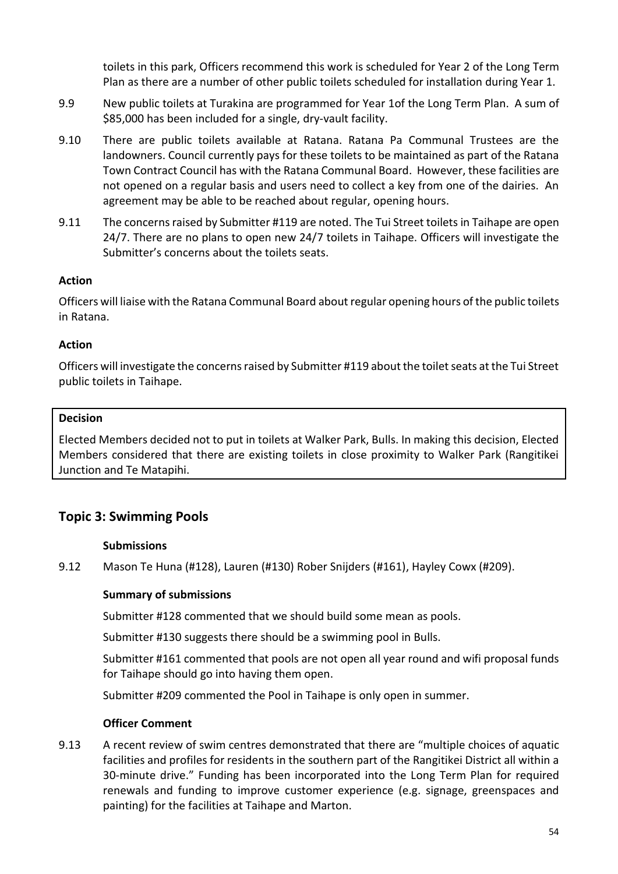toilets in this park, Officers recommend this work is scheduled for Year 2 of the Long Term Plan as there are a number of other public toilets scheduled for installation during Year 1.

- 9.9 New public toilets at Turakina are programmed for Year 1of the Long Term Plan. A sum of \$85,000 has been included for a single, dry-vault facility.
- 9.10 There are public toilets available at Ratana. Ratana Pa Communal Trustees are the landowners. Council currently pays for these toilets to be maintained as part of the Ratana Town Contract Council has with the Ratana Communal Board. However, these facilities are not opened on a regular basis and users need to collect a key from one of the dairies. An agreement may be able to be reached about regular, opening hours.
- 9.11 The concerns raised by Submitter #119 are noted. The Tui Street toilets in Taihape are open 24/7. There are no plans to open new 24/7 toilets in Taihape. Officers will investigate the Submitter's concerns about the toilets seats.

## **Action**

Officers will liaise with the Ratana Communal Board about regular opening hours of the public toilets in Ratana.

### **Action**

Officers will investigate the concerns raised by Submitter #119 about the toilet seats at the Tui Street public toilets in Taihape.

### **Decision**

Elected Members decided not to put in toilets at Walker Park, Bulls. In making this decision, Elected Members considered that there are existing toilets in close proximity to Walker Park (Rangitikei Junction and Te Matapihi.

# **Topic 3: Swimming Pools**

#### **Submissions**

9.12 Mason Te Huna (#128), Lauren (#130) Rober Snijders (#161), Hayley Cowx (#209).

## **Summary of submissions**

Submitter #128 commented that we should build some mean as pools.

Submitter #130 suggests there should be a swimming pool in Bulls.

Submitter #161 commented that pools are not open all year round and wifi proposal funds for Taihape should go into having them open.

Submitter #209 commented the Pool in Taihape is only open in summer.

#### **Officer Comment**

9.13 A recent review of swim centres demonstrated that there are "multiple choices of aquatic facilities and profiles for residents in the southern part of the Rangitikei District all within a 30-minute drive." Funding has been incorporated into the Long Term Plan for required renewals and funding to improve customer experience (e.g. signage, greenspaces and painting) for the facilities at Taihape and Marton.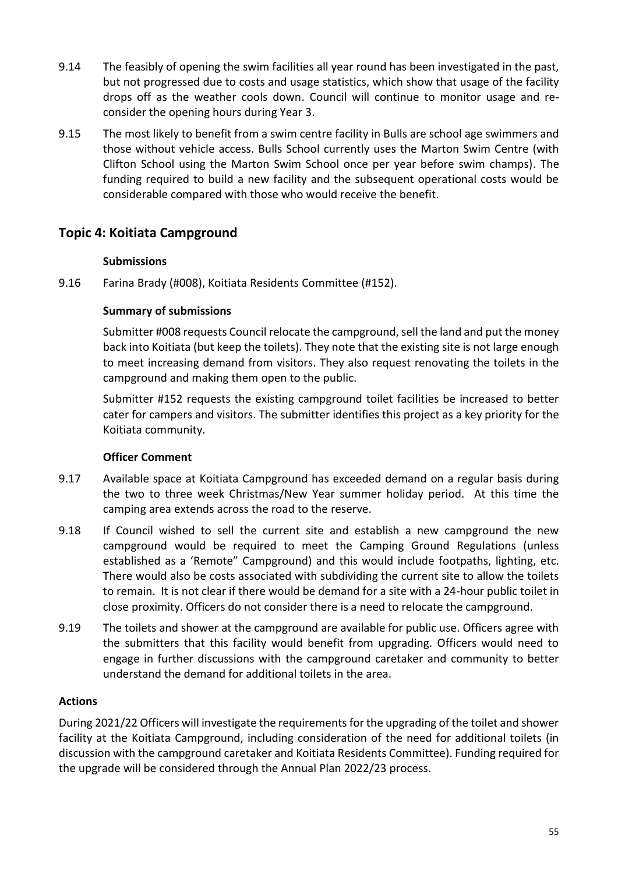- 9.14 The feasibly of opening the swim facilities all year round has been investigated in the past, but not progressed due to costs and usage statistics, which show that usage of the facility drops off as the weather cools down. Council will continue to monitor usage and reconsider the opening hours during Year 3.
- 9.15 The most likely to benefit from a swim centre facility in Bulls are school age swimmers and those without vehicle access. Bulls School currently uses the Marton Swim Centre (with Clifton School using the Marton Swim School once per year before swim champs). The funding required to build a new facility and the subsequent operational costs would be considerable compared with those who would receive the benefit.

# **Topic 4: Koitiata Campground**

## **Submissions**

9.16 Farina Brady (#008), Koitiata Residents Committee (#152).

### **Summary of submissions**

Submitter #008 requests Council relocate the campground, sell the land and put the money back into Koitiata (but keep the toilets). They note that the existing site is not large enough to meet increasing demand from visitors. They also request renovating the toilets in the campground and making them open to the public.

Submitter #152 requests the existing campground toilet facilities be increased to better cater for campers and visitors. The submitter identifies this project as a key priority for the Koitiata community.

## **Officer Comment**

- 9.17 Available space at Koitiata Campground has exceeded demand on a regular basis during the two to three week Christmas/New Year summer holiday period. At this time the camping area extends across the road to the reserve.
- 9.18 If Council wished to sell the current site and establish a new campground the new campground would be required to meet the Camping Ground Regulations (unless established as a 'Remote" Campground) and this would include footpaths, lighting, etc. There would also be costs associated with subdividing the current site to allow the toilets to remain. It is not clear if there would be demand for a site with a 24-hour public toilet in close proximity. Officers do not consider there is a need to relocate the campground.
- 9.19 The toilets and shower at the campground are available for public use. Officers agree with the submitters that this facility would benefit from upgrading. Officers would need to engage in further discussions with the campground caretaker and community to better understand the demand for additional toilets in the area.

## **Actions**

During 2021/22 Officers will investigate the requirements for the upgrading of the toilet and shower facility at the Koitiata Campground, including consideration of the need for additional toilets (in discussion with the campground caretaker and Koitiata Residents Committee). Funding required for the upgrade will be considered through the Annual Plan 2022/23 process.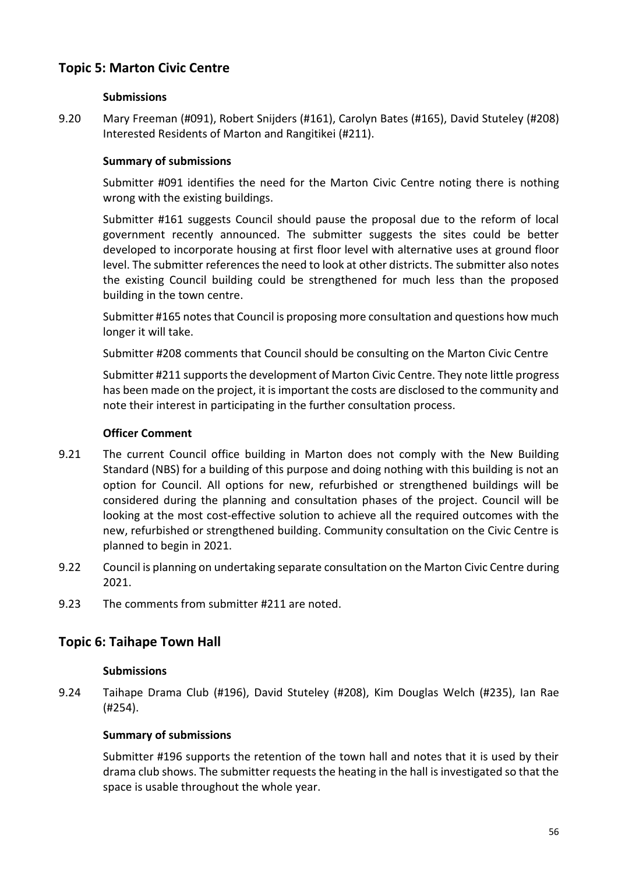# **Topic 5: Marton Civic Centre**

### **Submissions**

9.20 Mary Freeman (#091), Robert Snijders (#161), Carolyn Bates (#165), David Stuteley (#208) Interested Residents of Marton and Rangitikei (#211).

### **Summary of submissions**

Submitter #091 identifies the need for the Marton Civic Centre noting there is nothing wrong with the existing buildings.

Submitter #161 suggests Council should pause the proposal due to the reform of local government recently announced. The submitter suggests the sites could be better developed to incorporate housing at first floor level with alternative uses at ground floor level. The submitter references the need to look at other districts. The submitter also notes the existing Council building could be strengthened for much less than the proposed building in the town centre.

Submitter #165 notes that Council is proposing more consultation and questions how much longer it will take.

Submitter #208 comments that Council should be consulting on the Marton Civic Centre

Submitter #211 supports the development of Marton Civic Centre. They note little progress has been made on the project, it is important the costs are disclosed to the community and note their interest in participating in the further consultation process.

#### **Officer Comment**

- 9.21 The current Council office building in Marton does not comply with the New Building Standard (NBS) for a building of this purpose and doing nothing with this building is not an option for Council. All options for new, refurbished or strengthened buildings will be considered during the planning and consultation phases of the project. Council will be looking at the most cost-effective solution to achieve all the required outcomes with the new, refurbished or strengthened building. Community consultation on the Civic Centre is planned to begin in 2021.
- 9.22 Council is planning on undertaking separate consultation on the Marton Civic Centre during 2021.
- 9.23 The comments from submitter #211 are noted.

# **Topic 6: Taihape Town Hall**

#### **Submissions**

9.24 Taihape Drama Club (#196), David Stuteley (#208), Kim Douglas Welch (#235), Ian Rae (#254).

## **Summary of submissions**

Submitter #196 supports the retention of the town hall and notes that it is used by their drama club shows. The submitter requests the heating in the hall is investigated so that the space is usable throughout the whole year.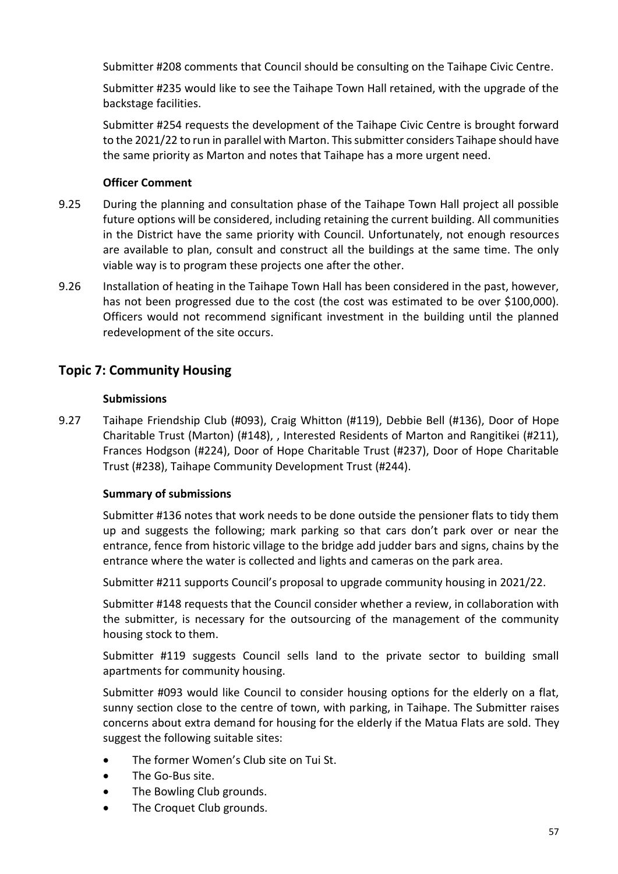Submitter #208 comments that Council should be consulting on the Taihape Civic Centre.

Submitter #235 would like to see the Taihape Town Hall retained, with the upgrade of the backstage facilities.

Submitter #254 requests the development of the Taihape Civic Centre is brought forward to the 2021/22 to run in parallel with Marton. This submitter considers Taihape should have the same priority as Marton and notes that Taihape has a more urgent need.

## **Officer Comment**

- 9.25 During the planning and consultation phase of the Taihape Town Hall project all possible future options will be considered, including retaining the current building. All communities in the District have the same priority with Council. Unfortunately, not enough resources are available to plan, consult and construct all the buildings at the same time. The only viable way is to program these projects one after the other.
- 9.26 Installation of heating in the Taihape Town Hall has been considered in the past, however, has not been progressed due to the cost (the cost was estimated to be over \$100,000). Officers would not recommend significant investment in the building until the planned redevelopment of the site occurs.

# **Topic 7: Community Housing**

## **Submissions**

9.27 Taihape Friendship Club (#093), Craig Whitton (#119), Debbie Bell (#136), Door of Hope Charitable Trust (Marton) (#148), , Interested Residents of Marton and Rangitikei (#211), Frances Hodgson (#224), Door of Hope Charitable Trust (#237), Door of Hope Charitable Trust (#238), Taihape Community Development Trust (#244).

# **Summary of submissions**

Submitter #136 notes that work needs to be done outside the pensioner flats to tidy them up and suggests the following; mark parking so that cars don't park over or near the entrance, fence from historic village to the bridge add judder bars and signs, chains by the entrance where the water is collected and lights and cameras on the park area.

Submitter #211 supports Council's proposal to upgrade community housing in 2021/22.

Submitter #148 requests that the Council consider whether a review, in collaboration with the submitter, is necessary for the outsourcing of the management of the community housing stock to them.

Submitter #119 suggests Council sells land to the private sector to building small apartments for community housing.

Submitter #093 would like Council to consider housing options for the elderly on a flat, sunny section close to the centre of town, with parking, in Taihape. The Submitter raises concerns about extra demand for housing for the elderly if the Matua Flats are sold. They suggest the following suitable sites:

- The former Women's Club site on Tui St.
- The Go-Bus site.
- The Bowling Club grounds.
- The Croquet Club grounds.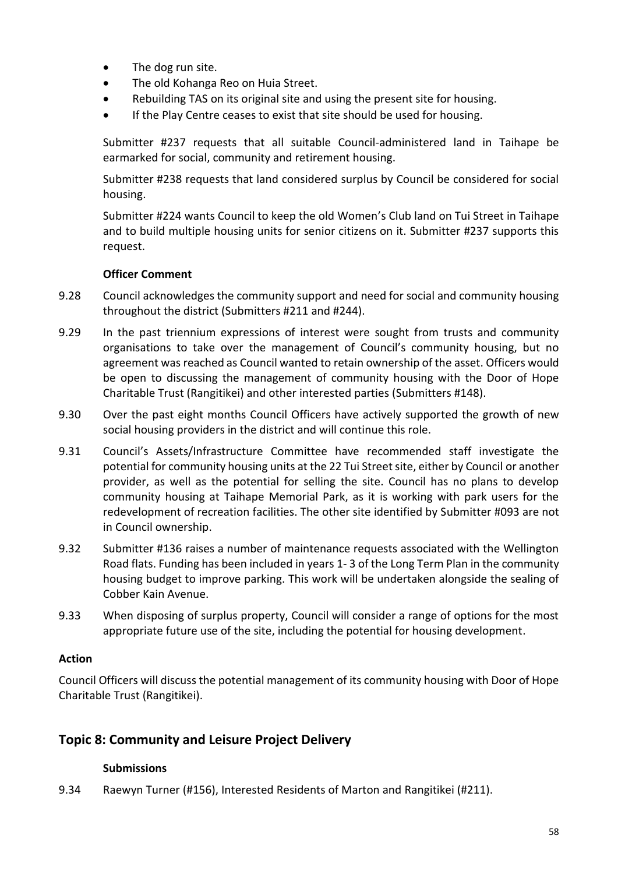- The dog run site.
- The old Kohanga Reo on Huia Street.
- Rebuilding TAS on its original site and using the present site for housing.
- If the Play Centre ceases to exist that site should be used for housing.

Submitter #237 requests that all suitable Council-administered land in Taihape be earmarked for social, community and retirement housing.

Submitter #238 requests that land considered surplus by Council be considered for social housing.

Submitter #224 wants Council to keep the old Women's Club land on Tui Street in Taihape and to build multiple housing units for senior citizens on it. Submitter #237 supports this request.

### **Officer Comment**

- 9.28 Council acknowledges the community support and need for social and community housing throughout the district (Submitters #211 and #244).
- 9.29 In the past triennium expressions of interest were sought from trusts and community organisations to take over the management of Council's community housing, but no agreement was reached as Council wanted to retain ownership of the asset. Officers would be open to discussing the management of community housing with the Door of Hope Charitable Trust (Rangitikei) and other interested parties (Submitters #148).
- 9.30 Over the past eight months Council Officers have actively supported the growth of new social housing providers in the district and will continue this role.
- 9.31 Council's Assets/Infrastructure Committee have recommended staff investigate the potential for community housing units at the 22 Tui Street site, either by Council or another provider, as well as the potential for selling the site. Council has no plans to develop community housing at Taihape Memorial Park, as it is working with park users for the redevelopment of recreation facilities. The other site identified by Submitter #093 are not in Council ownership.
- 9.32 Submitter #136 raises a number of maintenance requests associated with the Wellington Road flats. Funding has been included in years 1- 3 of the Long Term Plan in the community housing budget to improve parking. This work will be undertaken alongside the sealing of Cobber Kain Avenue.
- 9.33 When disposing of surplus property, Council will consider a range of options for the most appropriate future use of the site, including the potential for housing development.

#### **Action**

Council Officers will discuss the potential management of its community housing with Door of Hope Charitable Trust (Rangitikei).

# **Topic 8: Community and Leisure Project Delivery**

#### **Submissions**

9.34 Raewyn Turner (#156), Interested Residents of Marton and Rangitikei (#211).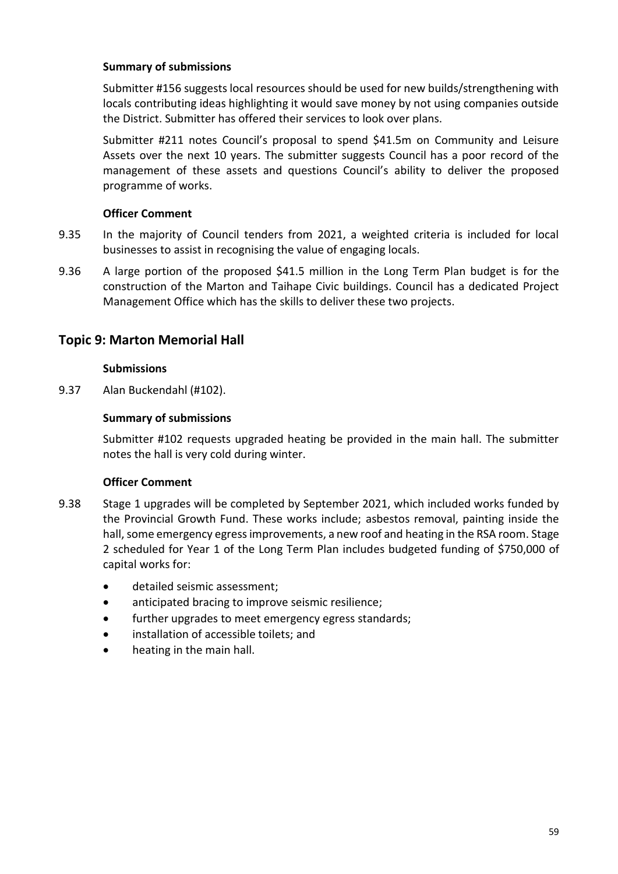### **Summary of submissions**

Submitter #156 suggests local resources should be used for new builds/strengthening with locals contributing ideas highlighting it would save money by not using companies outside the District. Submitter has offered their services to look over plans.

Submitter #211 notes Council's proposal to spend \$41.5m on Community and Leisure Assets over the next 10 years. The submitter suggests Council has a poor record of the management of these assets and questions Council's ability to deliver the proposed programme of works.

### **Officer Comment**

- 9.35 In the majority of Council tenders from 2021, a weighted criteria is included for local businesses to assist in recognising the value of engaging locals.
- 9.36 A large portion of the proposed \$41.5 million in the Long Term Plan budget is for the construction of the Marton and Taihape Civic buildings. Council has a dedicated Project Management Office which has the skills to deliver these two projects.

# **Topic 9: Marton Memorial Hall**

#### **Submissions**

9.37 Alan Buckendahl (#102).

### **Summary of submissions**

Submitter #102 requests upgraded heating be provided in the main hall. The submitter notes the hall is very cold during winter.

- 9.38 Stage 1 upgrades will be completed by September 2021, which included works funded by the Provincial Growth Fund. These works include; asbestos removal, painting inside the hall, some emergency egress improvements, a new roof and heating in the RSA room. Stage 2 scheduled for Year 1 of the Long Term Plan includes budgeted funding of \$750,000 of capital works for:
	- detailed seismic assessment;
	- anticipated bracing to improve seismic resilience;
	- further upgrades to meet emergency egress standards;
	- installation of accessible toilets; and
	- heating in the main hall.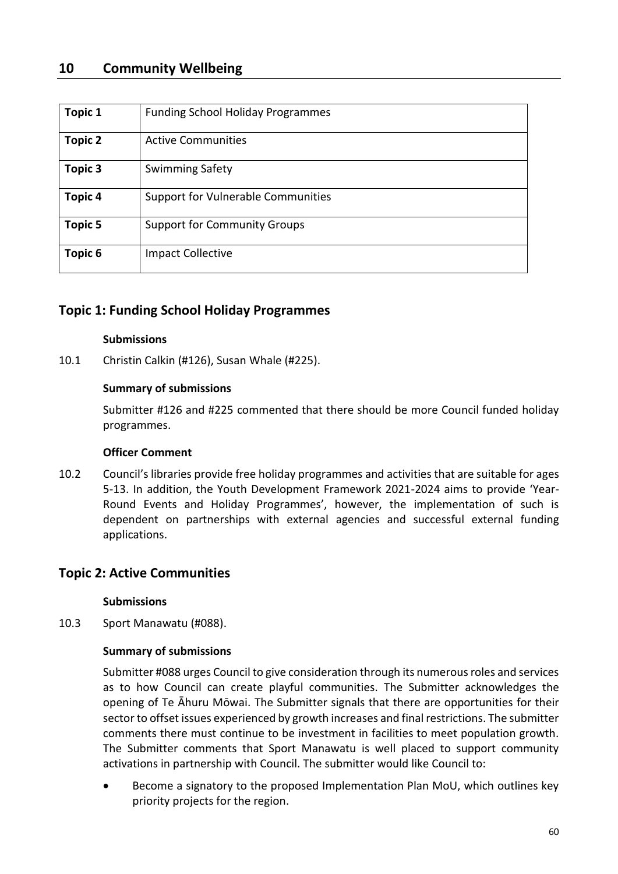# **10 Community Wellbeing**

| <b>Topic 1</b> | <b>Funding School Holiday Programmes</b> |
|----------------|------------------------------------------|
| <b>Topic 2</b> | <b>Active Communities</b>                |
| Topic 3        | <b>Swimming Safety</b>                   |
| <b>Topic 4</b> | Support for Vulnerable Communities       |
| Topic 5        | <b>Support for Community Groups</b>      |
| Topic 6        | <b>Impact Collective</b>                 |

## **Topic 1: Funding School Holiday Programmes**

#### **Submissions**

10.1 Christin Calkin (#126), Susan Whale (#225).

#### **Summary of submissions**

Submitter #126 and #225 commented that there should be more Council funded holiday programmes.

#### **Officer Comment**

10.2 Council's libraries provide free holiday programmes and activities that are suitable for ages 5-13. In addition, the Youth Development Framework 2021-2024 aims to provide 'Year-Round Events and Holiday Programmes', however, the implementation of such is dependent on partnerships with external agencies and successful external funding applications.

# **Topic 2: Active Communities**

**Submissions**

10.3 Sport Manawatu (#088).

# **Summary of submissions**

Submitter #088 urges Council to give consideration through its numerous roles and services as to how Council can create playful communities. The Submitter acknowledges the opening of Te Āhuru Mōwai. The Submitter signals that there are opportunities for their sector to offset issues experienced by growth increases and final restrictions. The submitter comments there must continue to be investment in facilities to meet population growth. The Submitter comments that Sport Manawatu is well placed to support community activations in partnership with Council. The submitter would like Council to:

• Become a signatory to the proposed Implementation Plan MoU, which outlines key priority projects for the region.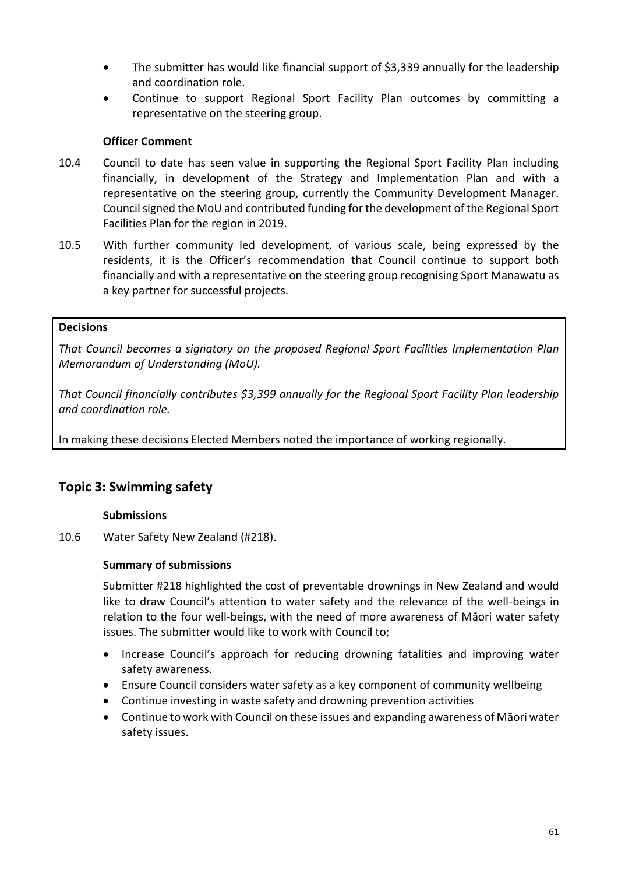- The submitter has would like financial support of \$3,339 annually for the leadership and coordination role.
- Continue to support Regional Sport Facility Plan outcomes by committing a representative on the steering group.

## **Officer Comment**

- 10.4 Council to date has seen value in supporting the Regional Sport Facility Plan including financially, in development of the Strategy and Implementation Plan and with a representative on the steering group, currently the Community Development Manager. Council signed the MoU and contributed funding for the development of the Regional Sport Facilities Plan for the region in 2019.
- 10.5 With further community led development, of various scale, being expressed by the residents, it is the Officer's recommendation that Council continue to support both financially and with a representative on the steering group recognising Sport Manawatu as a key partner for successful projects.

### **Decisions**

*That Council becomes a signatory on the proposed Regional Sport Facilities Implementation Plan Memorandum of Understanding (MoU).* 

*That Council financially contributes \$3,399 annually for the Regional Sport Facility Plan leadership and coordination role.* 

In making these decisions Elected Members noted the importance of working regionally.

# **Topic 3: Swimming safety**

## **Submissions**

10.6 Water Safety New Zealand (#218).

## **Summary of submissions**

Submitter #218 highlighted the cost of preventable drownings in New Zealand and would like to draw Council's attention to water safety and the relevance of the well-beings in relation to the four well-beings, with the need of more awareness of Māori water safety issues. The submitter would like to work with Council to;

- Increase Council's approach for reducing drowning fatalities and improving water safety awareness.
- Ensure Council considers water safety as a key component of community wellbeing
- Continue investing in waste safety and drowning prevention activities
- Continue to work with Council on these issues and expanding awareness of Māori water safety issues.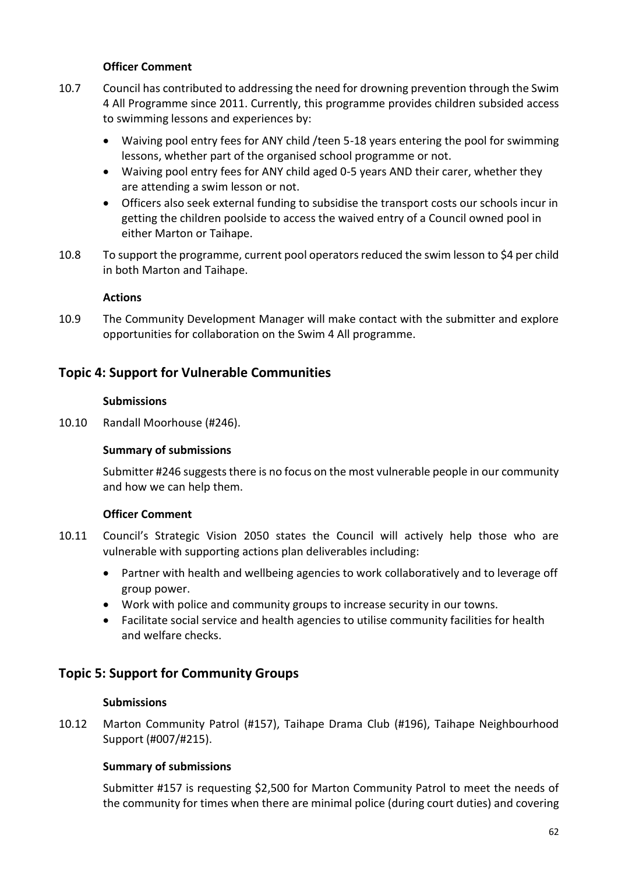## **Officer Comment**

- 10.7 Council has contributed to addressing the need for drowning prevention through the Swim 4 All Programme since 2011. Currently, this programme provides children subsided access to swimming lessons and experiences by:
	- Waiving pool entry fees for ANY child /teen 5-18 years entering the pool for swimming lessons, whether part of the organised school programme or not.
	- Waiving pool entry fees for ANY child aged 0-5 years AND their carer, whether they are attending a swim lesson or not.
	- Officers also seek external funding to subsidise the transport costs our schools incur in getting the children poolside to access the waived entry of a Council owned pool in either Marton or Taihape.
- 10.8 To support the programme, current pool operators reduced the swim lesson to \$4 per child in both Marton and Taihape.

### **Actions**

10.9 The Community Development Manager will make contact with the submitter and explore opportunities for collaboration on the Swim 4 All programme.

## **Topic 4: Support for Vulnerable Communities**

#### **Submissions**

10.10 Randall Moorhouse (#246).

#### **Summary of submissions**

Submitter #246 suggests there is no focus on the most vulnerable people in our community and how we can help them.

#### **Officer Comment**

- 10.11 Council's Strategic Vision 2050 states the Council will actively help those who are vulnerable with supporting actions plan deliverables including:
	- Partner with health and wellbeing agencies to work collaboratively and to leverage off group power.
	- Work with police and community groups to increase security in our towns.
	- Facilitate social service and health agencies to utilise community facilities for health and welfare checks.

# **Topic 5: Support for Community Groups**

#### **Submissions**

10.12 Marton Community Patrol (#157), Taihape Drama Club (#196), Taihape Neighbourhood Support (#007/#215).

## **Summary of submissions**

Submitter #157 is requesting \$2,500 for Marton Community Patrol to meet the needs of the community for times when there are minimal police (during court duties) and covering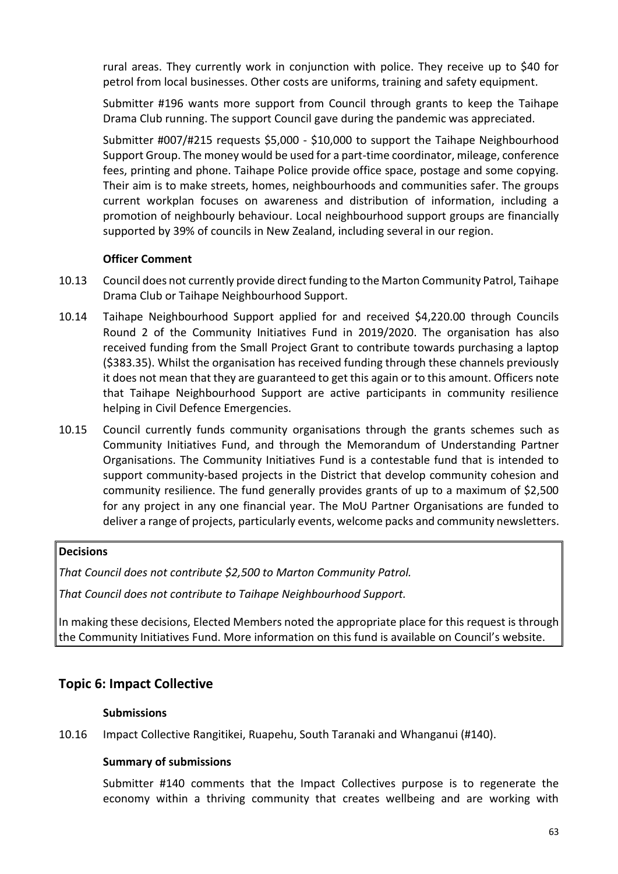rural areas. They currently work in conjunction with police. They receive up to \$40 for petrol from local businesses. Other costs are uniforms, training and safety equipment.

Submitter #196 wants more support from Council through grants to keep the Taihape Drama Club running. The support Council gave during the pandemic was appreciated.

Submitter #007/#215 requests \$5,000 - \$10,000 to support the Taihape Neighbourhood Support Group. The money would be used for a part-time coordinator, mileage, conference fees, printing and phone. Taihape Police provide office space, postage and some copying. Their aim is to make streets, homes, neighbourhoods and communities safer. The groups current workplan focuses on awareness and distribution of information, including a promotion of neighbourly behaviour. Local neighbourhood support groups are financially supported by 39% of councils in New Zealand, including several in our region.

## **Officer Comment**

- 10.13 Council does not currently provide direct funding to the Marton Community Patrol, Taihape Drama Club or Taihape Neighbourhood Support.
- 10.14 Taihape Neighbourhood Support applied for and received \$4,220.00 through Councils Round 2 of the Community Initiatives Fund in 2019/2020. The organisation has also received funding from the Small Project Grant to contribute towards purchasing a laptop (\$383.35). Whilst the organisation has received funding through these channels previously it does not mean that they are guaranteed to get this again or to this amount. Officers note that Taihape Neighbourhood Support are active participants in community resilience helping in Civil Defence Emergencies.
- 10.15 Council currently funds community organisations through the grants schemes such as Community Initiatives Fund, and through the Memorandum of Understanding Partner Organisations. The Community Initiatives Fund is a contestable fund that is intended to support community-based projects in the District that develop community cohesion and community resilience. The fund generally provides grants of up to a maximum of \$2,500 for any project in any one financial year. The MoU Partner Organisations are funded to deliver a range of projects, particularly events, welcome packs and community newsletters.

#### **Decisions**

*That Council does not contribute \$2,500 to Marton Community Patrol.*

*That Council does not contribute to Taihape Neighbourhood Support.*

In making these decisions, Elected Members noted the appropriate place for this request is through the Community Initiatives Fund. More information on this fund is available on Council's website.

# **Topic 6: Impact Collective**

## **Submissions**

10.16 Impact Collective Rangitikei, Ruapehu, South Taranaki and Whanganui (#140).

## **Summary of submissions**

Submitter #140 comments that the Impact Collectives purpose is to regenerate the economy within a thriving community that creates wellbeing and are working with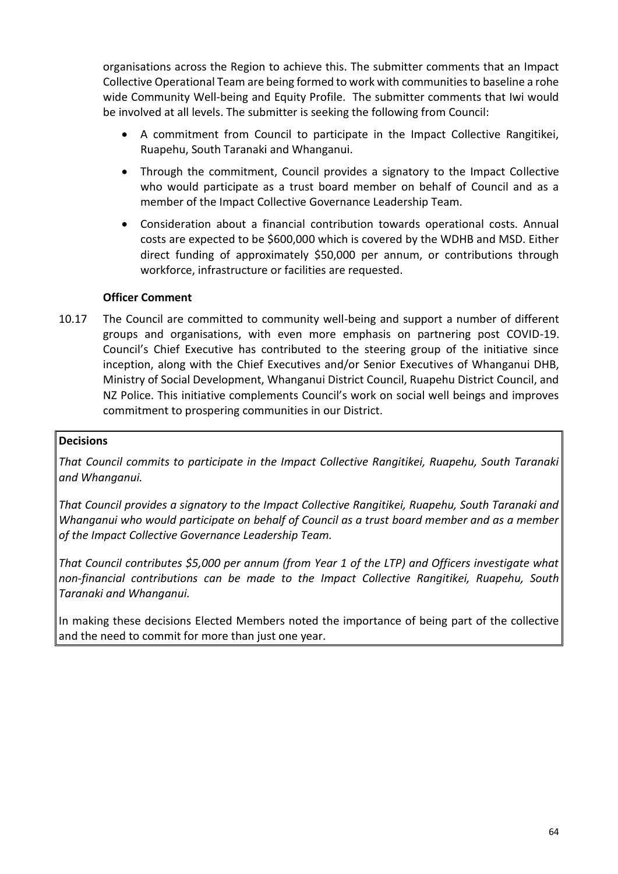organisations across the Region to achieve this. The submitter comments that an Impact Collective Operational Team are being formed to work with communities to baseline a rohe wide Community Well-being and Equity Profile. The submitter comments that Iwi would be involved at all levels. The submitter is seeking the following from Council:

- A commitment from Council to participate in the Impact Collective Rangitikei, Ruapehu, South Taranaki and Whanganui.
- Through the commitment, Council provides a signatory to the Impact Collective who would participate as a trust board member on behalf of Council and as a member of the Impact Collective Governance Leadership Team.
- Consideration about a financial contribution towards operational costs. Annual costs are expected to be \$600,000 which is covered by the WDHB and MSD. Either direct funding of approximately \$50,000 per annum, or contributions through workforce, infrastructure or facilities are requested.

## **Officer Comment**

10.17 The Council are committed to community well-being and support a number of different groups and organisations, with even more emphasis on partnering post COVID-19. Council's Chief Executive has contributed to the steering group of the initiative since inception, along with the Chief Executives and/or Senior Executives of Whanganui DHB, Ministry of Social Development, Whanganui District Council, Ruapehu District Council, and NZ Police. This initiative complements Council's work on social well beings and improves commitment to prospering communities in our District.

#### **Decisions**

*That Council commits to participate in the Impact Collective Rangitikei, Ruapehu, South Taranaki and Whanganui.*

*That Council provides a signatory to the Impact Collective Rangitikei, Ruapehu, South Taranaki and Whanganui who would participate on behalf of Council as a trust board member and as a member of the Impact Collective Governance Leadership Team.* 

*That Council contributes \$5,000 per annum (from Year 1 of the LTP) and Officers investigate what non-financial contributions can be made to the Impact Collective Rangitikei, Ruapehu, South Taranaki and Whanganui.*

In making these decisions Elected Members noted the importance of being part of the collective and the need to commit for more than just one year.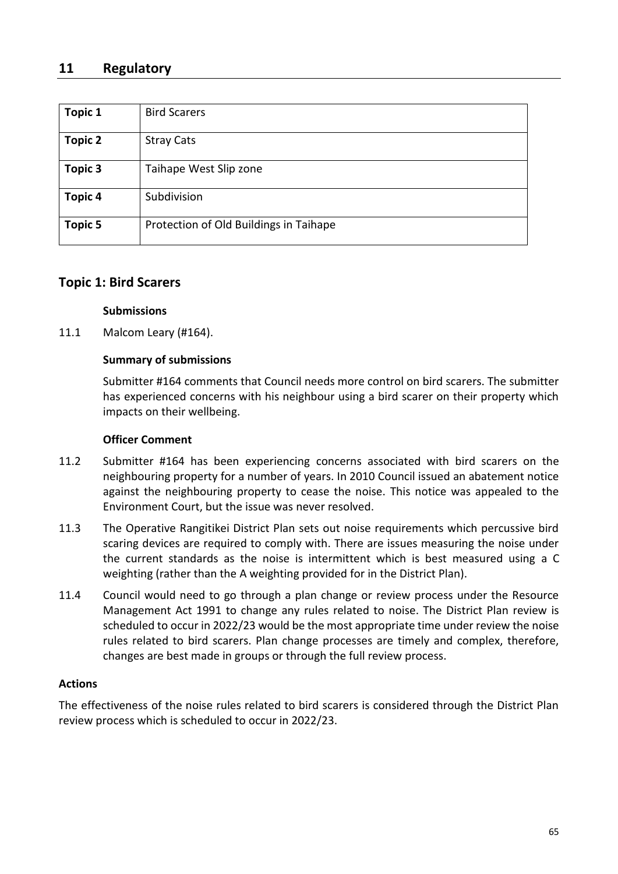# **11 Regulatory**

| Topic 1        | <b>Bird Scarers</b>                    |
|----------------|----------------------------------------|
| <b>Topic 2</b> | <b>Stray Cats</b>                      |
| Topic 3        | Taihape West Slip zone                 |
| <b>Topic 4</b> | Subdivision                            |
| <b>Topic 5</b> | Protection of Old Buildings in Taihape |

## **Topic 1: Bird Scarers**

#### **Submissions**

11.1 Malcom Leary (#164).

### **Summary of submissions**

Submitter #164 comments that Council needs more control on bird scarers. The submitter has experienced concerns with his neighbour using a bird scarer on their property which impacts on their wellbeing.

#### **Officer Comment**

- 11.2 Submitter #164 has been experiencing concerns associated with bird scarers on the neighbouring property for a number of years. In 2010 Council issued an abatement notice against the neighbouring property to cease the noise. This notice was appealed to the Environment Court, but the issue was never resolved.
- 11.3 The Operative Rangitikei District Plan sets out noise requirements which percussive bird scaring devices are required to comply with. There are issues measuring the noise under the current standards as the noise is intermittent which is best measured using a C weighting (rather than the A weighting provided for in the District Plan).
- 11.4 Council would need to go through a plan change or review process under the Resource Management Act 1991 to change any rules related to noise. The District Plan review is scheduled to occur in 2022/23 would be the most appropriate time under review the noise rules related to bird scarers. Plan change processes are timely and complex, therefore, changes are best made in groups or through the full review process.

#### **Actions**

The effectiveness of the noise rules related to bird scarers is considered through the District Plan review process which is scheduled to occur in 2022/23.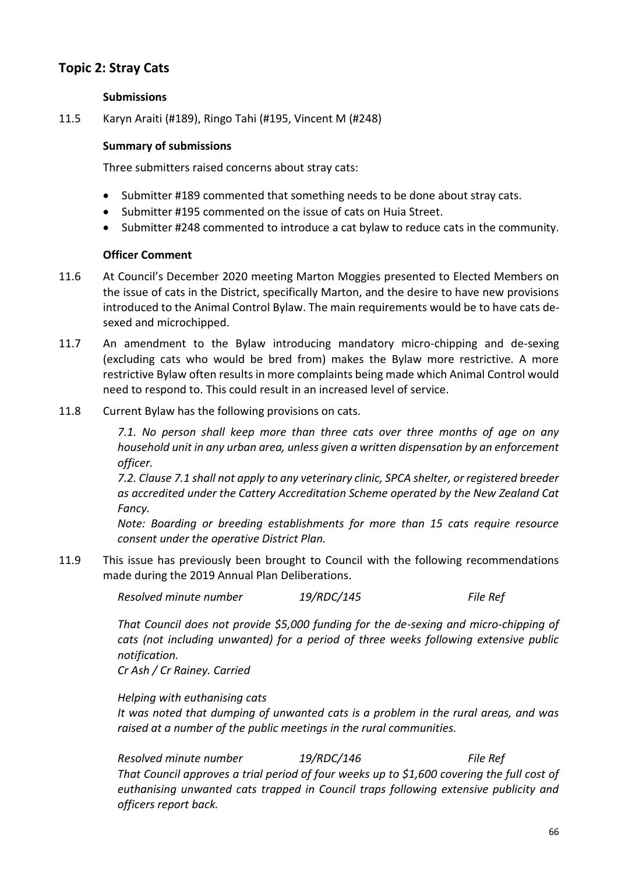# **Topic 2: Stray Cats**

#### **Submissions**

11.5 Karyn Araiti (#189), Ringo Tahi (#195, Vincent M (#248)

### **Summary of submissions**

Three submitters raised concerns about stray cats:

- Submitter #189 commented that something needs to be done about stray cats.
- Submitter #195 commented on the issue of cats on Huia Street.
- Submitter #248 commented to introduce a cat bylaw to reduce cats in the community.

#### **Officer Comment**

- 11.6 At Council's December 2020 meeting Marton Moggies presented to Elected Members on the issue of cats in the District, specifically Marton, and the desire to have new provisions introduced to the Animal Control Bylaw. The main requirements would be to have cats desexed and microchipped.
- 11.7 An amendment to the Bylaw introducing mandatory micro-chipping and de-sexing (excluding cats who would be bred from) makes the Bylaw more restrictive. A more restrictive Bylaw often results in more complaints being made which Animal Control would need to respond to. This could result in an increased level of service.
- 11.8 Current Bylaw has the following provisions on cats.

*7.1. No person shall keep more than three cats over three months of age on any household unit in any urban area, unless given a written dispensation by an enforcement officer.*

*7.2. Clause 7.1 shall not apply to any veterinary clinic, SPCA shelter, or registered breeder as accredited under the Cattery Accreditation Scheme operated by the New Zealand Cat Fancy.*

*Note: Boarding or breeding establishments for more than 15 cats require resource consent under the operative District Plan.*

11.9 This issue has previously been brought to Council with the following recommendations made during the 2019 Annual Plan Deliberations.

*Resolved minute number 19/RDC/145 File Ref* 

*That Council does not provide \$5,000 funding for the de-sexing and micro-chipping of cats (not including unwanted) for a period of three weeks following extensive public notification. Cr Ash / Cr Rainey. Carried*

*Helping with euthanising cats* 

*It was noted that dumping of unwanted cats is a problem in the rural areas, and was raised at a number of the public meetings in the rural communities.*

*Resolved minute number 19/RDC/146 File Ref That Council approves a trial period of four weeks up to \$1,600 covering the full cost of euthanising unwanted cats trapped in Council traps following extensive publicity and officers report back.*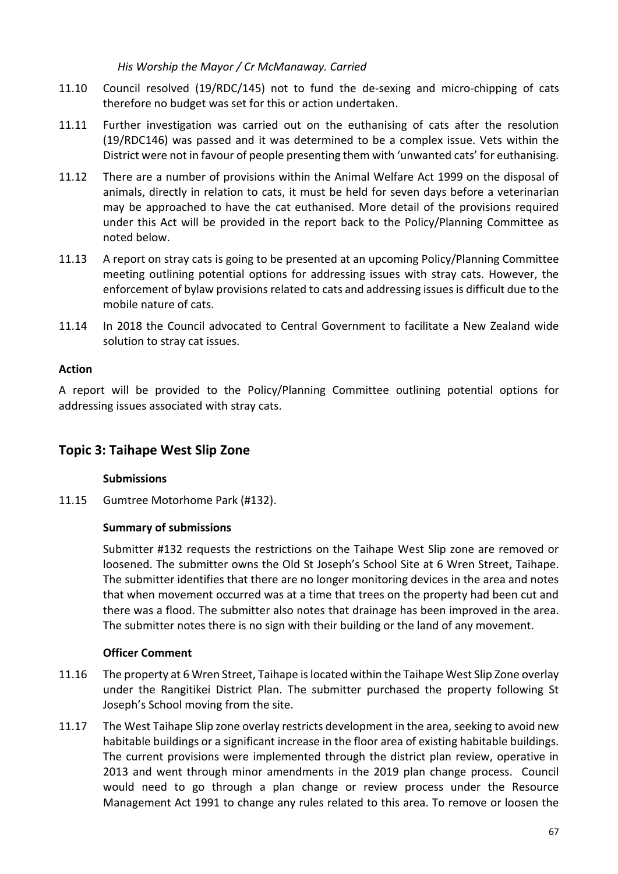#### *His Worship the Mayor / Cr McManaway. Carried*

- 11.10 Council resolved (19/RDC/145) not to fund the de-sexing and micro-chipping of cats therefore no budget was set for this or action undertaken.
- 11.11 Further investigation was carried out on the euthanising of cats after the resolution (19/RDC146) was passed and it was determined to be a complex issue. Vets within the District were not in favour of people presenting them with 'unwanted cats' for euthanising.
- 11.12 There are a number of provisions within the Animal Welfare Act 1999 on the disposal of animals, directly in relation to cats, it must be held for seven days before a veterinarian may be approached to have the cat euthanised. More detail of the provisions required under this Act will be provided in the report back to the Policy/Planning Committee as noted below.
- 11.13 A report on stray cats is going to be presented at an upcoming Policy/Planning Committee meeting outlining potential options for addressing issues with stray cats. However, the enforcement of bylaw provisions related to cats and addressing issues is difficult due to the mobile nature of cats.
- 11.14 In 2018 the Council advocated to Central Government to facilitate a New Zealand wide solution to stray cat issues.

### **Action**

A report will be provided to the Policy/Planning Committee outlining potential options for addressing issues associated with stray cats.

# **Topic 3: Taihape West Slip Zone**

## **Submissions**

11.15 Gumtree Motorhome Park (#132).

## **Summary of submissions**

Submitter #132 requests the restrictions on the Taihape West Slip zone are removed or loosened. The submitter owns the Old St Joseph's School Site at 6 Wren Street, Taihape. The submitter identifies that there are no longer monitoring devices in the area and notes that when movement occurred was at a time that trees on the property had been cut and there was a flood. The submitter also notes that drainage has been improved in the area. The submitter notes there is no sign with their building or the land of any movement.

- 11.16 The property at 6 Wren Street, Taihape is located within the Taihape West Slip Zone overlay under the Rangitikei District Plan. The submitter purchased the property following St Joseph's School moving from the site.
- 11.17 The West Taihape Slip zone overlay restricts development in the area, seeking to avoid new habitable buildings or a significant increase in the floor area of existing habitable buildings. The current provisions were implemented through the district plan review, operative in 2013 and went through minor amendments in the 2019 plan change process. Council would need to go through a plan change or review process under the Resource Management Act 1991 to change any rules related to this area. To remove or loosen the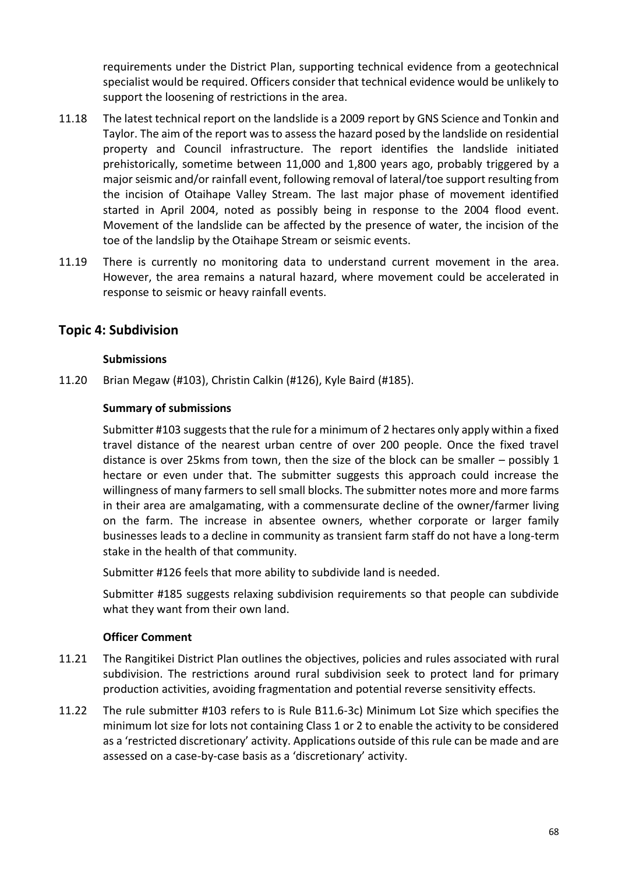requirements under the District Plan, supporting technical evidence from a geotechnical specialist would be required. Officers consider that technical evidence would be unlikely to support the loosening of restrictions in the area.

- 11.18 The latest technical report on the landslide is a 2009 report by GNS Science and Tonkin and Taylor. The aim of the report was to assess the hazard posed by the landslide on residential property and Council infrastructure. The report identifies the landslide initiated prehistorically, sometime between 11,000 and 1,800 years ago, probably triggered by a major seismic and/or rainfall event, following removal of lateral/toe support resulting from the incision of Otaihape Valley Stream. The last major phase of movement identified started in April 2004, noted as possibly being in response to the 2004 flood event. Movement of the landslide can be affected by the presence of water, the incision of the toe of the landslip by the Otaihape Stream or seismic events.
- 11.19 There is currently no monitoring data to understand current movement in the area. However, the area remains a natural hazard, where movement could be accelerated in response to seismic or heavy rainfall events.

# **Topic 4: Subdivision**

### **Submissions**

11.20 Brian Megaw (#103), Christin Calkin (#126), Kyle Baird (#185).

### **Summary of submissions**

Submitter #103 suggests that the rule for a minimum of 2 hectares only apply within a fixed travel distance of the nearest urban centre of over 200 people. Once the fixed travel distance is over 25kms from town, then the size of the block can be smaller – possibly 1 hectare or even under that. The submitter suggests this approach could increase the willingness of many farmers to sell small blocks. The submitter notes more and more farms in their area are amalgamating, with a commensurate decline of the owner/farmer living on the farm. The increase in absentee owners, whether corporate or larger family businesses leads to a decline in community as transient farm staff do not have a long-term stake in the health of that community.

Submitter #126 feels that more ability to subdivide land is needed.

Submitter #185 suggests relaxing subdivision requirements so that people can subdivide what they want from their own land.

- 11.21 The Rangitikei District Plan outlines the objectives, policies and rules associated with rural subdivision. The restrictions around rural subdivision seek to protect land for primary production activities, avoiding fragmentation and potential reverse sensitivity effects.
- 11.22 The rule submitter #103 refers to is Rule B11.6-3c) Minimum Lot Size which specifies the minimum lot size for lots not containing Class 1 or 2 to enable the activity to be considered as a 'restricted discretionary' activity. Applications outside of this rule can be made and are assessed on a case-by-case basis as a 'discretionary' activity.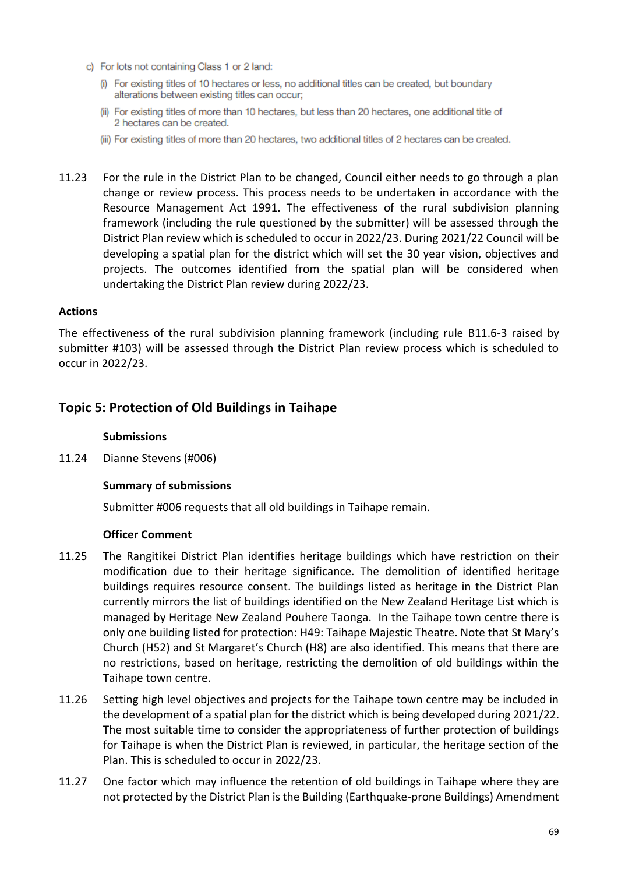- c) For lots not containing Class 1 or 2 land:
	- (i) For existing titles of 10 hectares or less, no additional titles can be created, but boundary alterations between existing titles can occur;
	- (ii) For existing titles of more than 10 hectares, but less than 20 hectares, one additional title of 2 hectares can be created.
	- (iii) For existing titles of more than 20 hectares, two additional titles of 2 hectares can be created.
- 11.23 For the rule in the District Plan to be changed, Council either needs to go through a plan change or review process. This process needs to be undertaken in accordance with the Resource Management Act 1991. The effectiveness of the rural subdivision planning framework (including the rule questioned by the submitter) will be assessed through the District Plan review which is scheduled to occur in 2022/23. During 2021/22 Council will be developing a spatial plan for the district which will set the 30 year vision, objectives and projects. The outcomes identified from the spatial plan will be considered when undertaking the District Plan review during 2022/23.

#### **Actions**

The effectiveness of the rural subdivision planning framework (including rule B11.6-3 raised by submitter #103) will be assessed through the District Plan review process which is scheduled to occur in 2022/23.

# **Topic 5: Protection of Old Buildings in Taihape**

#### **Submissions**

11.24 Dianne Stevens (#006)

#### **Summary of submissions**

Submitter #006 requests that all old buildings in Taihape remain.

- 11.25 The Rangitikei District Plan identifies heritage buildings which have restriction on their modification due to their heritage significance. The demolition of identified heritage buildings requires resource consent. The buildings listed as heritage in the District Plan currently mirrors the list of buildings identified on the New Zealand Heritage List which is managed by Heritage New Zealand Pouhere Taonga. In the Taihape town centre there is only one building listed for protection: H49: Taihape Majestic Theatre. Note that St Mary's Church (H52) and St Margaret's Church (H8) are also identified. This means that there are no restrictions, based on heritage, restricting the demolition of old buildings within the Taihape town centre.
- 11.26 Setting high level objectives and projects for the Taihape town centre may be included in the development of a spatial plan for the district which is being developed during 2021/22. The most suitable time to consider the appropriateness of further protection of buildings for Taihape is when the District Plan is reviewed, in particular, the heritage section of the Plan. This is scheduled to occur in 2022/23.
- 11.27 One factor which may influence the retention of old buildings in Taihape where they are not protected by the District Plan is the Building (Earthquake-prone Buildings) Amendment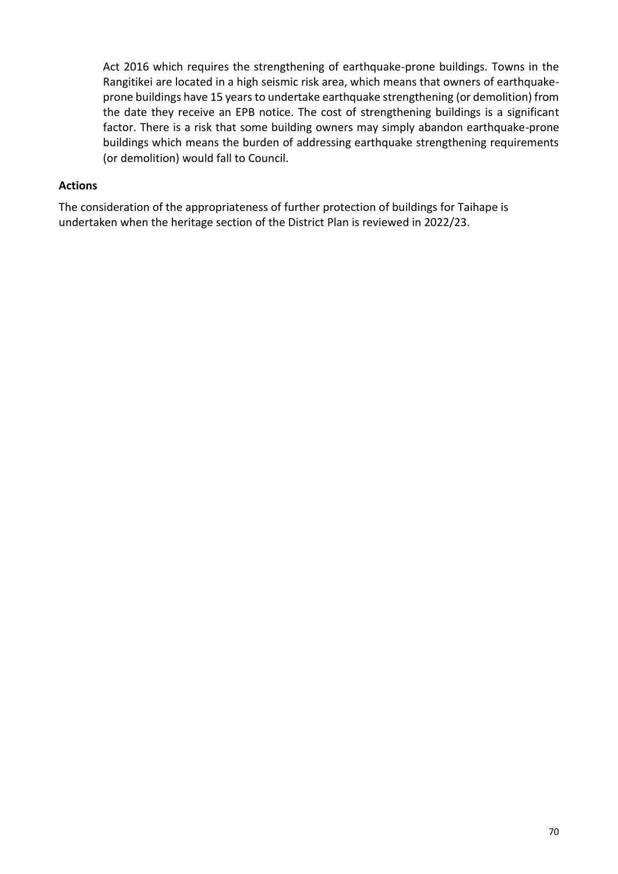Act 2016 which requires the strengthening of earthquake-prone buildings. Towns in the Rangitikei are located in a high seismic risk area, which means that owners of earthquakeprone buildings have 15 years to undertake earthquake strengthening (or demolition) from the date they receive an EPB notice. The cost of strengthening buildings is a significant factor. There is a risk that some building owners may simply abandon earthquake-prone buildings which means the burden of addressing earthquake strengthening requirements (or demolition) would fall to Council.

#### **Actions**

The consideration of the appropriateness of further protection of buildings for Taihape is undertaken when the heritage section of the District Plan is reviewed in 2022/23.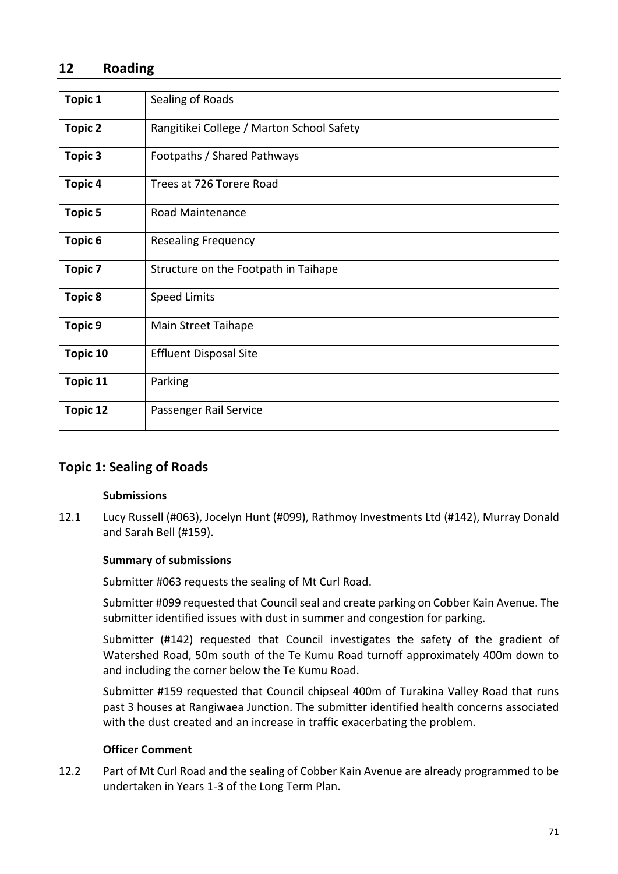# **12 Roading**

| <b>Topic 1</b>  | Sealing of Roads                          |  |  |  |  |  |
|-----------------|-------------------------------------------|--|--|--|--|--|
| <b>Topic 2</b>  | Rangitikei College / Marton School Safety |  |  |  |  |  |
| Topic 3         | Footpaths / Shared Pathways               |  |  |  |  |  |
| Topic 4         | Trees at 726 Torere Road                  |  |  |  |  |  |
| <b>Topic 5</b>  | Road Maintenance                          |  |  |  |  |  |
| Topic 6         | <b>Resealing Frequency</b>                |  |  |  |  |  |
| <b>Topic 7</b>  | Structure on the Footpath in Taihape      |  |  |  |  |  |
| <b>Topic 8</b>  | <b>Speed Limits</b>                       |  |  |  |  |  |
| Topic 9         | Main Street Taihape                       |  |  |  |  |  |
| <b>Topic 10</b> | <b>Effluent Disposal Site</b>             |  |  |  |  |  |
| Topic 11        | Parking                                   |  |  |  |  |  |
| <b>Topic 12</b> | Passenger Rail Service                    |  |  |  |  |  |

# **Topic 1: Sealing of Roads**

#### **Submissions**

12.1 Lucy Russell (#063), Jocelyn Hunt (#099), Rathmoy Investments Ltd (#142), Murray Donald and Sarah Bell (#159).

## **Summary of submissions**

Submitter #063 requests the sealing of Mt Curl Road.

Submitter #099 requested that Council seal and create parking on Cobber Kain Avenue. The submitter identified issues with dust in summer and congestion for parking.

Submitter (#142) requested that Council investigates the safety of the gradient of Watershed Road, 50m south of the Te Kumu Road turnoff approximately 400m down to and including the corner below the Te Kumu Road.

Submitter #159 requested that Council chipseal 400m of Turakina Valley Road that runs past 3 houses at Rangiwaea Junction. The submitter identified health concerns associated with the dust created and an increase in traffic exacerbating the problem.

#### **Officer Comment**

12.2 Part of Mt Curl Road and the sealing of Cobber Kain Avenue are already programmed to be undertaken in Years 1-3 of the Long Term Plan.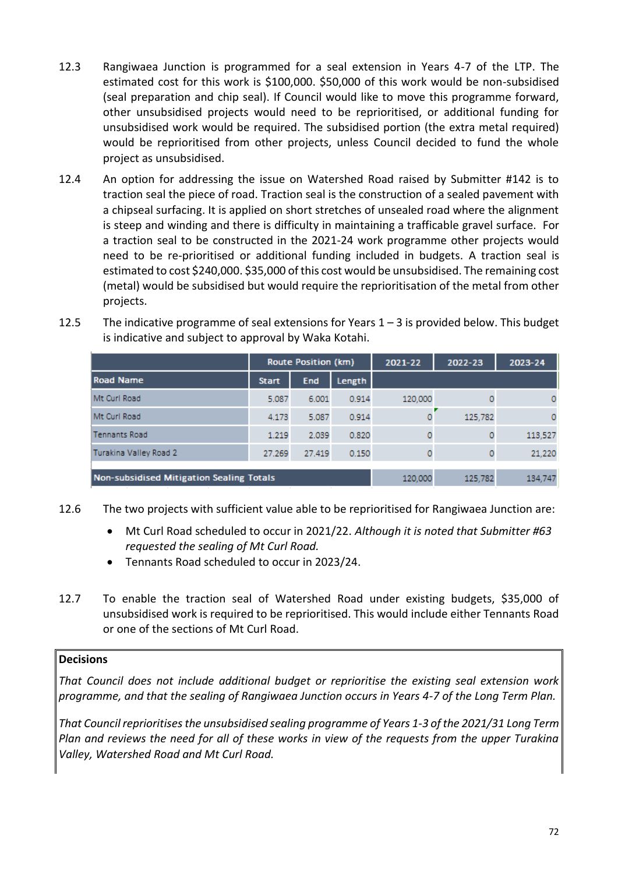- 12.3 Rangiwaea Junction is programmed for a seal extension in Years 4-7 of the LTP. The estimated cost for this work is \$100,000. \$50,000 of this work would be non-subsidised (seal preparation and chip seal). If Council would like to move this programme forward, other unsubsidised projects would need to be reprioritised, or additional funding for unsubsidised work would be required. The subsidised portion (the extra metal required) would be reprioritised from other projects, unless Council decided to fund the whole project as unsubsidised.
- 12.4 An option for addressing the issue on Watershed Road raised by Submitter #142 is to traction seal the piece of road. Traction seal is the construction of a sealed pavement with a chipseal surfacing. It is applied on short stretches of unsealed road where the alignment is steep and winding and there is difficulty in maintaining a trafficable gravel surface. For a traction seal to be constructed in the 2021-24 work programme other projects would need to be re-prioritised or additional funding included in budgets. A traction seal is estimated to cost \$240,000. \$35,000 of this cost would be unsubsidised. The remaining cost (metal) would be subsidised but would require the reprioritisation of the metal from other projects.

|                                                                                                                                             | Route Position (km) |            | 2021-22 | 2022-23 | 2023-24 |         |
|---------------------------------------------------------------------------------------------------------------------------------------------|---------------------|------------|---------|---------|---------|---------|
| Road Name                                                                                                                                   | <b>Start</b>        | <b>End</b> | Length  |         |         |         |
| Mt Curl Road                                                                                                                                | 5.087               | 6.001      | 0.914   | 120,000 |         |         |
| Mt Curl Road                                                                                                                                | 4.173               | 5.087      | 0.914   | ٥       | 125,782 | ٥       |
| <b>Tennants Road</b>                                                                                                                        | 1.219               | 2.039      | 0.820   |         | 0       | 113,527 |
| Turakina Valley Road 2                                                                                                                      | 27.269              | 27.419     | 0.150   | ٥       | 0       | 21,220  |
| Non-subsidised Mitigation Sealing Totals<br>the contract of the contract of the contract of the contract of the contract of the contract of |                     |            |         | 120,000 | 125,782 | 134,747 |

12.5 The indicative programme of seal extensions for Years  $1 - 3$  is provided below. This budget is indicative and subject to approval by Waka Kotahi.

- 12.6 The two projects with sufficient value able to be reprioritised for Rangiwaea Junction are:
	- Mt Curl Road scheduled to occur in 2021/22. *Although it is noted that Submitter #63 requested the sealing of Mt Curl Road.*
	- Tennants Road scheduled to occur in 2023/24.
- 12.7 To enable the traction seal of Watershed Road under existing budgets, \$35,000 of unsubsidised work is required to be reprioritised. This would include either Tennants Road or one of the sections of Mt Curl Road.

## **Decisions**

*That Council does not include additional budget or reprioritise the existing seal extension work programme, and that the sealing of Rangiwaea Junction occurs in Years 4-7 of the Long Term Plan.*

*That Council reprioritises the unsubsidised sealing programme of Years 1-3 of the 2021/31 Long Term Plan and reviews the need for all of these works in view of the requests from the upper Turakina Valley, Watershed Road and Mt Curl Road.*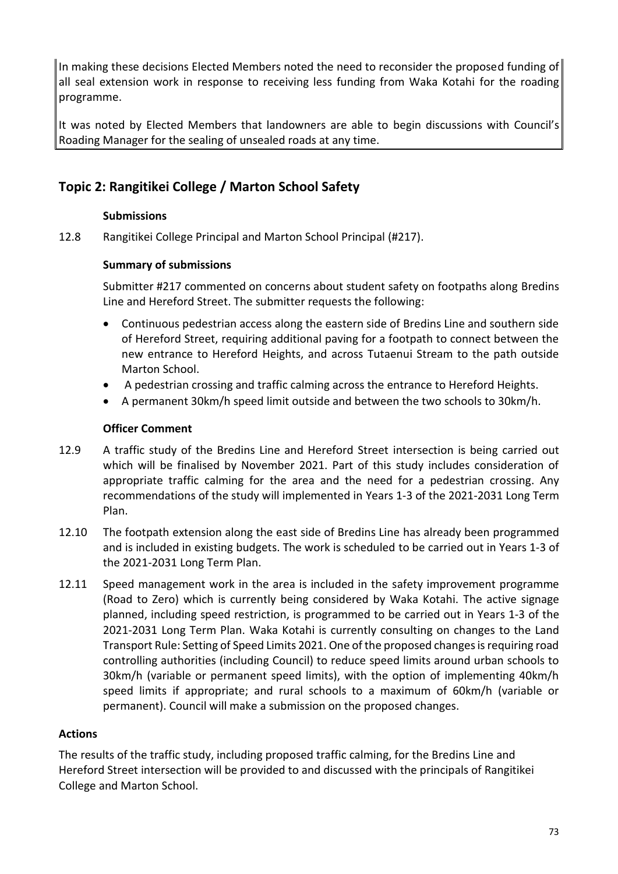In making these decisions Elected Members noted the need to reconsider the proposed funding of all seal extension work in response to receiving less funding from Waka Kotahi for the roading programme.

It was noted by Elected Members that landowners are able to begin discussions with Council's Roading Manager for the sealing of unsealed roads at any time.

# **Topic 2: Rangitikei College / Marton School Safety**

## **Submissions**

12.8 Rangitikei College Principal and Marton School Principal (#217).

## **Summary of submissions**

Submitter #217 commented on concerns about student safety on footpaths along Bredins Line and Hereford Street. The submitter requests the following:

- Continuous pedestrian access along the eastern side of Bredins Line and southern side of Hereford Street, requiring additional paving for a footpath to connect between the new entrance to Hereford Heights, and across Tutaenui Stream to the path outside Marton School.
- A pedestrian crossing and traffic calming across the entrance to Hereford Heights.
- A permanent 30km/h speed limit outside and between the two schools to 30km/h.

## **Officer Comment**

- 12.9 A traffic study of the Bredins Line and Hereford Street intersection is being carried out which will be finalised by November 2021. Part of this study includes consideration of appropriate traffic calming for the area and the need for a pedestrian crossing. Any recommendations of the study will implemented in Years 1-3 of the 2021-2031 Long Term Plan.
- 12.10 The footpath extension along the east side of Bredins Line has already been programmed and is included in existing budgets. The work is scheduled to be carried out in Years 1-3 of the 2021-2031 Long Term Plan.
- 12.11 Speed management work in the area is included in the safety improvement programme (Road to Zero) which is currently being considered by Waka Kotahi. The active signage planned, including speed restriction, is programmed to be carried out in Years 1-3 of the 2021-2031 Long Term Plan. Waka Kotahi is currently consulting on changes to the Land Transport Rule: Setting of Speed Limits 2021. One of the proposed changes is requiring road controlling authorities (including Council) to reduce speed limits around urban schools to 30km/h (variable or permanent speed limits), with the option of implementing 40km/h speed limits if appropriate; and rural schools to a maximum of 60km/h (variable or permanent). Council will make a submission on the proposed changes.

## **Actions**

The results of the traffic study, including proposed traffic calming, for the Bredins Line and Hereford Street intersection will be provided to and discussed with the principals of Rangitikei College and Marton School.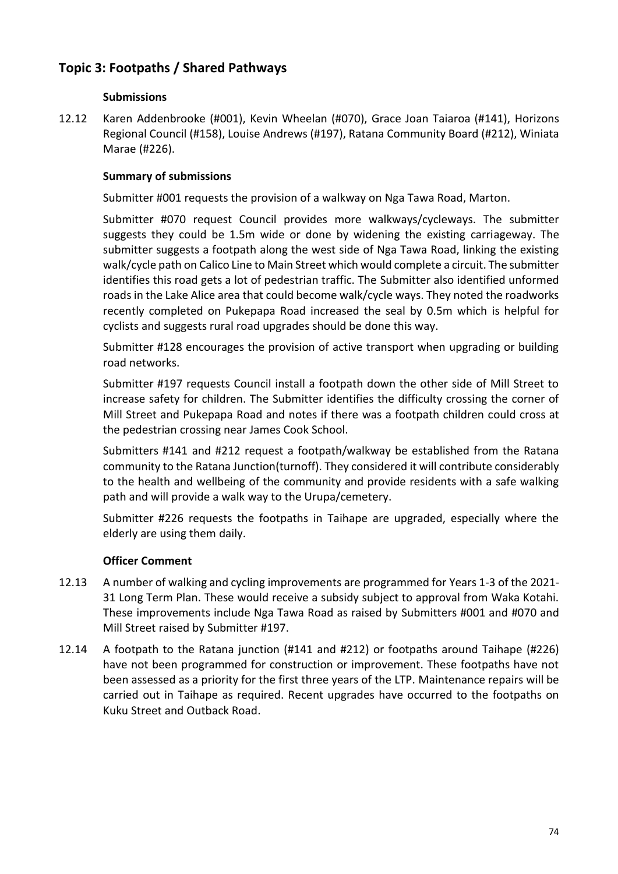# **Topic 3: Footpaths / Shared Pathways**

## **Submissions**

12.12 Karen Addenbrooke (#001), Kevin Wheelan (#070), Grace Joan Taiaroa (#141), Horizons Regional Council (#158), Louise Andrews (#197), Ratana Community Board (#212), Winiata Marae (#226).

## **Summary of submissions**

Submitter #001 requests the provision of a walkway on Nga Tawa Road, Marton.

Submitter #070 request Council provides more walkways/cycleways. The submitter suggests they could be 1.5m wide or done by widening the existing carriageway. The submitter suggests a footpath along the west side of Nga Tawa Road, linking the existing walk/cycle path on Calico Line to Main Street which would complete a circuit. The submitter identifies this road gets a lot of pedestrian traffic. The Submitter also identified unformed roads in the Lake Alice area that could become walk/cycle ways. They noted the roadworks recently completed on Pukepapa Road increased the seal by 0.5m which is helpful for cyclists and suggests rural road upgrades should be done this way.

Submitter #128 encourages the provision of active transport when upgrading or building road networks.

Submitter #197 requests Council install a footpath down the other side of Mill Street to increase safety for children. The Submitter identifies the difficulty crossing the corner of Mill Street and Pukepapa Road and notes if there was a footpath children could cross at the pedestrian crossing near James Cook School.

Submitters #141 and #212 request a footpath/walkway be established from the Ratana community to the Ratana Junction(turnoff). They considered it will contribute considerably to the health and wellbeing of the community and provide residents with a safe walking path and will provide a walk way to the Urupa/cemetery.

Submitter #226 requests the footpaths in Taihape are upgraded, especially where the elderly are using them daily.

- 12.13 A number of walking and cycling improvements are programmed for Years 1-3 of the 2021- 31 Long Term Plan. These would receive a subsidy subject to approval from Waka Kotahi. These improvements include Nga Tawa Road as raised by Submitters #001 and #070 and Mill Street raised by Submitter #197.
- 12.14 A footpath to the Ratana junction (#141 and #212) or footpaths around Taihape (#226) have not been programmed for construction or improvement. These footpaths have not been assessed as a priority for the first three years of the LTP. Maintenance repairs will be carried out in Taihape as required. Recent upgrades have occurred to the footpaths on Kuku Street and Outback Road.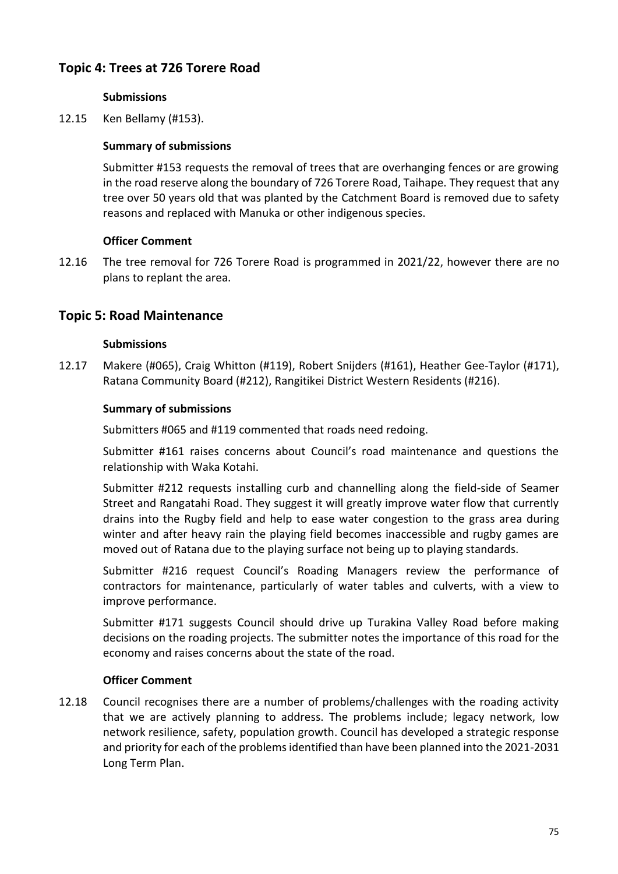# **Topic 4: Trees at 726 Torere Road**

## **Submissions**

12.15 Ken Bellamy (#153).

## **Summary of submissions**

Submitter #153 requests the removal of trees that are overhanging fences or are growing in the road reserve along the boundary of 726 Torere Road, Taihape. They request that any tree over 50 years old that was planted by the Catchment Board is removed due to safety reasons and replaced with Manuka or other indigenous species.

## **Officer Comment**

12.16 The tree removal for 726 Torere Road is programmed in 2021/22, however there are no plans to replant the area.

## **Topic 5: Road Maintenance**

#### **Submissions**

12.17 Makere (#065), Craig Whitton (#119), Robert Snijders (#161), Heather Gee-Taylor (#171), Ratana Community Board (#212), Rangitikei District Western Residents (#216).

#### **Summary of submissions**

Submitters #065 and #119 commented that roads need redoing.

Submitter #161 raises concerns about Council's road maintenance and questions the relationship with Waka Kotahi.

Submitter #212 requests installing curb and channelling along the field-side of Seamer Street and Rangatahi Road. They suggest it will greatly improve water flow that currently drains into the Rugby field and help to ease water congestion to the grass area during winter and after heavy rain the playing field becomes inaccessible and rugby games are moved out of Ratana due to the playing surface not being up to playing standards.

Submitter #216 request Council's Roading Managers review the performance of contractors for maintenance, particularly of water tables and culverts, with a view to improve performance.

Submitter #171 suggests Council should drive up Turakina Valley Road before making decisions on the roading projects. The submitter notes the importance of this road for the economy and raises concerns about the state of the road.

#### **Officer Comment**

12.18 Council recognises there are a number of problems/challenges with the roading activity that we are actively planning to address. The problems include; legacy network, low network resilience, safety, population growth. Council has developed a strategic response and priority for each of the problems identified than have been planned into the 2021-2031 Long Term Plan.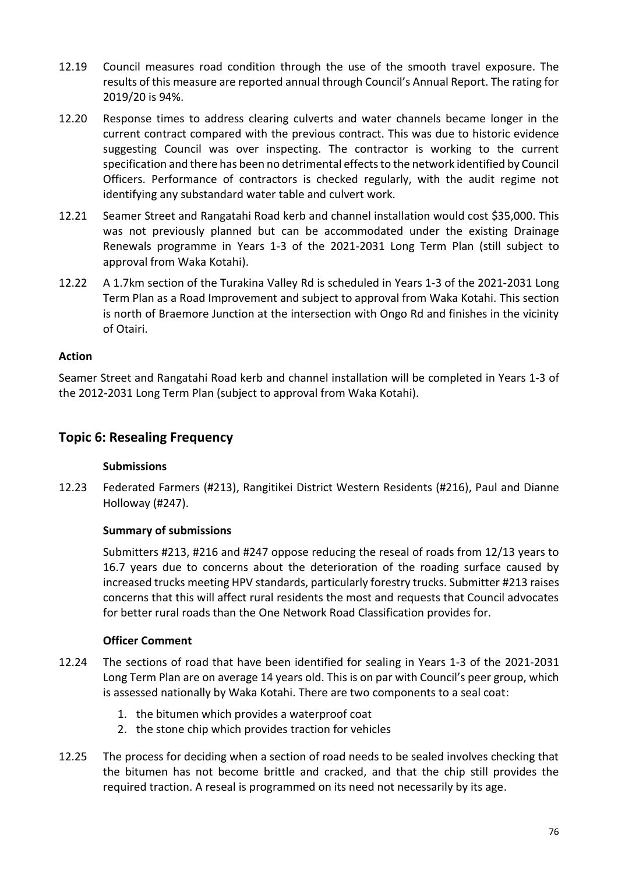- 12.19 Council measures road condition through the use of the smooth travel exposure. The results of this measure are reported annual through Council's Annual Report. The rating for 2019/20 is 94%.
- 12.20 Response times to address clearing culverts and water channels became longer in the current contract compared with the previous contract. This was due to historic evidence suggesting Council was over inspecting. The contractor is working to the current specification and there has been no detrimental effects to the network identified by Council Officers. Performance of contractors is checked regularly, with the audit regime not identifying any substandard water table and culvert work.
- 12.21 Seamer Street and Rangatahi Road kerb and channel installation would cost \$35,000. This was not previously planned but can be accommodated under the existing Drainage Renewals programme in Years 1-3 of the 2021-2031 Long Term Plan (still subject to approval from Waka Kotahi).
- 12.22 A 1.7km section of the Turakina Valley Rd is scheduled in Years 1-3 of the 2021-2031 Long Term Plan as a Road Improvement and subject to approval from Waka Kotahi. This section is north of Braemore Junction at the intersection with Ongo Rd and finishes in the vicinity of Otairi.

## **Action**

Seamer Street and Rangatahi Road kerb and channel installation will be completed in Years 1-3 of the 2012-2031 Long Term Plan (subject to approval from Waka Kotahi).

## **Topic 6: Resealing Frequency**

#### **Submissions**

12.23 Federated Farmers (#213), Rangitikei District Western Residents (#216), Paul and Dianne Holloway (#247).

#### **Summary of submissions**

Submitters #213, #216 and #247 oppose reducing the reseal of roads from 12/13 years to 16.7 years due to concerns about the deterioration of the roading surface caused by increased trucks meeting HPV standards, particularly forestry trucks. Submitter #213 raises concerns that this will affect rural residents the most and requests that Council advocates for better rural roads than the One Network Road Classification provides for.

- 12.24 The sections of road that have been identified for sealing in Years 1-3 of the 2021-2031 Long Term Plan are on average 14 years old. This is on par with Council's peer group, which is assessed nationally by Waka Kotahi. There are two components to a seal coat:
	- 1. the bitumen which provides a waterproof coat
	- 2. the stone chip which provides traction for vehicles
- 12.25 The process for deciding when a section of road needs to be sealed involves checking that the bitumen has not become brittle and cracked, and that the chip still provides the required traction. A reseal is programmed on its need not necessarily by its age.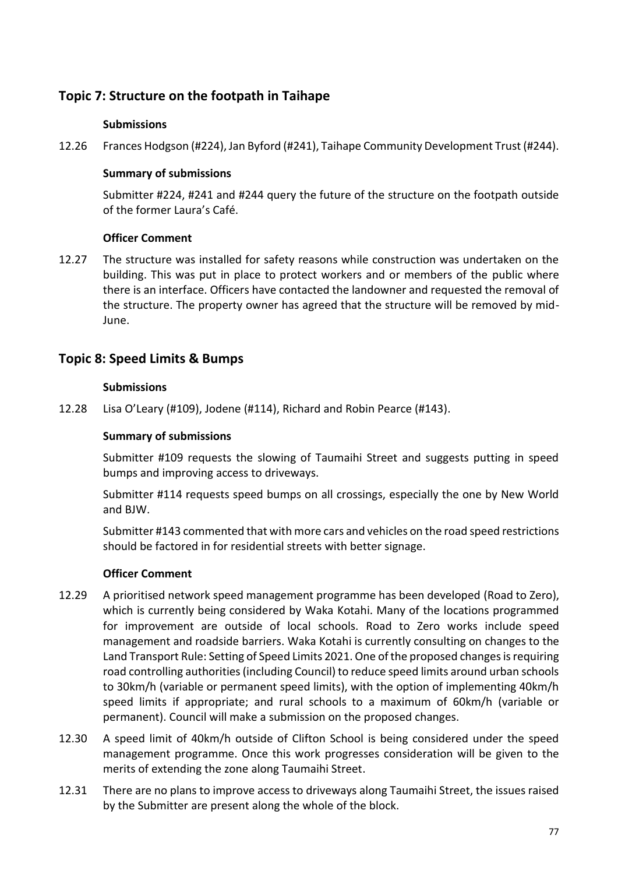# **Topic 7: Structure on the footpath in Taihape**

## **Submissions**

12.26 Frances Hodgson (#224), Jan Byford (#241), Taihape Community Development Trust (#244).

## **Summary of submissions**

Submitter #224, #241 and #244 query the future of the structure on the footpath outside of the former Laura's Café.

## **Officer Comment**

12.27 The structure was installed for safety reasons while construction was undertaken on the building. This was put in place to protect workers and or members of the public where there is an interface. Officers have contacted the landowner and requested the removal of the structure. The property owner has agreed that the structure will be removed by mid-June.

## **Topic 8: Speed Limits & Bumps**

#### **Submissions**

12.28 Lisa O'Leary (#109), Jodene (#114), Richard and Robin Pearce (#143).

#### **Summary of submissions**

Submitter #109 requests the slowing of Taumaihi Street and suggests putting in speed bumps and improving access to driveways.

Submitter #114 requests speed bumps on all crossings, especially the one by New World and BJW.

Submitter #143 commented that with more cars and vehicles on the road speed restrictions should be factored in for residential streets with better signage.

- 12.29 A prioritised network speed management programme has been developed (Road to Zero), which is currently being considered by Waka Kotahi. Many of the locations programmed for improvement are outside of local schools. Road to Zero works include speed management and roadside barriers. Waka Kotahi is currently consulting on changes to the Land Transport Rule: Setting of Speed Limits 2021. One of the proposed changes is requiring road controlling authorities (including Council) to reduce speed limits around urban schools to 30km/h (variable or permanent speed limits), with the option of implementing 40km/h speed limits if appropriate; and rural schools to a maximum of 60km/h (variable or permanent). Council will make a submission on the proposed changes.
- 12.30 A speed limit of 40km/h outside of Clifton School is being considered under the speed management programme. Once this work progresses consideration will be given to the merits of extending the zone along Taumaihi Street.
- 12.31 There are no plans to improve access to driveways along Taumaihi Street, the issues raised by the Submitter are present along the whole of the block.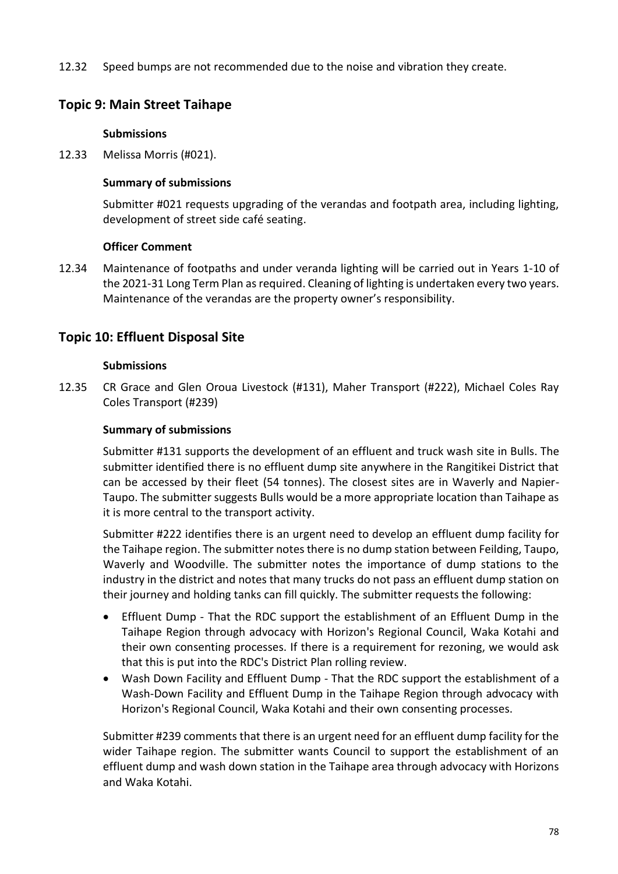12.32 Speed bumps are not recommended due to the noise and vibration they create.

# **Topic 9: Main Street Taihape**

## **Submissions**

12.33 Melissa Morris (#021).

## **Summary of submissions**

Submitter #021 requests upgrading of the verandas and footpath area, including lighting, development of street side café seating.

## **Officer Comment**

12.34 Maintenance of footpaths and under veranda lighting will be carried out in Years 1-10 of the 2021-31 Long Term Plan as required. Cleaning of lighting is undertaken every two years. Maintenance of the verandas are the property owner's responsibility.

## **Topic 10: Effluent Disposal Site**

## **Submissions**

12.35 CR Grace and Glen Oroua Livestock (#131), Maher Transport (#222), Michael Coles Ray Coles Transport (#239)

## **Summary of submissions**

Submitter #131 supports the development of an effluent and truck wash site in Bulls. The submitter identified there is no effluent dump site anywhere in the Rangitikei District that can be accessed by their fleet (54 tonnes). The closest sites are in Waverly and Napier-Taupo. The submitter suggests Bulls would be a more appropriate location than Taihape as it is more central to the transport activity.

Submitter #222 identifies there is an urgent need to develop an effluent dump facility for the Taihape region. The submitter notes there is no dump station between Feilding, Taupo, Waverly and Woodville. The submitter notes the importance of dump stations to the industry in the district and notes that many trucks do not pass an effluent dump station on their journey and holding tanks can fill quickly. The submitter requests the following:

- Effluent Dump That the RDC support the establishment of an Effluent Dump in the Taihape Region through advocacy with Horizon's Regional Council, Waka Kotahi and their own consenting processes. If there is a requirement for rezoning, we would ask that this is put into the RDC's District Plan rolling review.
- Wash Down Facility and Effluent Dump That the RDC support the establishment of a Wash-Down Facility and Effluent Dump in the Taihape Region through advocacy with Horizon's Regional Council, Waka Kotahi and their own consenting processes.

Submitter #239 comments that there is an urgent need for an effluent dump facility for the wider Taihape region. The submitter wants Council to support the establishment of an effluent dump and wash down station in the Taihape area through advocacy with Horizons and Waka Kotahi.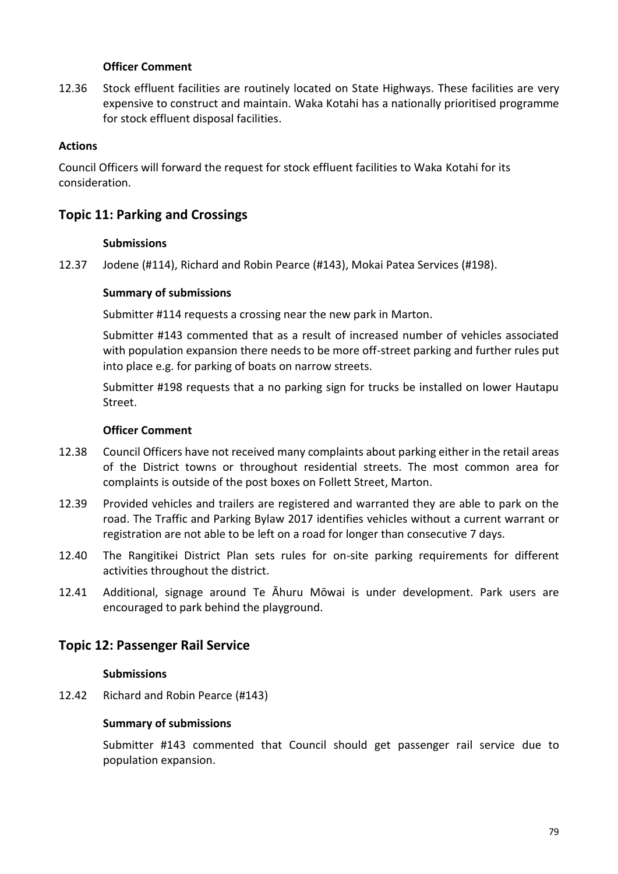#### **Officer Comment**

12.36 Stock effluent facilities are routinely located on State Highways. These facilities are very expensive to construct and maintain. Waka Kotahi has a nationally prioritised programme for stock effluent disposal facilities.

#### **Actions**

Council Officers will forward the request for stock effluent facilities to Waka Kotahi for its consideration.

## **Topic 11: Parking and Crossings**

#### **Submissions**

12.37 Jodene (#114), Richard and Robin Pearce (#143), Mokai Patea Services (#198).

#### **Summary of submissions**

Submitter #114 requests a crossing near the new park in Marton.

Submitter #143 commented that as a result of increased number of vehicles associated with population expansion there needs to be more off-street parking and further rules put into place e.g. for parking of boats on narrow streets.

Submitter #198 requests that a no parking sign for trucks be installed on lower Hautapu Street.

#### **Officer Comment**

- 12.38 Council Officers have not received many complaints about parking either in the retail areas of the District towns or throughout residential streets. The most common area for complaints is outside of the post boxes on Follett Street, Marton.
- 12.39 Provided vehicles and trailers are registered and warranted they are able to park on the road. The Traffic and Parking Bylaw 2017 identifies vehicles without a current warrant or registration are not able to be left on a road for longer than consecutive 7 days.
- 12.40 The Rangitikei District Plan sets rules for on-site parking requirements for different activities throughout the district.
- 12.41 Additional, signage around Te Āhuru Mōwai is under development. Park users are encouraged to park behind the playground.

## **Topic 12: Passenger Rail Service**

#### **Submissions**

12.42 Richard and Robin Pearce (#143)

#### **Summary of submissions**

Submitter #143 commented that Council should get passenger rail service due to population expansion.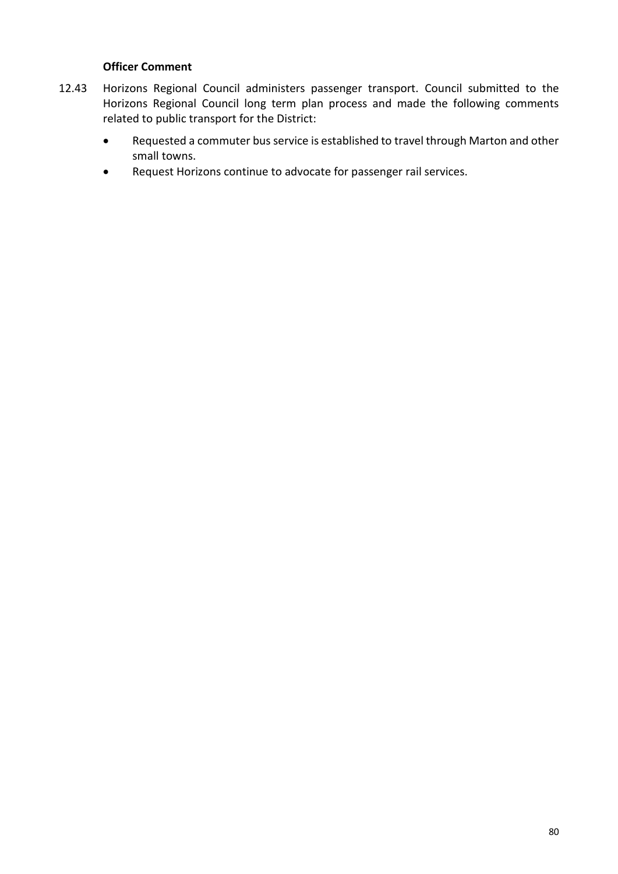- 12.43 Horizons Regional Council administers passenger transport. Council submitted to the Horizons Regional Council long term plan process and made the following comments related to public transport for the District:
	- Requested a commuter bus service is established to travel through Marton and other small towns.
	- Request Horizons continue to advocate for passenger rail services.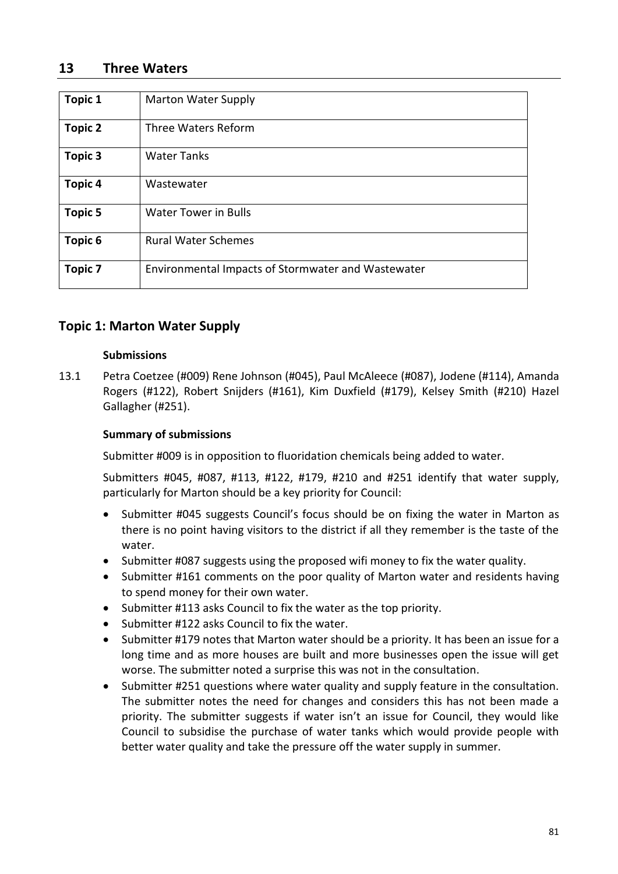## **13 Three Waters**

| <b>Topic 1</b> | <b>Marton Water Supply</b>                         |
|----------------|----------------------------------------------------|
|                |                                                    |
| <b>Topic 2</b> | Three Waters Reform                                |
| <b>Topic 3</b> | <b>Water Tanks</b>                                 |
| <b>Topic 4</b> | Wastewater                                         |
| <b>Topic 5</b> | <b>Water Tower in Bulls</b>                        |
| Topic 6        | <b>Rural Water Schemes</b>                         |
| <b>Topic 7</b> | Environmental Impacts of Stormwater and Wastewater |

# **Topic 1: Marton Water Supply**

#### **Submissions**

13.1 Petra Coetzee (#009) Rene Johnson (#045), Paul McAleece (#087), Jodene (#114), Amanda Rogers (#122), Robert Snijders (#161), Kim Duxfield (#179), Kelsey Smith (#210) Hazel Gallagher (#251).

## **Summary of submissions**

Submitter #009 is in opposition to fluoridation chemicals being added to water.

Submitters #045, #087, #113, #122, #179, #210 and #251 identify that water supply, particularly for Marton should be a key priority for Council:

- Submitter #045 suggests Council's focus should be on fixing the water in Marton as there is no point having visitors to the district if all they remember is the taste of the water.
- Submitter #087 suggests using the proposed wifi money to fix the water quality.
- Submitter #161 comments on the poor quality of Marton water and residents having to spend money for their own water.
- Submitter #113 asks Council to fix the water as the top priority.
- Submitter #122 asks Council to fix the water.
- Submitter #179 notes that Marton water should be a priority. It has been an issue for a long time and as more houses are built and more businesses open the issue will get worse. The submitter noted a surprise this was not in the consultation.
- Submitter #251 questions where water quality and supply feature in the consultation. The submitter notes the need for changes and considers this has not been made a priority. The submitter suggests if water isn't an issue for Council, they would like Council to subsidise the purchase of water tanks which would provide people with better water quality and take the pressure off the water supply in summer.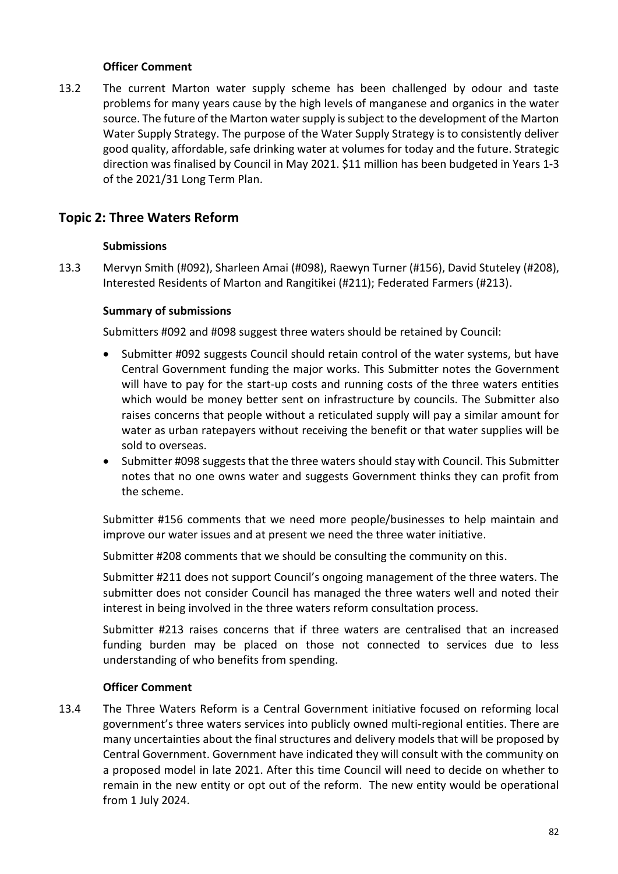## **Officer Comment**

13.2 The current Marton water supply scheme has been challenged by odour and taste problems for many years cause by the high levels of manganese and organics in the water source. The future of the Marton water supply is subject to the development of the Marton Water Supply Strategy. The purpose of the Water Supply Strategy is to consistently deliver good quality, affordable, safe drinking water at volumes for today and the future. Strategic direction was finalised by Council in May 2021. \$11 million has been budgeted in Years 1-3 of the 2021/31 Long Term Plan.

# **Topic 2: Three Waters Reform**

## **Submissions**

13.3 Mervyn Smith (#092), Sharleen Amai (#098), Raewyn Turner (#156), David Stuteley (#208), Interested Residents of Marton and Rangitikei (#211); Federated Farmers (#213).

## **Summary of submissions**

Submitters #092 and #098 suggest three waters should be retained by Council:

- Submitter #092 suggests Council should retain control of the water systems, but have Central Government funding the major works. This Submitter notes the Government will have to pay for the start-up costs and running costs of the three waters entities which would be money better sent on infrastructure by councils. The Submitter also raises concerns that people without a reticulated supply will pay a similar amount for water as urban ratepayers without receiving the benefit or that water supplies will be sold to overseas.
- Submitter #098 suggests that the three waters should stay with Council. This Submitter notes that no one owns water and suggests Government thinks they can profit from the scheme.

Submitter #156 comments that we need more people/businesses to help maintain and improve our water issues and at present we need the three water initiative.

Submitter #208 comments that we should be consulting the community on this.

Submitter #211 does not support Council's ongoing management of the three waters. The submitter does not consider Council has managed the three waters well and noted their interest in being involved in the three waters reform consultation process.

Submitter #213 raises concerns that if three waters are centralised that an increased funding burden may be placed on those not connected to services due to less understanding of who benefits from spending.

## **Officer Comment**

13.4 The Three Waters Reform is a Central Government initiative focused on reforming local government's three waters services into publicly owned multi-regional entities. There are many uncertainties about the final structures and delivery models that will be proposed by Central Government. Government have indicated they will consult with the community on a proposed model in late 2021. After this time Council will need to decide on whether to remain in the new entity or opt out of the reform. The new entity would be operational from 1 July 2024.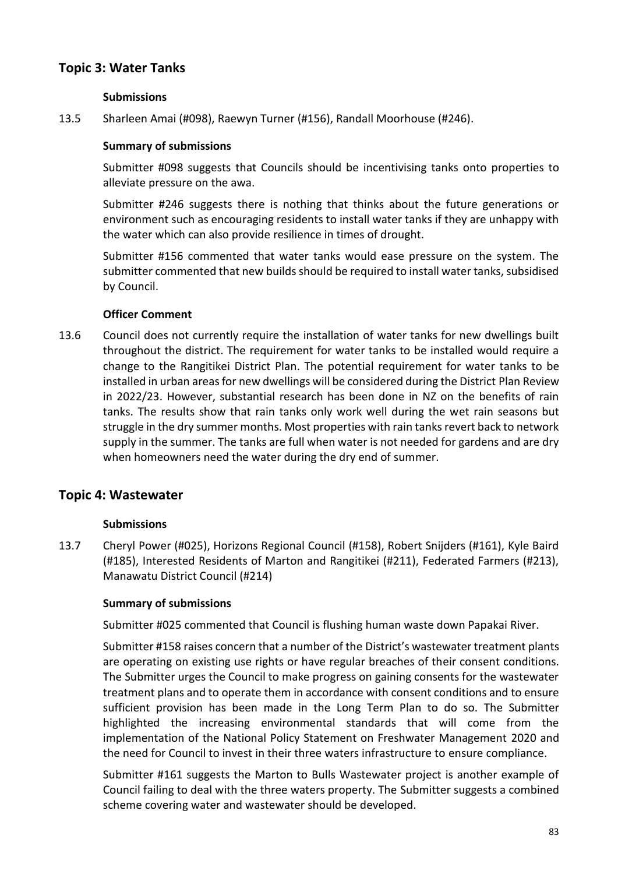# **Topic 3: Water Tanks**

### **Submissions**

13.5 Sharleen Amai (#098), Raewyn Turner (#156), Randall Moorhouse (#246).

## **Summary of submissions**

Submitter #098 suggests that Councils should be incentivising tanks onto properties to alleviate pressure on the awa.

Submitter #246 suggests there is nothing that thinks about the future generations or environment such as encouraging residents to install water tanks if they are unhappy with the water which can also provide resilience in times of drought.

Submitter #156 commented that water tanks would ease pressure on the system. The submitter commented that new builds should be required to install water tanks, subsidised by Council.

## **Officer Comment**

13.6 Council does not currently require the installation of water tanks for new dwellings built throughout the district. The requirement for water tanks to be installed would require a change to the Rangitikei District Plan. The potential requirement for water tanks to be installed in urban areas for new dwellings will be considered during the District Plan Review in 2022/23. However, substantial research has been done in NZ on the benefits of rain tanks. The results show that rain tanks only work well during the wet rain seasons but struggle in the dry summer months. Most properties with rain tanks revert back to network supply in the summer. The tanks are full when water is not needed for gardens and are dry when homeowners need the water during the dry end of summer.

## **Topic 4: Wastewater**

#### **Submissions**

13.7 Cheryl Power (#025), Horizons Regional Council (#158), Robert Snijders (#161), Kyle Baird (#185), Interested Residents of Marton and Rangitikei (#211), Federated Farmers (#213), Manawatu District Council (#214)

#### **Summary of submissions**

Submitter #025 commented that Council is flushing human waste down Papakai River.

Submitter #158 raises concern that a number of the District's wastewater treatment plants are operating on existing use rights or have regular breaches of their consent conditions. The Submitter urges the Council to make progress on gaining consents for the wastewater treatment plans and to operate them in accordance with consent conditions and to ensure sufficient provision has been made in the Long Term Plan to do so. The Submitter highlighted the increasing environmental standards that will come from the implementation of the National Policy Statement on Freshwater Management 2020 and the need for Council to invest in their three waters infrastructure to ensure compliance.

Submitter #161 suggests the Marton to Bulls Wastewater project is another example of Council failing to deal with the three waters property. The Submitter suggests a combined scheme covering water and wastewater should be developed.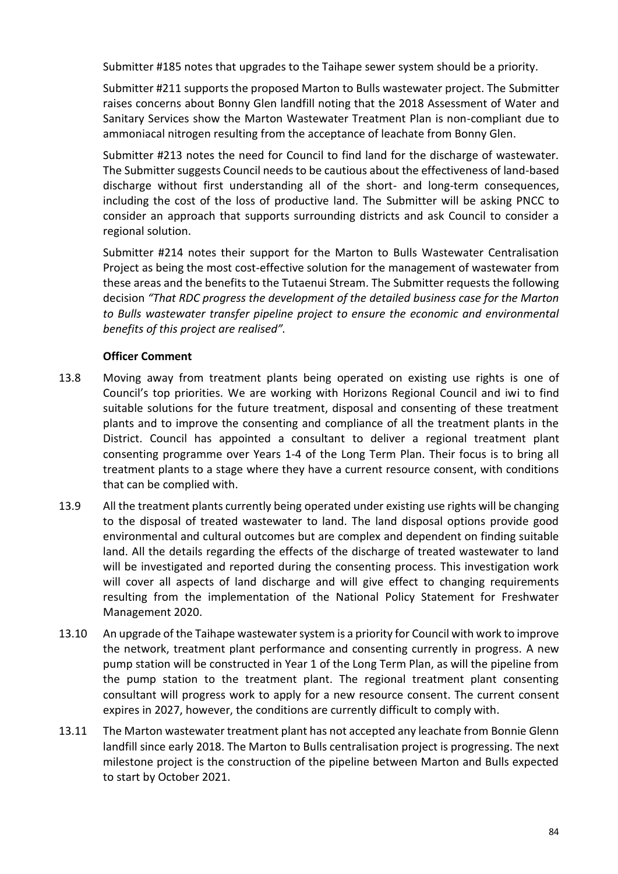Submitter #185 notes that upgrades to the Taihape sewer system should be a priority.

Submitter #211 supports the proposed Marton to Bulls wastewater project. The Submitter raises concerns about Bonny Glen landfill noting that the 2018 Assessment of Water and Sanitary Services show the Marton Wastewater Treatment Plan is non-compliant due to ammoniacal nitrogen resulting from the acceptance of leachate from Bonny Glen.

Submitter #213 notes the need for Council to find land for the discharge of wastewater. The Submitter suggests Council needs to be cautious about the effectiveness of land-based discharge without first understanding all of the short- and long-term consequences, including the cost of the loss of productive land. The Submitter will be asking PNCC to consider an approach that supports surrounding districts and ask Council to consider a regional solution.

Submitter #214 notes their support for the Marton to Bulls Wastewater Centralisation Project as being the most cost-effective solution for the management of wastewater from these areas and the benefits to the Tutaenui Stream. The Submitter requests the following decision *"That RDC progress the development of the detailed business case for the Marton to Bulls wastewater transfer pipeline project to ensure the economic and environmental benefits of this project are realised".*

- 13.8 Moving away from treatment plants being operated on existing use rights is one of Council's top priorities. We are working with Horizons Regional Council and iwi to find suitable solutions for the future treatment, disposal and consenting of these treatment plants and to improve the consenting and compliance of all the treatment plants in the District. Council has appointed a consultant to deliver a regional treatment plant consenting programme over Years 1-4 of the Long Term Plan. Their focus is to bring all treatment plants to a stage where they have a current resource consent, with conditions that can be complied with.
- 13.9 All the treatment plants currently being operated under existing use rights will be changing to the disposal of treated wastewater to land. The land disposal options provide good environmental and cultural outcomes but are complex and dependent on finding suitable land. All the details regarding the effects of the discharge of treated wastewater to land will be investigated and reported during the consenting process. This investigation work will cover all aspects of land discharge and will give effect to changing requirements resulting from the implementation of the National Policy Statement for Freshwater Management 2020.
- 13.10 An upgrade of the Taihape wastewater system is a priority for Council with work to improve the network, treatment plant performance and consenting currently in progress. A new pump station will be constructed in Year 1 of the Long Term Plan, as will the pipeline from the pump station to the treatment plant. The regional treatment plant consenting consultant will progress work to apply for a new resource consent. The current consent expires in 2027, however, the conditions are currently difficult to comply with.
- 13.11 The Marton wastewater treatment plant has not accepted any leachate from Bonnie Glenn landfill since early 2018. The Marton to Bulls centralisation project is progressing. The next milestone project is the construction of the pipeline between Marton and Bulls expected to start by October 2021.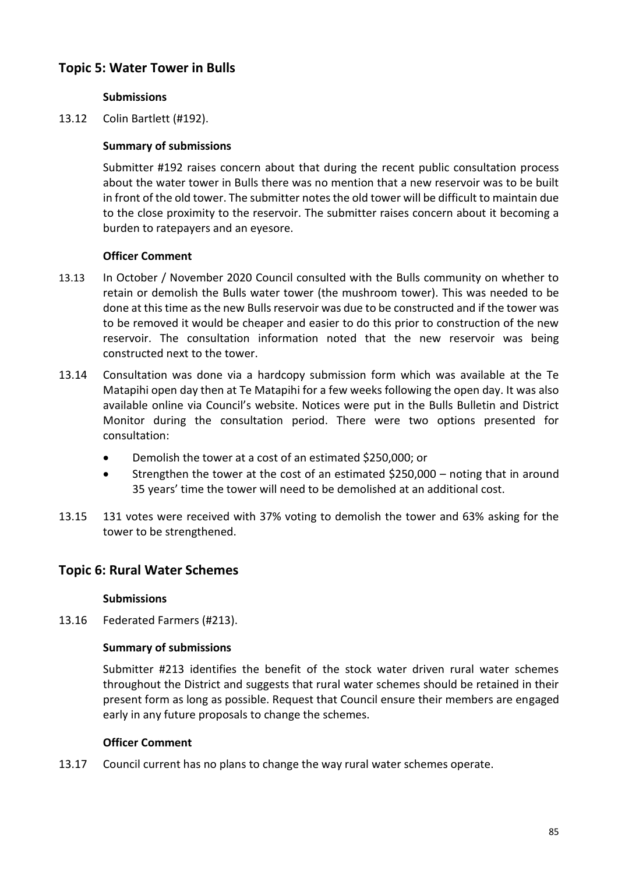# **Topic 5: Water Tower in Bulls**

## **Submissions**

13.12 Colin Bartlett (#192).

## **Summary of submissions**

Submitter #192 raises concern about that during the recent public consultation process about the water tower in Bulls there was no mention that a new reservoir was to be built in front of the old tower. The submitter notes the old tower will be difficult to maintain due to the close proximity to the reservoir. The submitter raises concern about it becoming a burden to ratepayers and an eyesore.

## **Officer Comment**

- 13.13 In October / November 2020 Council consulted with the Bulls community on whether to retain or demolish the Bulls water tower (the mushroom tower). This was needed to be done at this time as the new Bulls reservoir was due to be constructed and if the tower was to be removed it would be cheaper and easier to do this prior to construction of the new reservoir. The consultation information noted that the new reservoir was being constructed next to the tower.
- 13.14 Consultation was done via a hardcopy submission form which was available at the Te Matapihi open day then at Te Matapihi for a few weeks following the open day. It was also available online via Council's website. Notices were put in the Bulls Bulletin and District Monitor during the consultation period. There were two options presented for consultation:
	- Demolish the tower at a cost of an estimated \$250,000; or
	- Strengthen the tower at the cost of an estimated \$250,000 noting that in around 35 years' time the tower will need to be demolished at an additional cost.
- 13.15 131 votes were received with 37% voting to demolish the tower and 63% asking for the tower to be strengthened.

## **Topic 6: Rural Water Schemes**

#### **Submissions**

13.16 Federated Farmers (#213).

#### **Summary of submissions**

Submitter #213 identifies the benefit of the stock water driven rural water schemes throughout the District and suggests that rural water schemes should be retained in their present form as long as possible. Request that Council ensure their members are engaged early in any future proposals to change the schemes.

#### **Officer Comment**

13.17 Council current has no plans to change the way rural water schemes operate.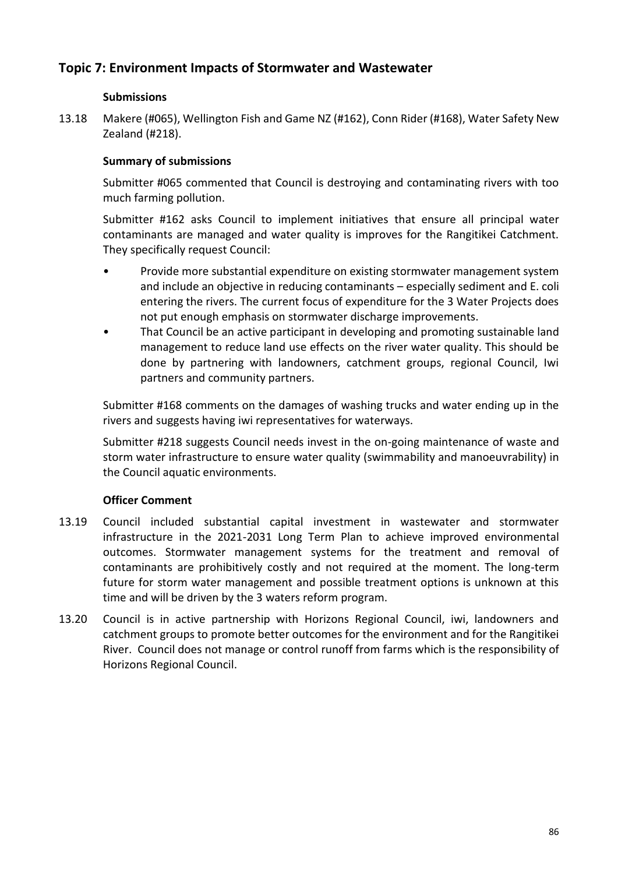# **Topic 7: Environment Impacts of Stormwater and Wastewater**

## **Submissions**

13.18 Makere (#065), Wellington Fish and Game NZ (#162), Conn Rider (#168), Water Safety New Zealand (#218).

## **Summary of submissions**

Submitter #065 commented that Council is destroying and contaminating rivers with too much farming pollution.

Submitter #162 asks Council to implement initiatives that ensure all principal water contaminants are managed and water quality is improves for the Rangitikei Catchment. They specifically request Council:

- Provide more substantial expenditure on existing stormwater management system and include an objective in reducing contaminants – especially sediment and E. coli entering the rivers. The current focus of expenditure for the 3 Water Projects does not put enough emphasis on stormwater discharge improvements.
- That Council be an active participant in developing and promoting sustainable land management to reduce land use effects on the river water quality. This should be done by partnering with landowners, catchment groups, regional Council, Iwi partners and community partners.

Submitter #168 comments on the damages of washing trucks and water ending up in the rivers and suggests having iwi representatives for waterways.

Submitter #218 suggests Council needs invest in the on-going maintenance of waste and storm water infrastructure to ensure water quality (swimmability and manoeuvrability) in the Council aquatic environments.

- 13.19 Council included substantial capital investment in wastewater and stormwater infrastructure in the 2021-2031 Long Term Plan to achieve improved environmental outcomes. Stormwater management systems for the treatment and removal of contaminants are prohibitively costly and not required at the moment. The long-term future for storm water management and possible treatment options is unknown at this time and will be driven by the 3 waters reform program.
- 13.20 Council is in active partnership with Horizons Regional Council, iwi, landowners and catchment groups to promote better outcomes for the environment and for the Rangitikei River. Council does not manage or control runoff from farms which is the responsibility of Horizons Regional Council.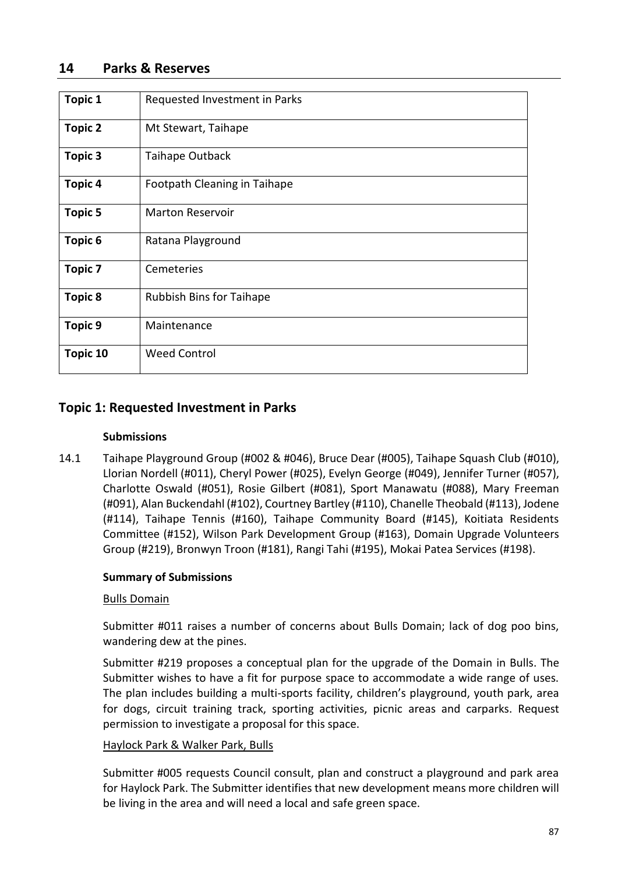| <b>Topic 1</b> | Requested Investment in Parks   |
|----------------|---------------------------------|
| <b>Topic 2</b> | Mt Stewart, Taihape             |
| <b>Topic 3</b> | Taihape Outback                 |
| <b>Topic 4</b> | Footpath Cleaning in Taihape    |
| <b>Topic 5</b> | <b>Marton Reservoir</b>         |
| Topic 6        | Ratana Playground               |
| <b>Topic 7</b> | Cemeteries                      |
| <b>Topic 8</b> | <b>Rubbish Bins for Taihape</b> |
| <b>Topic 9</b> | Maintenance                     |
| Topic 10       | <b>Weed Control</b>             |

# **Topic 1: Requested Investment in Parks**

## **Submissions**

14.1 Taihape Playground Group (#002 & #046), Bruce Dear (#005), Taihape Squash Club (#010), Llorian Nordell (#011), Cheryl Power (#025), Evelyn George (#049), Jennifer Turner (#057), Charlotte Oswald (#051), Rosie Gilbert (#081), Sport Manawatu (#088), Mary Freeman (#091), Alan Buckendahl (#102), Courtney Bartley (#110), Chanelle Theobald (#113), Jodene (#114), Taihape Tennis (#160), Taihape Community Board (#145), Koitiata Residents Committee (#152), Wilson Park Development Group (#163), Domain Upgrade Volunteers Group (#219), Bronwyn Troon (#181), Rangi Tahi (#195), Mokai Patea Services (#198).

## **Summary of Submissions**

#### Bulls Domain

Submitter #011 raises a number of concerns about Bulls Domain; lack of dog poo bins, wandering dew at the pines.

Submitter #219 proposes a conceptual plan for the upgrade of the Domain in Bulls. The Submitter wishes to have a fit for purpose space to accommodate a wide range of uses. The plan includes building a multi-sports facility, children's playground, youth park, area for dogs, circuit training track, sporting activities, picnic areas and carparks. Request permission to investigate a proposal for this space.

#### Haylock Park & Walker Park, Bulls

Submitter #005 requests Council consult, plan and construct a playground and park area for Haylock Park. The Submitter identifies that new development means more children will be living in the area and will need a local and safe green space.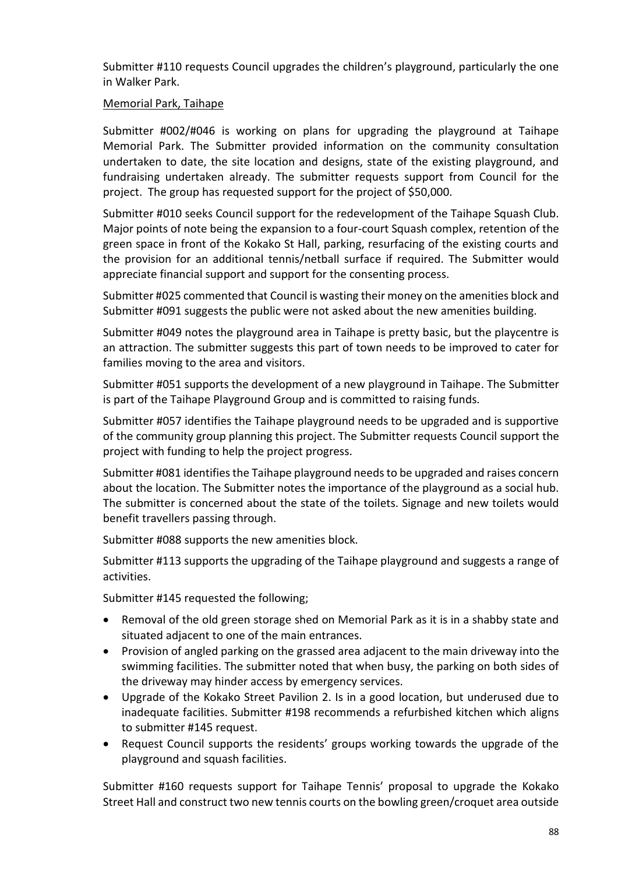Submitter #110 requests Council upgrades the children's playground, particularly the one in Walker Park.

### Memorial Park, Taihape

Submitter #002/#046 is working on plans for upgrading the playground at Taihape Memorial Park. The Submitter provided information on the community consultation undertaken to date, the site location and designs, state of the existing playground, and fundraising undertaken already. The submitter requests support from Council for the project. The group has requested support for the project of \$50,000.

Submitter #010 seeks Council support for the redevelopment of the Taihape Squash Club. Major points of note being the expansion to a four-court Squash complex, retention of the green space in front of the Kokako St Hall, parking, resurfacing of the existing courts and the provision for an additional tennis/netball surface if required. The Submitter would appreciate financial support and support for the consenting process.

Submitter #025 commented that Council is wasting their money on the amenities block and Submitter #091 suggests the public were not asked about the new amenities building.

Submitter #049 notes the playground area in Taihape is pretty basic, but the playcentre is an attraction. The submitter suggests this part of town needs to be improved to cater for families moving to the area and visitors.

Submitter #051 supports the development of a new playground in Taihape. The Submitter is part of the Taihape Playground Group and is committed to raising funds.

Submitter #057 identifies the Taihape playground needs to be upgraded and is supportive of the community group planning this project. The Submitter requests Council support the project with funding to help the project progress.

Submitter #081 identifies the Taihape playground needs to be upgraded and raises concern about the location. The Submitter notes the importance of the playground as a social hub. The submitter is concerned about the state of the toilets. Signage and new toilets would benefit travellers passing through.

Submitter #088 supports the new amenities block.

Submitter #113 supports the upgrading of the Taihape playground and suggests a range of activities.

Submitter #145 requested the following;

- Removal of the old green storage shed on Memorial Park as it is in a shabby state and situated adjacent to one of the main entrances.
- Provision of angled parking on the grassed area adjacent to the main driveway into the swimming facilities. The submitter noted that when busy, the parking on both sides of the driveway may hinder access by emergency services.
- Upgrade of the Kokako Street Pavilion 2. Is in a good location, but underused due to inadequate facilities. Submitter #198 recommends a refurbished kitchen which aligns to submitter #145 request.
- Request Council supports the residents' groups working towards the upgrade of the playground and squash facilities.

Submitter #160 requests support for Taihape Tennis' proposal to upgrade the Kokako Street Hall and construct two new tennis courts on the bowling green/croquet area outside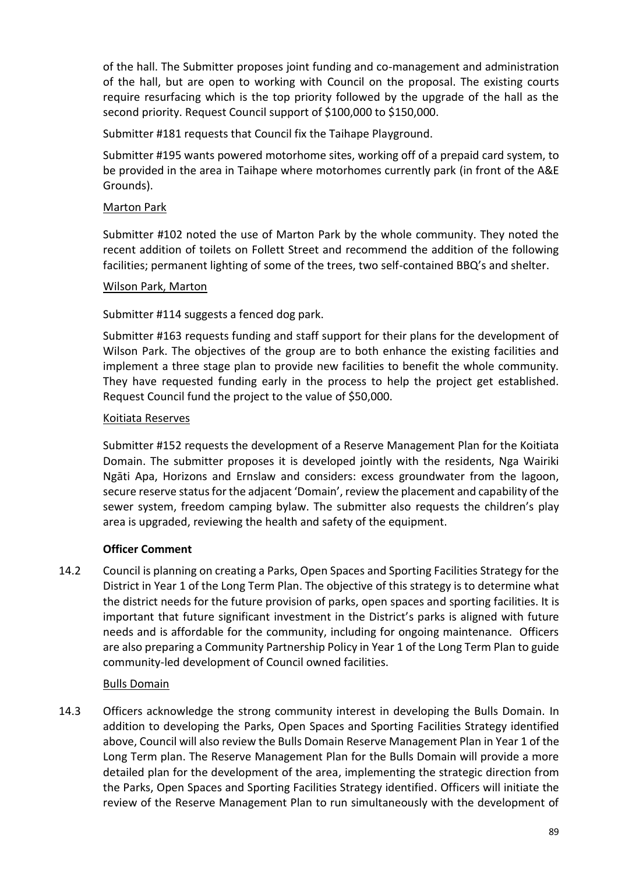of the hall. The Submitter proposes joint funding and co-management and administration of the hall, but are open to working with Council on the proposal. The existing courts require resurfacing which is the top priority followed by the upgrade of the hall as the second priority. Request Council support of \$100,000 to \$150,000.

Submitter #181 requests that Council fix the Taihape Playground.

Submitter #195 wants powered motorhome sites, working off of a prepaid card system, to be provided in the area in Taihape where motorhomes currently park (in front of the A&E Grounds).

## Marton Park

Submitter #102 noted the use of Marton Park by the whole community. They noted the recent addition of toilets on Follett Street and recommend the addition of the following facilities; permanent lighting of some of the trees, two self-contained BBQ's and shelter.

## Wilson Park, Marton

Submitter #114 suggests a fenced dog park.

Submitter #163 requests funding and staff support for their plans for the development of Wilson Park. The objectives of the group are to both enhance the existing facilities and implement a three stage plan to provide new facilities to benefit the whole community. They have requested funding early in the process to help the project get established. Request Council fund the project to the value of \$50,000.

## Koitiata Reserves

Submitter #152 requests the development of a Reserve Management Plan for the Koitiata Domain. The submitter proposes it is developed jointly with the residents, Nga Wairiki Ngāti Apa, Horizons and Ernslaw and considers: excess groundwater from the lagoon, secure reserve status for the adjacent 'Domain', review the placement and capability of the sewer system, freedom camping bylaw. The submitter also requests the children's play area is upgraded, reviewing the health and safety of the equipment.

## **Officer Comment**

14.2 Council is planning on creating a Parks, Open Spaces and Sporting Facilities Strategy for the District in Year 1 of the Long Term Plan. The objective of this strategy is to determine what the district needs for the future provision of parks, open spaces and sporting facilities. It is important that future significant investment in the District's parks is aligned with future needs and is affordable for the community, including for ongoing maintenance. Officers are also preparing a Community Partnership Policy in Year 1 of the Long Term Plan to guide community-led development of Council owned facilities.

## Bulls Domain

14.3 Officers acknowledge the strong community interest in developing the Bulls Domain. In addition to developing the Parks, Open Spaces and Sporting Facilities Strategy identified above, Council will also review the Bulls Domain Reserve Management Plan in Year 1 of the Long Term plan. The Reserve Management Plan for the Bulls Domain will provide a more detailed plan for the development of the area, implementing the strategic direction from the Parks, Open Spaces and Sporting Facilities Strategy identified. Officers will initiate the review of the Reserve Management Plan to run simultaneously with the development of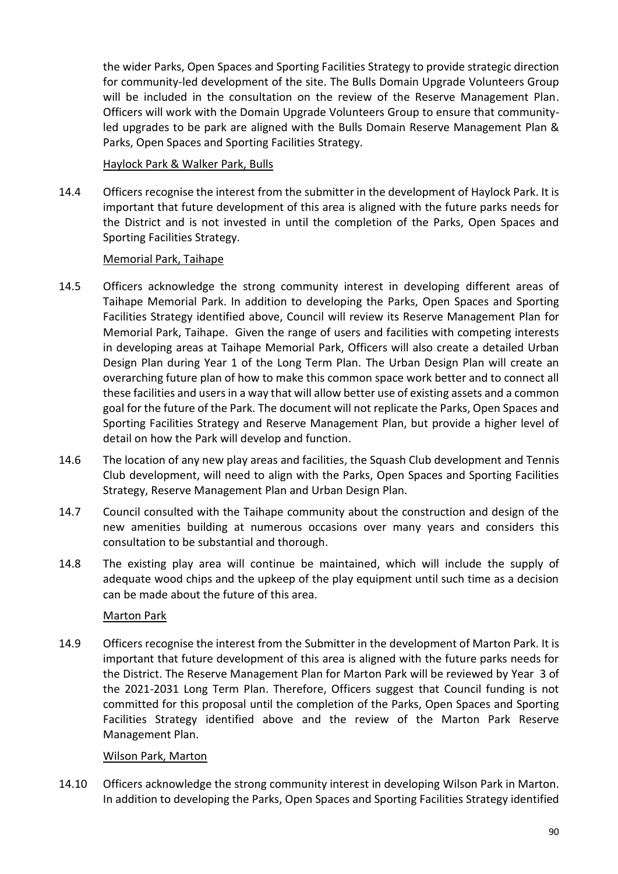the wider Parks, Open Spaces and Sporting Facilities Strategy to provide strategic direction for community-led development of the site. The Bulls Domain Upgrade Volunteers Group will be included in the consultation on the review of the Reserve Management Plan. Officers will work with the Domain Upgrade Volunteers Group to ensure that communityled upgrades to be park are aligned with the Bulls Domain Reserve Management Plan & Parks, Open Spaces and Sporting Facilities Strategy.

## Haylock Park & Walker Park, Bulls

14.4 Officers recognise the interest from the submitter in the development of Haylock Park. It is important that future development of this area is aligned with the future parks needs for the District and is not invested in until the completion of the Parks, Open Spaces and Sporting Facilities Strategy.

## Memorial Park, Taihape

- 14.5 Officers acknowledge the strong community interest in developing different areas of Taihape Memorial Park. In addition to developing the Parks, Open Spaces and Sporting Facilities Strategy identified above, Council will review its Reserve Management Plan for Memorial Park, Taihape. Given the range of users and facilities with competing interests in developing areas at Taihape Memorial Park, Officers will also create a detailed Urban Design Plan during Year 1 of the Long Term Plan. The Urban Design Plan will create an overarching future plan of how to make this common space work better and to connect all these facilities and users in a way that will allow better use of existing assets and a common goal for the future of the Park. The document will not replicate the Parks, Open Spaces and Sporting Facilities Strategy and Reserve Management Plan, but provide a higher level of detail on how the Park will develop and function.
- 14.6 The location of any new play areas and facilities, the Squash Club development and Tennis Club development, will need to align with the Parks, Open Spaces and Sporting Facilities Strategy, Reserve Management Plan and Urban Design Plan.
- 14.7 Council consulted with the Taihape community about the construction and design of the new amenities building at numerous occasions over many years and considers this consultation to be substantial and thorough.
- 14.8 The existing play area will continue be maintained, which will include the supply of adequate wood chips and the upkeep of the play equipment until such time as a decision can be made about the future of this area.

## Marton Park

14.9 Officers recognise the interest from the Submitter in the development of Marton Park. It is important that future development of this area is aligned with the future parks needs for the District. The Reserve Management Plan for Marton Park will be reviewed by Year 3 of the 2021-2031 Long Term Plan. Therefore, Officers suggest that Council funding is not committed for this proposal until the completion of the Parks, Open Spaces and Sporting Facilities Strategy identified above and the review of the Marton Park Reserve Management Plan.

#### Wilson Park, Marton

14.10 Officers acknowledge the strong community interest in developing Wilson Park in Marton. In addition to developing the Parks, Open Spaces and Sporting Facilities Strategy identified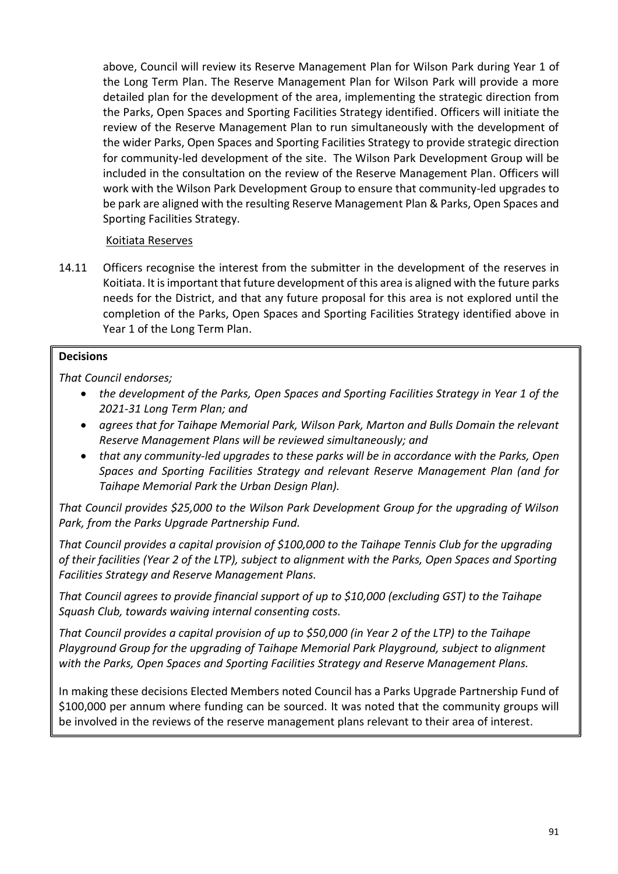above, Council will review its Reserve Management Plan for Wilson Park during Year 1 of the Long Term Plan. The Reserve Management Plan for Wilson Park will provide a more detailed plan for the development of the area, implementing the strategic direction from the Parks, Open Spaces and Sporting Facilities Strategy identified. Officers will initiate the review of the Reserve Management Plan to run simultaneously with the development of the wider Parks, Open Spaces and Sporting Facilities Strategy to provide strategic direction for community-led development of the site. The Wilson Park Development Group will be included in the consultation on the review of the Reserve Management Plan. Officers will work with the Wilson Park Development Group to ensure that community-led upgrades to be park are aligned with the resulting Reserve Management Plan & Parks, Open Spaces and Sporting Facilities Strategy.

## Koitiata Reserves

14.11 Officers recognise the interest from the submitter in the development of the reserves in Koitiata. It is important that future development of this area is aligned with the future parks needs for the District, and that any future proposal for this area is not explored until the completion of the Parks, Open Spaces and Sporting Facilities Strategy identified above in Year 1 of the Long Term Plan.

#### **Decisions**

*That Council endorses;*

- *the development of the Parks, Open Spaces and Sporting Facilities Strategy in Year 1 of the 2021-31 Long Term Plan; and*
- *agrees that for Taihape Memorial Park, Wilson Park, Marton and Bulls Domain the relevant Reserve Management Plans will be reviewed simultaneously; and*
- *that any community-led upgrades to these parks will be in accordance with the Parks, Open Spaces and Sporting Facilities Strategy and relevant Reserve Management Plan (and for Taihape Memorial Park the Urban Design Plan).*

*That Council provides \$25,000 to the Wilson Park Development Group for the upgrading of Wilson Park, from the Parks Upgrade Partnership Fund.* 

*That Council provides a capital provision of \$100,000 to the Taihape Tennis Club for the upgrading of their facilities (Year 2 of the LTP), subject to alignment with the Parks, Open Spaces and Sporting Facilities Strategy and Reserve Management Plans.*

*That Council agrees to provide financial support of up to \$10,000 (excluding GST) to the Taihape Squash Club, towards waiving internal consenting costs.*

*That Council provides a capital provision of up to \$50,000 (in Year 2 of the LTP) to the Taihape Playground Group for the upgrading of Taihape Memorial Park Playground, subject to alignment with the Parks, Open Spaces and Sporting Facilities Strategy and Reserve Management Plans.*

In making these decisions Elected Members noted Council has a Parks Upgrade Partnership Fund of \$100,000 per annum where funding can be sourced. It was noted that the community groups will be involved in the reviews of the reserve management plans relevant to their area of interest.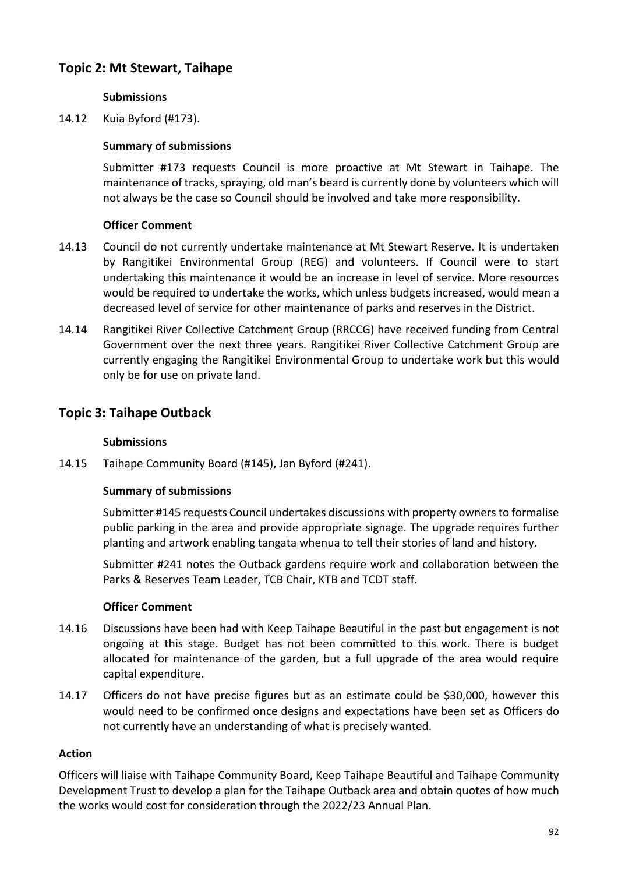# **Topic 2: Mt Stewart, Taihape**

## **Submissions**

14.12 Kuia Byford (#173).

### **Summary of submissions**

Submitter #173 requests Council is more proactive at Mt Stewart in Taihape. The maintenance of tracks, spraying, old man's beard is currently done by volunteers which will not always be the case so Council should be involved and take more responsibility.

## **Officer Comment**

- 14.13 Council do not currently undertake maintenance at Mt Stewart Reserve. It is undertaken by Rangitikei Environmental Group (REG) and volunteers. If Council were to start undertaking this maintenance it would be an increase in level of service. More resources would be required to undertake the works, which unless budgets increased, would mean a decreased level of service for other maintenance of parks and reserves in the District.
- 14.14 Rangitikei River Collective Catchment Group (RRCCG) have received funding from Central Government over the next three years. Rangitikei River Collective Catchment Group are currently engaging the Rangitikei Environmental Group to undertake work but this would only be for use on private land.

## **Topic 3: Taihape Outback**

### **Submissions**

14.15 Taihape Community Board (#145), Jan Byford (#241).

#### **Summary of submissions**

Submitter #145 requests Council undertakes discussions with property owners to formalise public parking in the area and provide appropriate signage. The upgrade requires further planting and artwork enabling tangata whenua to tell their stories of land and history.

Submitter #241 notes the Outback gardens require work and collaboration between the Parks & Reserves Team Leader, TCB Chair, KTB and TCDT staff.

#### **Officer Comment**

- 14.16 Discussions have been had with Keep Taihape Beautiful in the past but engagement is not ongoing at this stage. Budget has not been committed to this work. There is budget allocated for maintenance of the garden, but a full upgrade of the area would require capital expenditure.
- 14.17 Officers do not have precise figures but as an estimate could be \$30,000, however this would need to be confirmed once designs and expectations have been set as Officers do not currently have an understanding of what is precisely wanted.

#### **Action**

Officers will liaise with Taihape Community Board, Keep Taihape Beautiful and Taihape Community Development Trust to develop a plan for the Taihape Outback area and obtain quotes of how much the works would cost for consideration through the 2022/23 Annual Plan.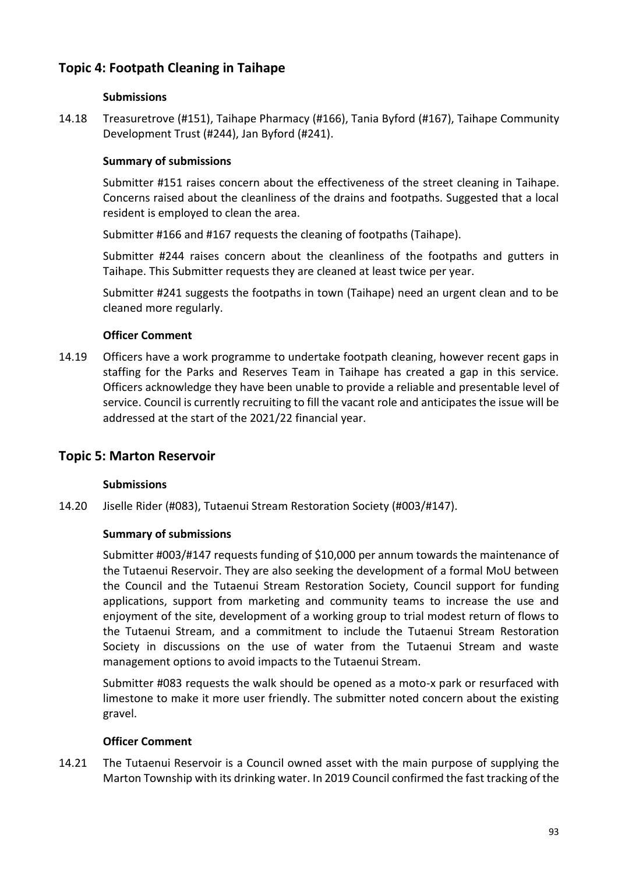# **Topic 4: Footpath Cleaning in Taihape**

## **Submissions**

14.18 Treasuretrove (#151), Taihape Pharmacy (#166), Tania Byford (#167), Taihape Community Development Trust (#244), Jan Byford (#241).

## **Summary of submissions**

Submitter #151 raises concern about the effectiveness of the street cleaning in Taihape. Concerns raised about the cleanliness of the drains and footpaths. Suggested that a local resident is employed to clean the area.

Submitter #166 and #167 requests the cleaning of footpaths (Taihape).

Submitter #244 raises concern about the cleanliness of the footpaths and gutters in Taihape. This Submitter requests they are cleaned at least twice per year.

Submitter #241 suggests the footpaths in town (Taihape) need an urgent clean and to be cleaned more regularly.

## **Officer Comment**

14.19 Officers have a work programme to undertake footpath cleaning, however recent gaps in staffing for the Parks and Reserves Team in Taihape has created a gap in this service. Officers acknowledge they have been unable to provide a reliable and presentable level of service. Council is currently recruiting to fill the vacant role and anticipates the issue will be addressed at the start of the 2021/22 financial year.

## **Topic 5: Marton Reservoir**

#### **Submissions**

14.20 Jiselle Rider (#083), Tutaenui Stream Restoration Society (#003/#147).

#### **Summary of submissions**

Submitter #003/#147 requests funding of \$10,000 per annum towards the maintenance of the Tutaenui Reservoir. They are also seeking the development of a formal MoU between the Council and the Tutaenui Stream Restoration Society, Council support for funding applications, support from marketing and community teams to increase the use and enjoyment of the site, development of a working group to trial modest return of flows to the Tutaenui Stream, and a commitment to include the Tutaenui Stream Restoration Society in discussions on the use of water from the Tutaenui Stream and waste management options to avoid impacts to the Tutaenui Stream.

Submitter #083 requests the walk should be opened as a moto-x park or resurfaced with limestone to make it more user friendly. The submitter noted concern about the existing gravel.

#### **Officer Comment**

14.21 The Tutaenui Reservoir is a Council owned asset with the main purpose of supplying the Marton Township with its drinking water. In 2019 Council confirmed the fast tracking of the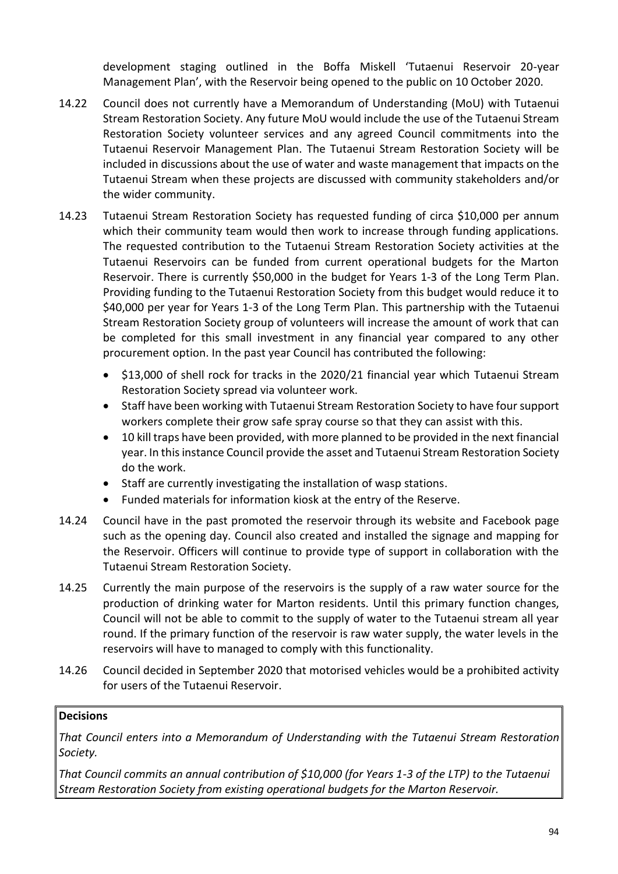development staging outlined in the Boffa Miskell 'Tutaenui Reservoir 20-year Management Plan', with the Reservoir being opened to the public on 10 October 2020.

- 14.22 Council does not currently have a Memorandum of Understanding (MoU) with Tutaenui Stream Restoration Society. Any future MoU would include the use of the Tutaenui Stream Restoration Society volunteer services and any agreed Council commitments into the Tutaenui Reservoir Management Plan. The Tutaenui Stream Restoration Society will be included in discussions about the use of water and waste management that impacts on the Tutaenui Stream when these projects are discussed with community stakeholders and/or the wider community.
- 14.23 Tutaenui Stream Restoration Society has requested funding of circa \$10,000 per annum which their community team would then work to increase through funding applications. The requested contribution to the Tutaenui Stream Restoration Society activities at the Tutaenui Reservoirs can be funded from current operational budgets for the Marton Reservoir. There is currently \$50,000 in the budget for Years 1-3 of the Long Term Plan. Providing funding to the Tutaenui Restoration Society from this budget would reduce it to \$40,000 per year for Years 1-3 of the Long Term Plan. This partnership with the Tutaenui Stream Restoration Society group of volunteers will increase the amount of work that can be completed for this small investment in any financial year compared to any other procurement option. In the past year Council has contributed the following:
	- \$13,000 of shell rock for tracks in the 2020/21 financial year which Tutaenui Stream Restoration Society spread via volunteer work.
	- Staff have been working with Tutaenui Stream Restoration Society to have four support workers complete their grow safe spray course so that they can assist with this.
	- 10 kill traps have been provided, with more planned to be provided in the next financial year. In this instance Council provide the asset and Tutaenui Stream Restoration Society do the work.
	- Staff are currently investigating the installation of wasp stations.
	- Funded materials for information kiosk at the entry of the Reserve.
- 14.24 Council have in the past promoted the reservoir through its website and Facebook page such as the opening day. Council also created and installed the signage and mapping for the Reservoir. Officers will continue to provide type of support in collaboration with the Tutaenui Stream Restoration Society.
- 14.25 Currently the main purpose of the reservoirs is the supply of a raw water source for the production of drinking water for Marton residents. Until this primary function changes, Council will not be able to commit to the supply of water to the Tutaenui stream all year round. If the primary function of the reservoir is raw water supply, the water levels in the reservoirs will have to managed to comply with this functionality.
- 14.26 Council decided in September 2020 that motorised vehicles would be a prohibited activity for users of the Tutaenui Reservoir.

## **Decisions**

*That Council enters into a Memorandum of Understanding with the Tutaenui Stream Restoration Society.*

*That Council commits an annual contribution of \$10,000 (for Years 1-3 of the LTP) to the Tutaenui Stream Restoration Society from existing operational budgets for the Marton Reservoir.*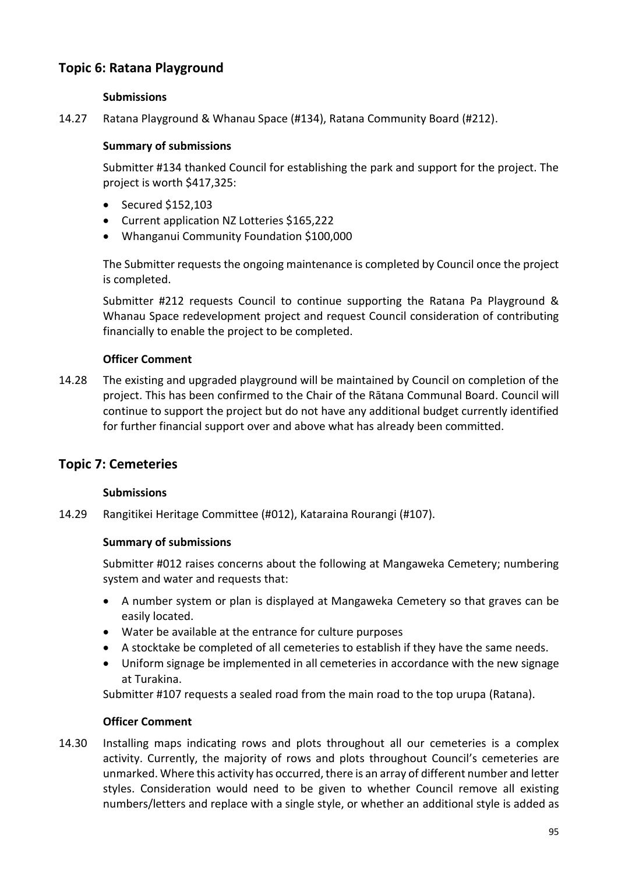# **Topic 6: Ratana Playground**

## **Submissions**

14.27 Ratana Playground & Whanau Space (#134), Ratana Community Board (#212).

### **Summary of submissions**

Submitter #134 thanked Council for establishing the park and support for the project. The project is worth \$417,325:

- Secured \$152,103
- Current application NZ Lotteries \$165,222
- Whanganui Community Foundation \$100,000

The Submitter requests the ongoing maintenance is completed by Council once the project is completed.

Submitter #212 requests Council to continue supporting the Ratana Pa Playground & Whanau Space redevelopment project and request Council consideration of contributing financially to enable the project to be completed.

## **Officer Comment**

14.28 The existing and upgraded playground will be maintained by Council on completion of the project. This has been confirmed to the Chair of the Rātana Communal Board. Council will continue to support the project but do not have any additional budget currently identified for further financial support over and above what has already been committed.

## **Topic 7: Cemeteries**

#### **Submissions**

14.29 Rangitikei Heritage Committee (#012), Kataraina Rourangi (#107).

#### **Summary of submissions**

Submitter #012 raises concerns about the following at Mangaweka Cemetery; numbering system and water and requests that:

- A number system or plan is displayed at Mangaweka Cemetery so that graves can be easily located.
- Water be available at the entrance for culture purposes
- A stocktake be completed of all cemeteries to establish if they have the same needs.
- Uniform signage be implemented in all cemeteries in accordance with the new signage at Turakina.

Submitter #107 requests a sealed road from the main road to the top urupa (Ratana).

#### **Officer Comment**

14.30 Installing maps indicating rows and plots throughout all our cemeteries is a complex activity. Currently, the majority of rows and plots throughout Council's cemeteries are unmarked. Where this activity has occurred, there is an array of different number and letter styles. Consideration would need to be given to whether Council remove all existing numbers/letters and replace with a single style, or whether an additional style is added as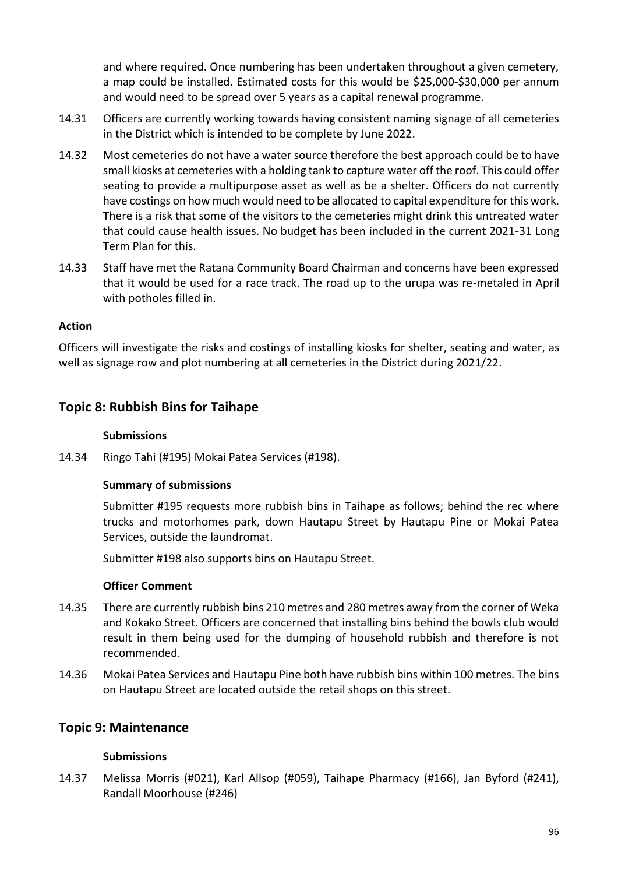and where required. Once numbering has been undertaken throughout a given cemetery, a map could be installed. Estimated costs for this would be \$25,000-\$30,000 per annum and would need to be spread over 5 years as a capital renewal programme.

- 14.31 Officers are currently working towards having consistent naming signage of all cemeteries in the District which is intended to be complete by June 2022.
- 14.32 Most cemeteries do not have a water source therefore the best approach could be to have small kiosks at cemeteries with a holding tank to capture water off the roof. This could offer seating to provide a multipurpose asset as well as be a shelter. Officers do not currently have costings on how much would need to be allocated to capital expenditure for this work. There is a risk that some of the visitors to the cemeteries might drink this untreated water that could cause health issues. No budget has been included in the current 2021-31 Long Term Plan for this.
- 14.33 Staff have met the Ratana Community Board Chairman and concerns have been expressed that it would be used for a race track. The road up to the urupa was re-metaled in April with potholes filled in.

## **Action**

Officers will investigate the risks and costings of installing kiosks for shelter, seating and water, as well as signage row and plot numbering at all cemeteries in the District during 2021/22.

# **Topic 8: Rubbish Bins for Taihape**

## **Submissions**

14.34 Ringo Tahi (#195) Mokai Patea Services (#198).

## **Summary of submissions**

Submitter #195 requests more rubbish bins in Taihape as follows; behind the rec where trucks and motorhomes park, down Hautapu Street by Hautapu Pine or Mokai Patea Services, outside the laundromat.

Submitter #198 also supports bins on Hautapu Street.

#### **Officer Comment**

- 14.35 There are currently rubbish bins 210 metres and 280 metres away from the corner of Weka and Kokako Street. Officers are concerned that installing bins behind the bowls club would result in them being used for the dumping of household rubbish and therefore is not recommended.
- 14.36 Mokai Patea Services and Hautapu Pine both have rubbish bins within 100 metres. The bins on Hautapu Street are located outside the retail shops on this street.

## **Topic 9: Maintenance**

## **Submissions**

14.37 Melissa Morris (#021), Karl Allsop (#059), Taihape Pharmacy (#166), Jan Byford (#241), Randall Moorhouse (#246)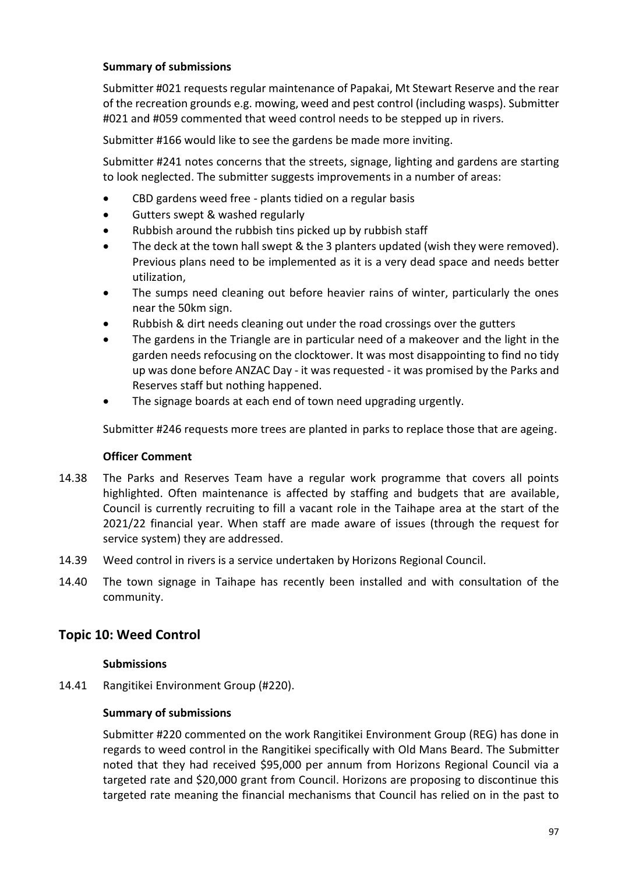## **Summary of submissions**

Submitter #021 requests regular maintenance of Papakai, Mt Stewart Reserve and the rear of the recreation grounds e.g. mowing, weed and pest control (including wasps). Submitter #021 and #059 commented that weed control needs to be stepped up in rivers.

Submitter #166 would like to see the gardens be made more inviting.

Submitter #241 notes concerns that the streets, signage, lighting and gardens are starting to look neglected. The submitter suggests improvements in a number of areas:

- CBD gardens weed free plants tidied on a regular basis
- Gutters swept & washed regularly
- Rubbish around the rubbish tins picked up by rubbish staff
- The deck at the town hall swept & the 3 planters updated (wish they were removed). Previous plans need to be implemented as it is a very dead space and needs better utilization,
- The sumps need cleaning out before heavier rains of winter, particularly the ones near the 50km sign.
- Rubbish & dirt needs cleaning out under the road crossings over the gutters
- The gardens in the Triangle are in particular need of a makeover and the light in the garden needs refocusing on the clocktower. It was most disappointing to find no tidy up was done before ANZAC Day - it was requested - it was promised by the Parks and Reserves staff but nothing happened.
- The signage boards at each end of town need upgrading urgently.

Submitter #246 requests more trees are planted in parks to replace those that are ageing.

#### **Officer Comment**

- 14.38 The Parks and Reserves Team have a regular work programme that covers all points highlighted. Often maintenance is affected by staffing and budgets that are available, Council is currently recruiting to fill a vacant role in the Taihape area at the start of the 2021/22 financial year. When staff are made aware of issues (through the request for service system) they are addressed.
- 14.39 Weed control in rivers is a service undertaken by Horizons Regional Council.
- 14.40 The town signage in Taihape has recently been installed and with consultation of the community.

## **Topic 10: Weed Control**

#### **Submissions**

14.41 Rangitikei Environment Group (#220).

#### **Summary of submissions**

Submitter #220 commented on the work Rangitikei Environment Group (REG) has done in regards to weed control in the Rangitikei specifically with Old Mans Beard. The Submitter noted that they had received \$95,000 per annum from Horizons Regional Council via a targeted rate and \$20,000 grant from Council. Horizons are proposing to discontinue this targeted rate meaning the financial mechanisms that Council has relied on in the past to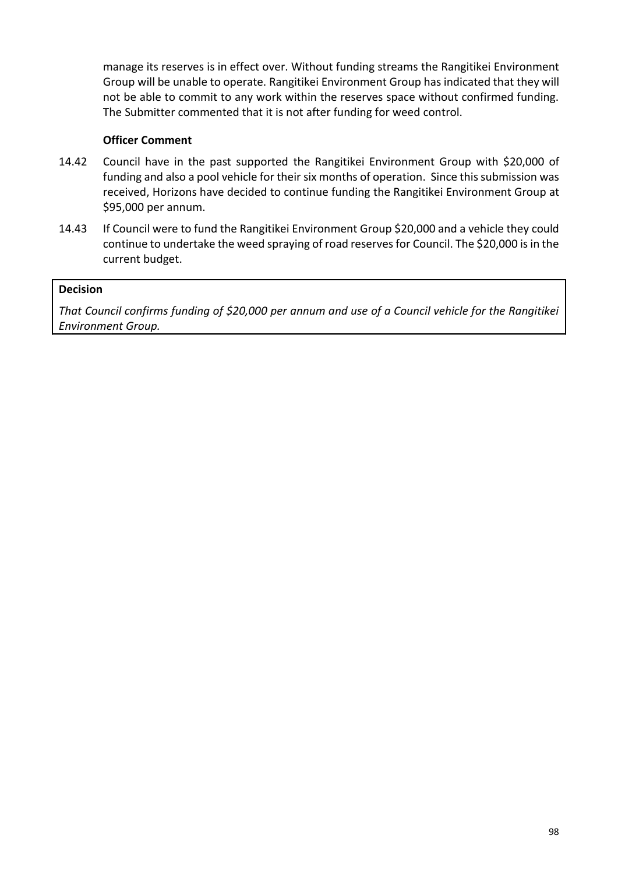manage its reserves is in effect over. Without funding streams the Rangitikei Environment Group will be unable to operate. Rangitikei Environment Group has indicated that they will not be able to commit to any work within the reserves space without confirmed funding. The Submitter commented that it is not after funding for weed control.

## **Officer Comment**

- 14.42 Council have in the past supported the Rangitikei Environment Group with \$20,000 of funding and also a pool vehicle for their six months of operation. Since this submission was received, Horizons have decided to continue funding the Rangitikei Environment Group at \$95,000 per annum.
- 14.43 If Council were to fund the Rangitikei Environment Group \$20,000 and a vehicle they could continue to undertake the weed spraying of road reserves for Council. The \$20,000 is in the current budget.

## **Decision**

*That Council confirms funding of \$20,000 per annum and use of a Council vehicle for the Rangitikei Environment Group.*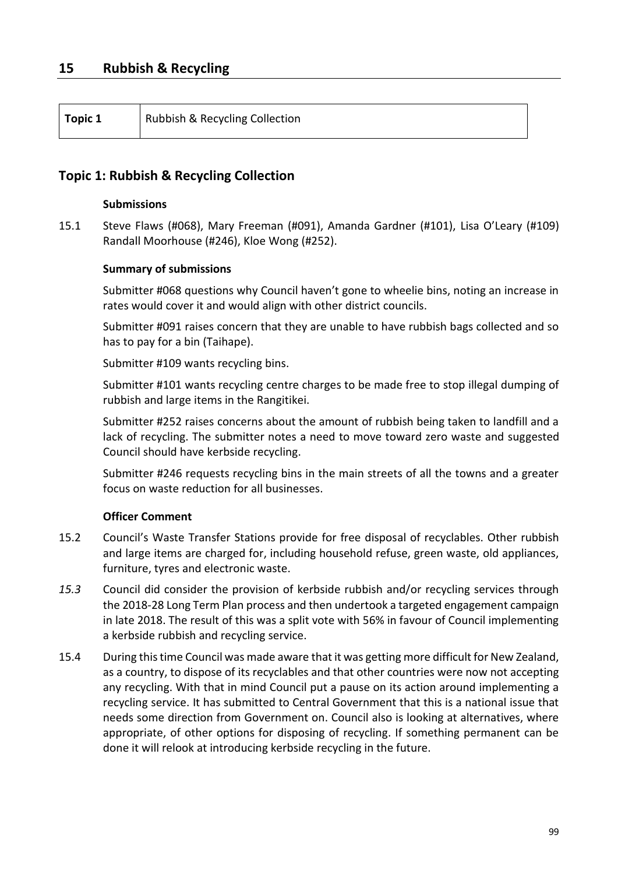| Topic 1 | Rubbish & Recycling Collection |
|---------|--------------------------------|
|---------|--------------------------------|

## **Topic 1: Rubbish & Recycling Collection**

#### **Submissions**

15.1 Steve Flaws (#068), Mary Freeman (#091), Amanda Gardner (#101), Lisa O'Leary (#109) Randall Moorhouse (#246), Kloe Wong (#252).

#### **Summary of submissions**

Submitter #068 questions why Council haven't gone to wheelie bins, noting an increase in rates would cover it and would align with other district councils.

Submitter #091 raises concern that they are unable to have rubbish bags collected and so has to pay for a bin (Taihape).

Submitter #109 wants recycling bins.

Submitter #101 wants recycling centre charges to be made free to stop illegal dumping of rubbish and large items in the Rangitikei.

Submitter #252 raises concerns about the amount of rubbish being taken to landfill and a lack of recycling. The submitter notes a need to move toward zero waste and suggested Council should have kerbside recycling.

Submitter #246 requests recycling bins in the main streets of all the towns and a greater focus on waste reduction for all businesses.

- 15.2 Council's Waste Transfer Stations provide for free disposal of recyclables. Other rubbish and large items are charged for, including household refuse, green waste, old appliances, furniture, tyres and electronic waste.
- *15.3* Council did consider the provision of kerbside rubbish and/or recycling services through the 2018-28 Long Term Plan process and then undertook a targeted engagement campaign in late 2018. The result of this was a split vote with 56% in favour of Council implementing a kerbside rubbish and recycling service.
- 15.4 During this time Council was made aware that it was getting more difficult for New Zealand, as a country, to dispose of its recyclables and that other countries were now not accepting any recycling. With that in mind Council put a pause on its action around implementing a recycling service. It has submitted to Central Government that this is a national issue that needs some direction from Government on. Council also is looking at alternatives, where appropriate, of other options for disposing of recycling. If something permanent can be done it will relook at introducing kerbside recycling in the future.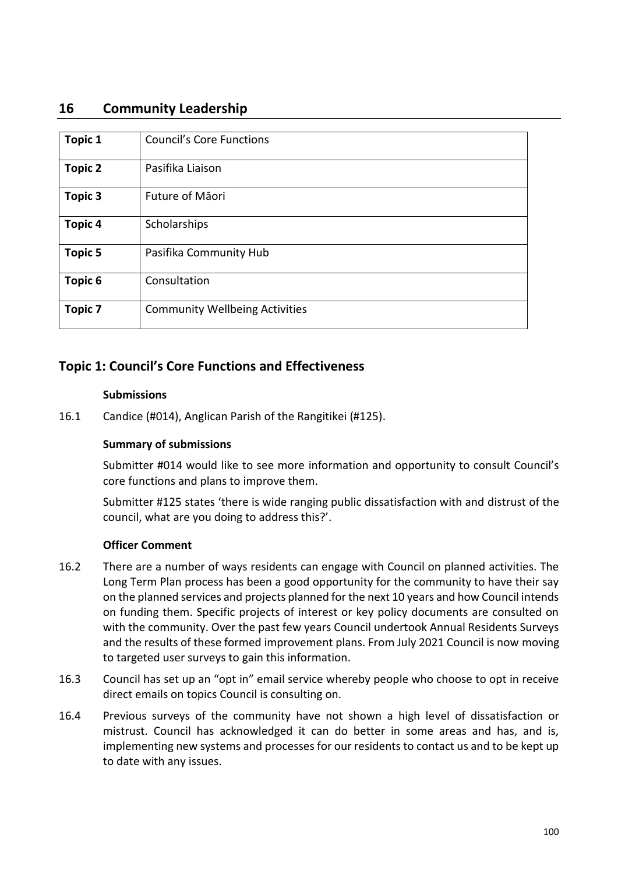## **16 Community Leadership**

| <b>Topic 1</b> | <b>Council's Core Functions</b>       |
|----------------|---------------------------------------|
| <b>Topic 2</b> | Pasifika Liaison                      |
| <b>Topic 3</b> | Future of Māori                       |
| <b>Topic 4</b> | Scholarships                          |
| <b>Topic 5</b> | Pasifika Community Hub                |
| Topic 6        | Consultation                          |
| <b>Topic 7</b> | <b>Community Wellbeing Activities</b> |

## **Topic 1: Council's Core Functions and Effectiveness**

#### **Submissions**

16.1 Candice (#014), Anglican Parish of the Rangitikei (#125).

## **Summary of submissions**

Submitter #014 would like to see more information and opportunity to consult Council's core functions and plans to improve them.

Submitter #125 states 'there is wide ranging public dissatisfaction with and distrust of the council, what are you doing to address this?'.

- 16.2 There are a number of ways residents can engage with Council on planned activities. The Long Term Plan process has been a good opportunity for the community to have their say on the planned services and projects planned for the next 10 years and how Council intends on funding them. Specific projects of interest or key policy documents are consulted on with the community. Over the past few years Council undertook Annual Residents Surveys and the results of these formed improvement plans. From July 2021 Council is now moving to targeted user surveys to gain this information.
- 16.3 Council has set up an "opt in" email service whereby people who choose to opt in receive direct emails on topics Council is consulting on.
- 16.4 Previous surveys of the community have not shown a high level of dissatisfaction or mistrust. Council has acknowledged it can do better in some areas and has, and is, implementing new systems and processes for our residents to contact us and to be kept up to date with any issues.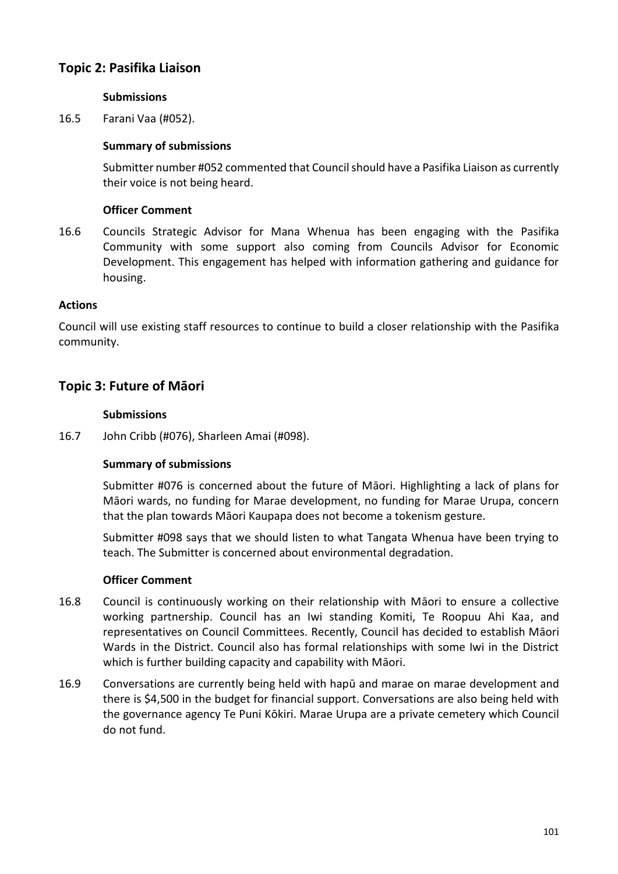# **Topic 2: Pasifika Liaison**

## **Submissions**

16.5 Farani Vaa (#052).

### **Summary of submissions**

Submitter number #052 commented that Council should have a Pasifika Liaison as currently their voice is not being heard.

### **Officer Comment**

16.6 Councils Strategic Advisor for Mana Whenua has been engaging with the Pasifika Community with some support also coming from Councils Advisor for Economic Development. This engagement has helped with information gathering and guidance for housing.

#### **Actions**

Council will use existing staff resources to continue to build a closer relationship with the Pasifika community.

## **Topic 3: Future of Māori**

#### **Submissions**

16.7 John Cribb (#076), Sharleen Amai (#098).

## **Summary of submissions**

Submitter #076 is concerned about the future of Māori. Highlighting a lack of plans for Māori wards, no funding for Marae development, no funding for Marae Urupa, concern that the plan towards Māori Kaupapa does not become a tokenism gesture.

Submitter #098 says that we should listen to what Tangata Whenua have been trying to teach. The Submitter is concerned about environmental degradation.

- 16.8 Council is continuously working on their relationship with Māori to ensure a collective working partnership. Council has an Iwi standing Komiti, Te Roopuu Ahi Kaa, and representatives on Council Committees. Recently, Council has decided to establish Māori Wards in the District. Council also has formal relationships with some Iwi in the District which is further building capacity and capability with Māori.
- 16.9 Conversations are currently being held with hapū and marae on marae development and there is \$4,500 in the budget for financial support. Conversations are also being held with the governance agency Te Puni Kōkiri. Marae Urupa are a private cemetery which Council do not fund.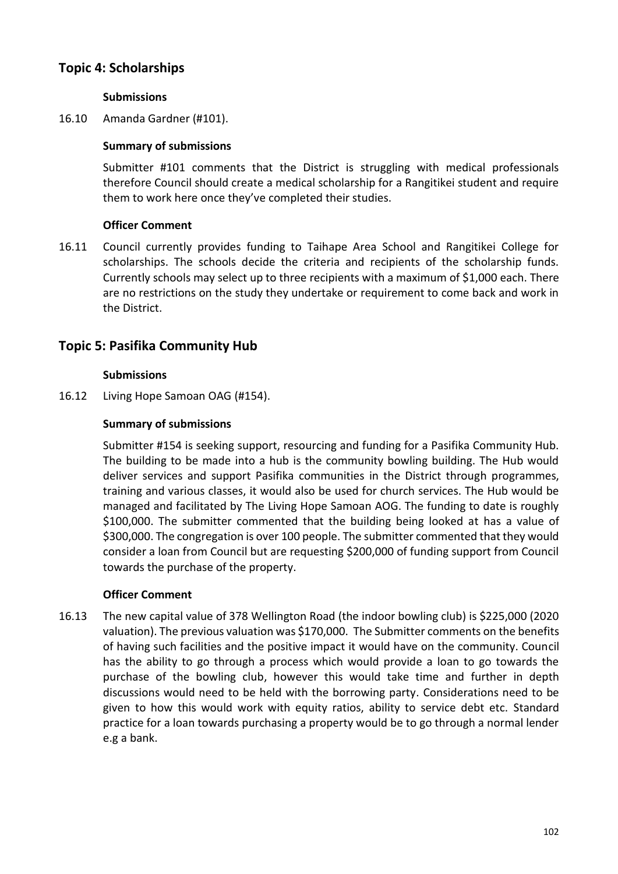# **Topic 4: Scholarships**

## **Submissions**

16.10 Amanda Gardner (#101).

## **Summary of submissions**

Submitter #101 comments that the District is struggling with medical professionals therefore Council should create a medical scholarship for a Rangitikei student and require them to work here once they've completed their studies.

## **Officer Comment**

16.11 Council currently provides funding to Taihape Area School and Rangitikei College for scholarships. The schools decide the criteria and recipients of the scholarship funds. Currently schools may select up to three recipients with a maximum of \$1,000 each. There are no restrictions on the study they undertake or requirement to come back and work in the District.

## **Topic 5: Pasifika Community Hub**

## **Submissions**

16.12 Living Hope Samoan OAG (#154).

## **Summary of submissions**

Submitter #154 is seeking support, resourcing and funding for a Pasifika Community Hub. The building to be made into a hub is the community bowling building. The Hub would deliver services and support Pasifika communities in the District through programmes, training and various classes, it would also be used for church services. The Hub would be managed and facilitated by The Living Hope Samoan AOG. The funding to date is roughly \$100,000. The submitter commented that the building being looked at has a value of \$300,000. The congregation is over 100 people. The submitter commented that they would consider a loan from Council but are requesting \$200,000 of funding support from Council towards the purchase of the property.

#### **Officer Comment**

16.13 The new capital value of 378 Wellington Road (the indoor bowling club) is \$225,000 (2020 valuation). The previous valuation was \$170,000. The Submitter comments on the benefits of having such facilities and the positive impact it would have on the community. Council has the ability to go through a process which would provide a loan to go towards the purchase of the bowling club, however this would take time and further in depth discussions would need to be held with the borrowing party. Considerations need to be given to how this would work with equity ratios, ability to service debt etc. Standard practice for a loan towards purchasing a property would be to go through a normal lender e.g a bank.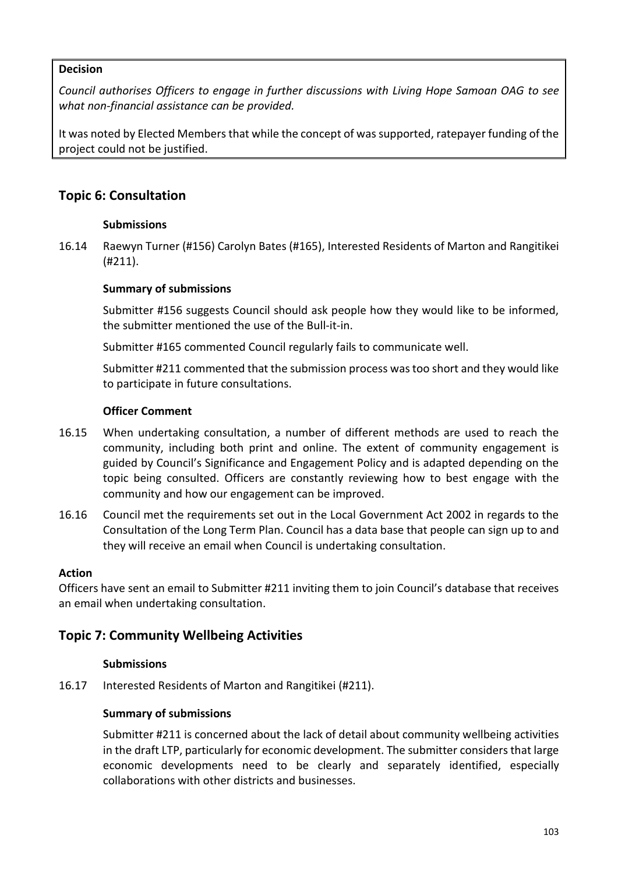## **Decision**

*Council authorises Officers to engage in further discussions with Living Hope Samoan OAG to see what non-financial assistance can be provided.*

It was noted by Elected Members that while the concept of was supported, ratepayer funding of the project could not be justified.

## **Topic 6: Consultation**

## **Submissions**

16.14 Raewyn Turner (#156) Carolyn Bates (#165), Interested Residents of Marton and Rangitikei (#211).

## **Summary of submissions**

Submitter #156 suggests Council should ask people how they would like to be informed, the submitter mentioned the use of the Bull-it-in.

Submitter #165 commented Council regularly fails to communicate well.

Submitter #211 commented that the submission process was too short and they would like to participate in future consultations.

#### **Officer Comment**

- 16.15 When undertaking consultation, a number of different methods are used to reach the community, including both print and online. The extent of community engagement is guided by Council's Significance and Engagement Policy and is adapted depending on the topic being consulted. Officers are constantly reviewing how to best engage with the community and how our engagement can be improved.
- 16.16 Council met the requirements set out in the Local Government Act 2002 in regards to the Consultation of the Long Term Plan. Council has a data base that people can sign up to and they will receive an email when Council is undertaking consultation.

#### **Action**

Officers have sent an email to Submitter #211 inviting them to join Council's database that receives an email when undertaking consultation.

## **Topic 7: Community Wellbeing Activities**

#### **Submissions**

16.17 Interested Residents of Marton and Rangitikei (#211).

## **Summary of submissions**

Submitter #211 is concerned about the lack of detail about community wellbeing activities in the draft LTP, particularly for economic development. The submitter considers that large economic developments need to be clearly and separately identified, especially collaborations with other districts and businesses.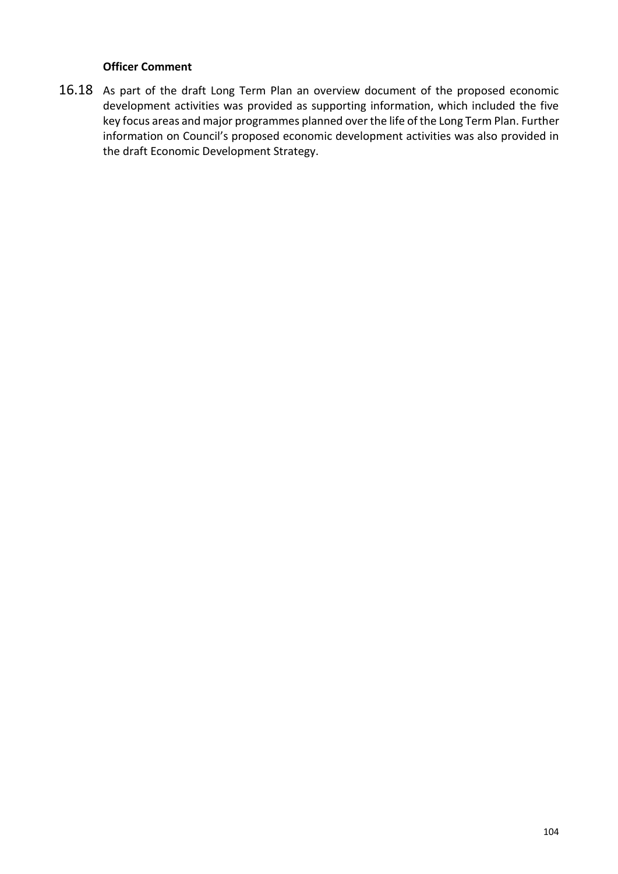#### **Officer Comment**

16.18 As part of the draft Long Term Plan an overview document of the proposed economic development activities was provided as supporting information, which included the five key focus areas and major programmes planned over the life of the Long Term Plan. Further information on Council's proposed economic development activities was also provided in the draft Economic Development Strategy.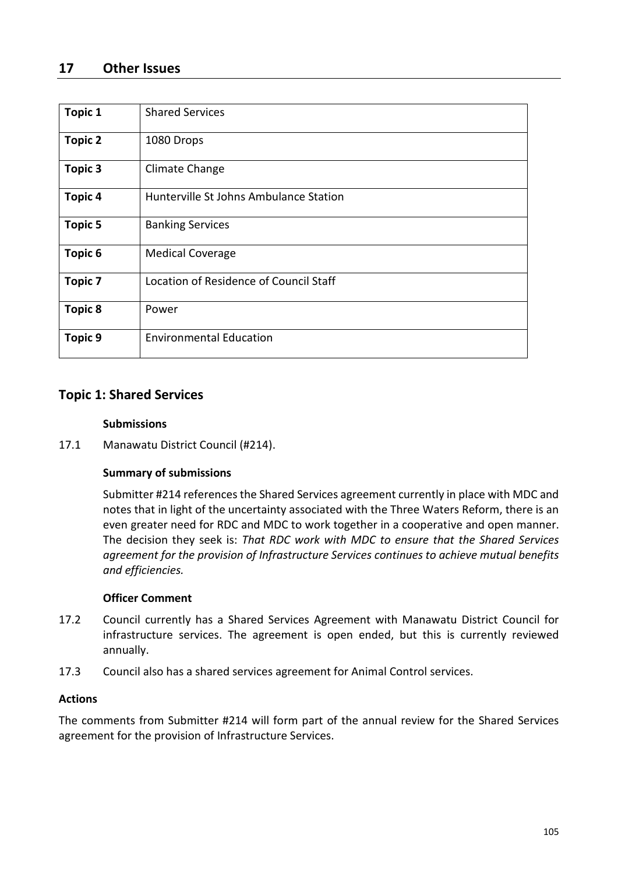## **17 Other Issues**

| <b>Topic 1</b> | <b>Shared Services</b>                 |
|----------------|----------------------------------------|
| <b>Topic 2</b> | 1080 Drops                             |
| <b>Topic 3</b> | Climate Change                         |
| <b>Topic 4</b> | Hunterville St Johns Ambulance Station |
| <b>Topic 5</b> | <b>Banking Services</b>                |
| <b>Topic 6</b> | <b>Medical Coverage</b>                |
| <b>Topic 7</b> | Location of Residence of Council Staff |
| <b>Topic 8</b> | Power                                  |
| <b>Topic 9</b> | <b>Environmental Education</b>         |

## **Topic 1: Shared Services**

#### **Submissions**

17.1 Manawatu District Council (#214).

#### **Summary of submissions**

Submitter #214 references the Shared Services agreement currently in place with MDC and notes that in light of the uncertainty associated with the Three Waters Reform, there is an even greater need for RDC and MDC to work together in a cooperative and open manner. The decision they seek is: *That RDC work with MDC to ensure that the Shared Services agreement for the provision of Infrastructure Services continues to achieve mutual benefits and efficiencies.*

#### **Officer Comment**

- 17.2 Council currently has a Shared Services Agreement with Manawatu District Council for infrastructure services. The agreement is open ended, but this is currently reviewed annually.
- 17.3 Council also has a shared services agreement for Animal Control services.

#### **Actions**

The comments from Submitter #214 will form part of the annual review for the Shared Services agreement for the provision of Infrastructure Services.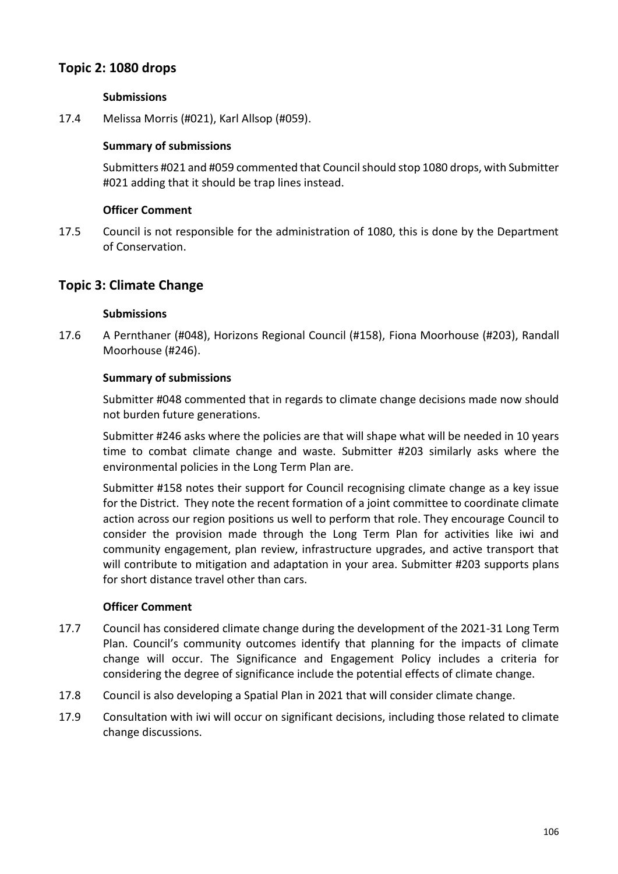# **Topic 2: 1080 drops**

## **Submissions**

17.4 Melissa Morris (#021), Karl Allsop (#059).

## **Summary of submissions**

Submitters #021 and #059 commented that Council should stop 1080 drops, with Submitter #021 adding that it should be trap lines instead.

### **Officer Comment**

17.5 Council is not responsible for the administration of 1080, this is done by the Department of Conservation.

## **Topic 3: Climate Change**

#### **Submissions**

17.6 A Pernthaner (#048), Horizons Regional Council (#158), Fiona Moorhouse (#203), Randall Moorhouse (#246).

## **Summary of submissions**

Submitter #048 commented that in regards to climate change decisions made now should not burden future generations.

Submitter #246 asks where the policies are that will shape what will be needed in 10 years time to combat climate change and waste. Submitter #203 similarly asks where the environmental policies in the Long Term Plan are.

Submitter #158 notes their support for Council recognising climate change as a key issue for the District. They note the recent formation of a joint committee to coordinate climate action across our region positions us well to perform that role. They encourage Council to consider the provision made through the Long Term Plan for activities like iwi and community engagement, plan review, infrastructure upgrades, and active transport that will contribute to mitigation and adaptation in your area. Submitter #203 supports plans for short distance travel other than cars.

- 17.7 Council has considered climate change during the development of the 2021-31 Long Term Plan. Council's community outcomes identify that planning for the impacts of climate change will occur. The Significance and Engagement Policy includes a criteria for considering the degree of significance include the potential effects of climate change.
- 17.8 Council is also developing a Spatial Plan in 2021 that will consider climate change.
- 17.9 Consultation with iwi will occur on significant decisions, including those related to climate change discussions.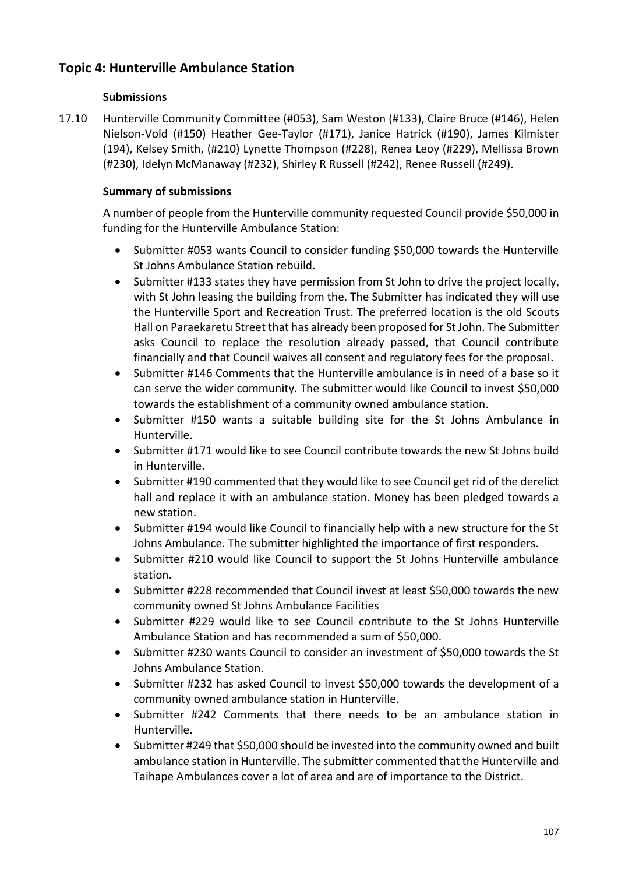# **Topic 4: Hunterville Ambulance Station**

## **Submissions**

17.10 Hunterville Community Committee (#053), Sam Weston (#133), Claire Bruce (#146), Helen Nielson-Vold (#150) Heather Gee-Taylor (#171), Janice Hatrick (#190), James Kilmister (194), Kelsey Smith, (#210) Lynette Thompson (#228), Renea Leoy (#229), Mellissa Brown (#230), Idelyn McManaway (#232), Shirley R Russell (#242), Renee Russell (#249).

## **Summary of submissions**

A number of people from the Hunterville community requested Council provide \$50,000 in funding for the Hunterville Ambulance Station:

- Submitter #053 wants Council to consider funding \$50,000 towards the Hunterville St Johns Ambulance Station rebuild.
- Submitter #133 states they have permission from St John to drive the project locally, with St John leasing the building from the. The Submitter has indicated they will use the Hunterville Sport and Recreation Trust. The preferred location is the old Scouts Hall on Paraekaretu Street that has already been proposed for St John. The Submitter asks Council to replace the resolution already passed, that Council contribute financially and that Council waives all consent and regulatory fees for the proposal.
- Submitter #146 Comments that the Hunterville ambulance is in need of a base so it can serve the wider community. The submitter would like Council to invest \$50,000 towards the establishment of a community owned ambulance station.
- Submitter #150 wants a suitable building site for the St Johns Ambulance in Hunterville.
- Submitter #171 would like to see Council contribute towards the new St Johns build in Hunterville.
- Submitter #190 commented that they would like to see Council get rid of the derelict hall and replace it with an ambulance station. Money has been pledged towards a new station.
- Submitter #194 would like Council to financially help with a new structure for the St Johns Ambulance. The submitter highlighted the importance of first responders.
- Submitter #210 would like Council to support the St Johns Hunterville ambulance station.
- Submitter #228 recommended that Council invest at least \$50,000 towards the new community owned St Johns Ambulance Facilities
- Submitter #229 would like to see Council contribute to the St Johns Hunterville Ambulance Station and has recommended a sum of \$50,000.
- Submitter #230 wants Council to consider an investment of \$50,000 towards the St Johns Ambulance Station.
- Submitter #232 has asked Council to invest \$50,000 towards the development of a community owned ambulance station in Hunterville.
- Submitter #242 Comments that there needs to be an ambulance station in Hunterville.
- Submitter #249 that \$50,000 should be invested into the community owned and built ambulance station in Hunterville. The submitter commented that the Hunterville and Taihape Ambulances cover a lot of area and are of importance to the District.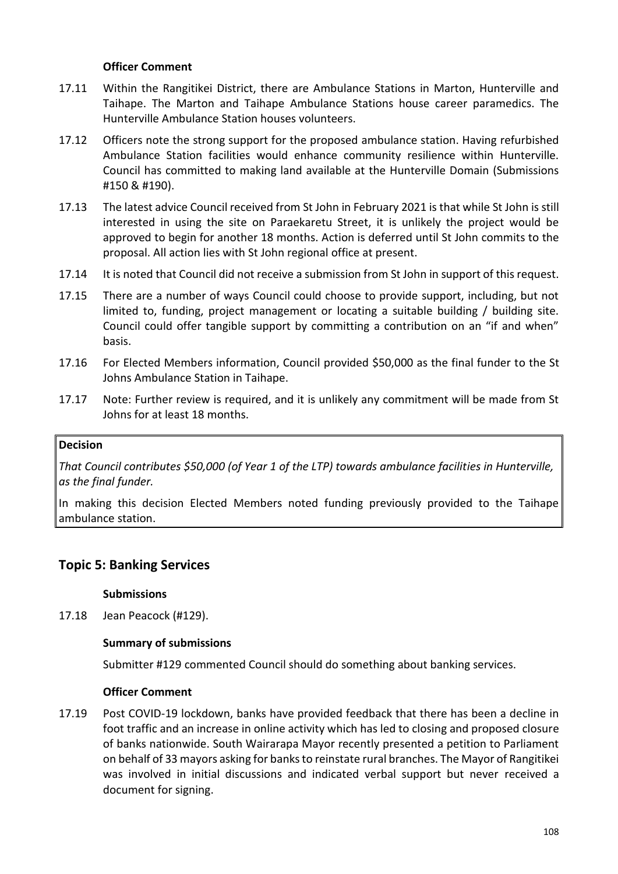### **Officer Comment**

- 17.11 Within the Rangitikei District, there are Ambulance Stations in Marton, Hunterville and Taihape. The Marton and Taihape Ambulance Stations house career paramedics. The Hunterville Ambulance Station houses volunteers.
- 17.12 Officers note the strong support for the proposed ambulance station. Having refurbished Ambulance Station facilities would enhance community resilience within Hunterville. Council has committed to making land available at the Hunterville Domain (Submissions #150 & #190).
- 17.13 The latest advice Council received from St John in February 2021 is that while St John is still interested in using the site on Paraekaretu Street, it is unlikely the project would be approved to begin for another 18 months. Action is deferred until St John commits to the proposal. All action lies with St John regional office at present.
- 17.14 It is noted that Council did not receive a submission from St John in support of this request.
- 17.15 There are a number of ways Council could choose to provide support, including, but not limited to, funding, project management or locating a suitable building / building site. Council could offer tangible support by committing a contribution on an "if and when" basis.
- 17.16 For Elected Members information, Council provided \$50,000 as the final funder to the St Johns Ambulance Station in Taihape.
- 17.17 Note: Further review is required, and it is unlikely any commitment will be made from St Johns for at least 18 months.

#### **Decision**

*That Council contributes \$50,000 (of Year 1 of the LTP) towards ambulance facilities in Hunterville, as the final funder.*

In making this decision Elected Members noted funding previously provided to the Taihape ambulance station.

## **Topic 5: Banking Services**

#### **Submissions**

17.18 Jean Peacock (#129).

#### **Summary of submissions**

Submitter #129 commented Council should do something about banking services.

#### **Officer Comment**

17.19 Post COVID-19 lockdown, banks have provided feedback that there has been a decline in foot traffic and an increase in online activity which has led to closing and proposed closure of banks nationwide. South Wairarapa Mayor recently presented a petition to Parliament on behalf of 33 mayors asking for banks to reinstate rural branches. The Mayor of Rangitikei was involved in initial discussions and indicated verbal support but never received a document for signing.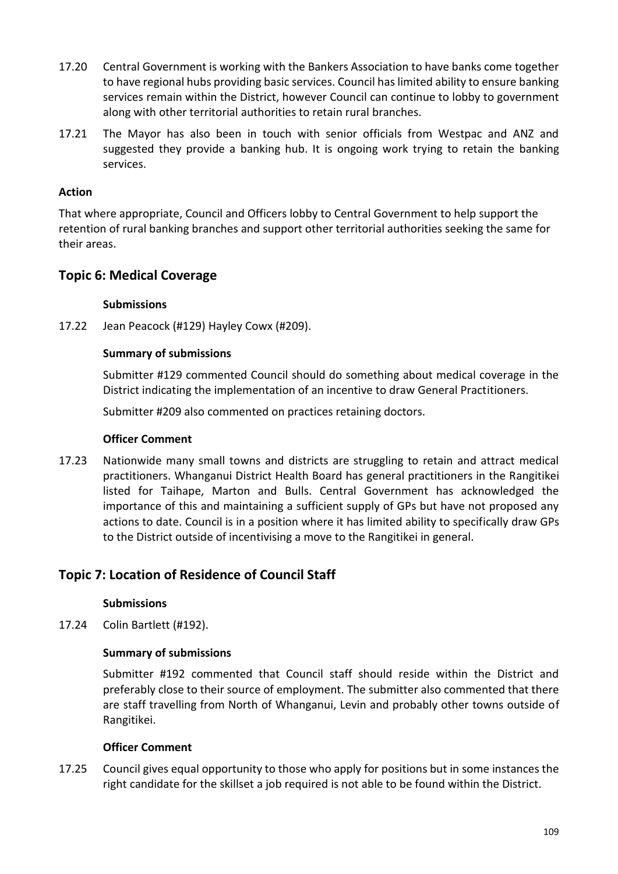- 17.20 Central Government is working with the Bankers Association to have banks come together to have regional hubs providing basic services. Council has limited ability to ensure banking services remain within the District, however Council can continue to lobby to government along with other territorial authorities to retain rural branches.
- 17.21 The Mayor has also been in touch with senior officials from Westpac and ANZ and suggested they provide a banking hub. It is ongoing work trying to retain the banking services.

### **Action**

That where appropriate, Council and Officers lobby to Central Government to help support the retention of rural banking branches and support other territorial authorities seeking the same for their areas.

# **Topic 6: Medical Coverage**

### **Submissions**

17.22 Jean Peacock (#129) Hayley Cowx (#209).

### **Summary of submissions**

Submitter #129 commented Council should do something about medical coverage in the District indicating the implementation of an incentive to draw General Practitioners.

Submitter #209 also commented on practices retaining doctors.

### **Officer Comment**

17.23 Nationwide many small towns and districts are struggling to retain and attract medical practitioners. Whanganui District Health Board has general practitioners in the Rangitikei listed for Taihape, Marton and Bulls. Central Government has acknowledged the importance of this and maintaining a sufficient supply of GPs but have not proposed any actions to date. Council is in a position where it has limited ability to specifically draw GPs to the District outside of incentivising a move to the Rangitikei in general.

# **Topic 7: Location of Residence of Council Staff**

### **Submissions**

17.24 Colin Bartlett (#192).

### **Summary of submissions**

Submitter #192 commented that Council staff should reside within the District and preferably close to their source of employment. The submitter also commented that there are staff travelling from North of Whanganui, Levin and probably other towns outside of Rangitikei.

### **Officer Comment**

17.25 Council gives equal opportunity to those who apply for positions but in some instances the right candidate for the skillset a job required is not able to be found within the District.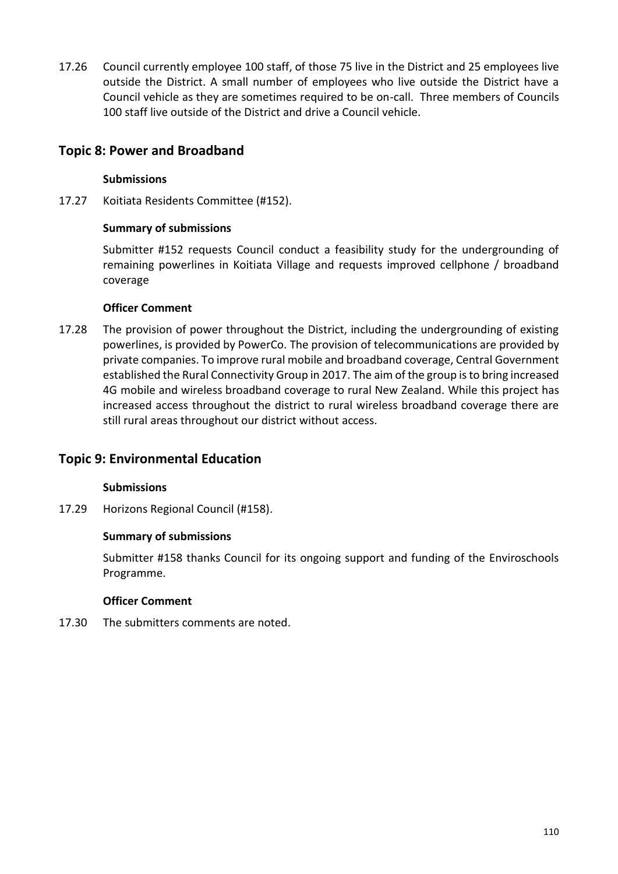17.26 Council currently employee 100 staff, of those 75 live in the District and 25 employees live outside the District. A small number of employees who live outside the District have a Council vehicle as they are sometimes required to be on-call. Three members of Councils 100 staff live outside of the District and drive a Council vehicle.

# **Topic 8: Power and Broadband**

## **Submissions**

17.27 Koitiata Residents Committee (#152).

### **Summary of submissions**

Submitter #152 requests Council conduct a feasibility study for the undergrounding of remaining powerlines in Koitiata Village and requests improved cellphone / broadband coverage

### **Officer Comment**

17.28 The provision of power throughout the District, including the undergrounding of existing powerlines, is provided by PowerCo. The provision of telecommunications are provided by private companies. To improve rural mobile and broadband coverage, Central Government established the Rural Connectivity Group in 2017. The aim of the group is to bring increased 4G mobile and wireless broadband coverage to rural New Zealand. While this project has increased access throughout the district to rural wireless broadband coverage there are still rural areas throughout our district without access.

# **Topic 9: Environmental Education**

### **Submissions**

17.29 Horizons Regional Council (#158).

### **Summary of submissions**

Submitter #158 thanks Council for its ongoing support and funding of the Enviroschools Programme.

### **Officer Comment**

17.30 The submitters comments are noted.